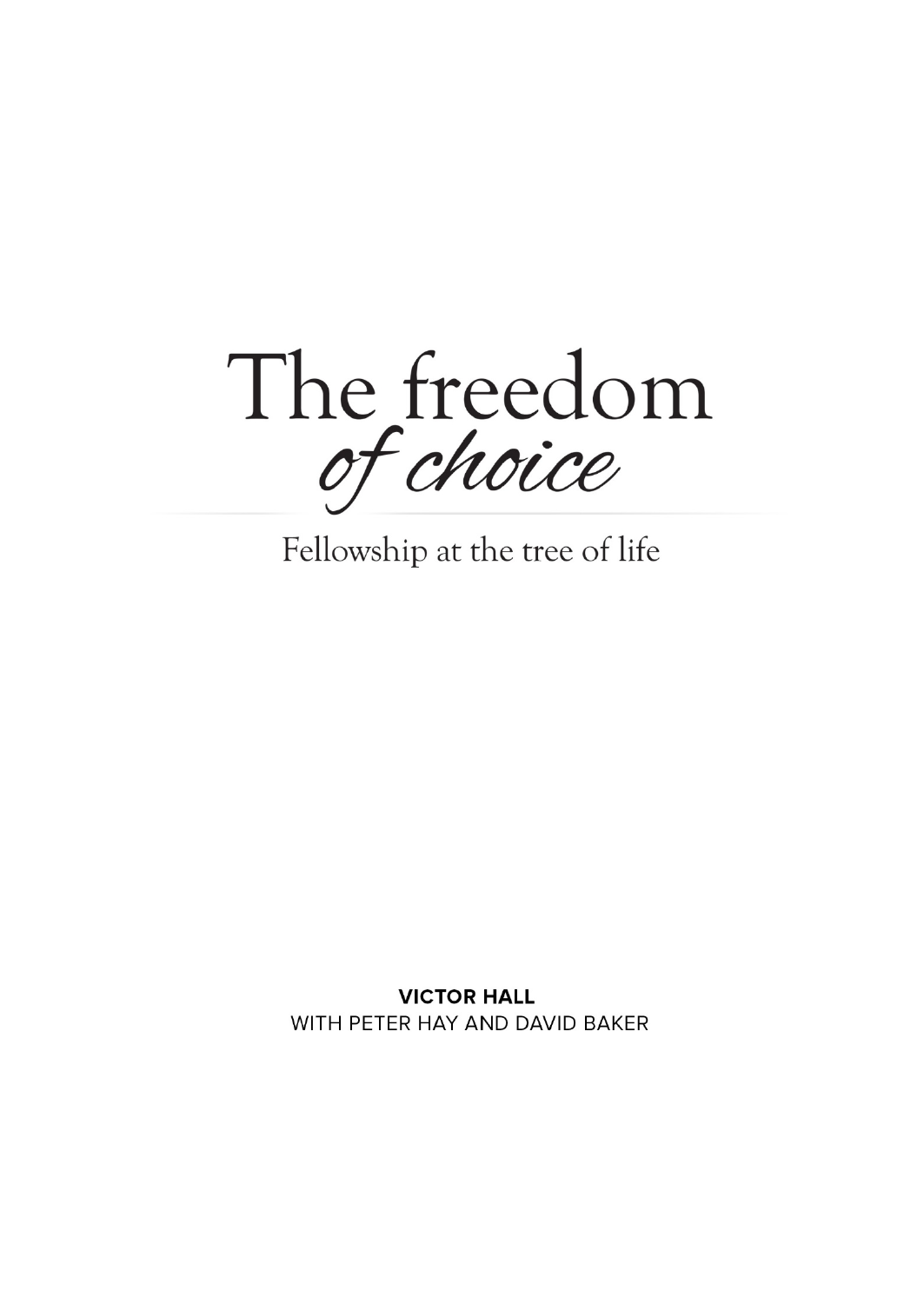The freedom of choice

Fellowship at the tree of life

**VICTOR HALL** WITH PETER HAY AND DAVID BAKER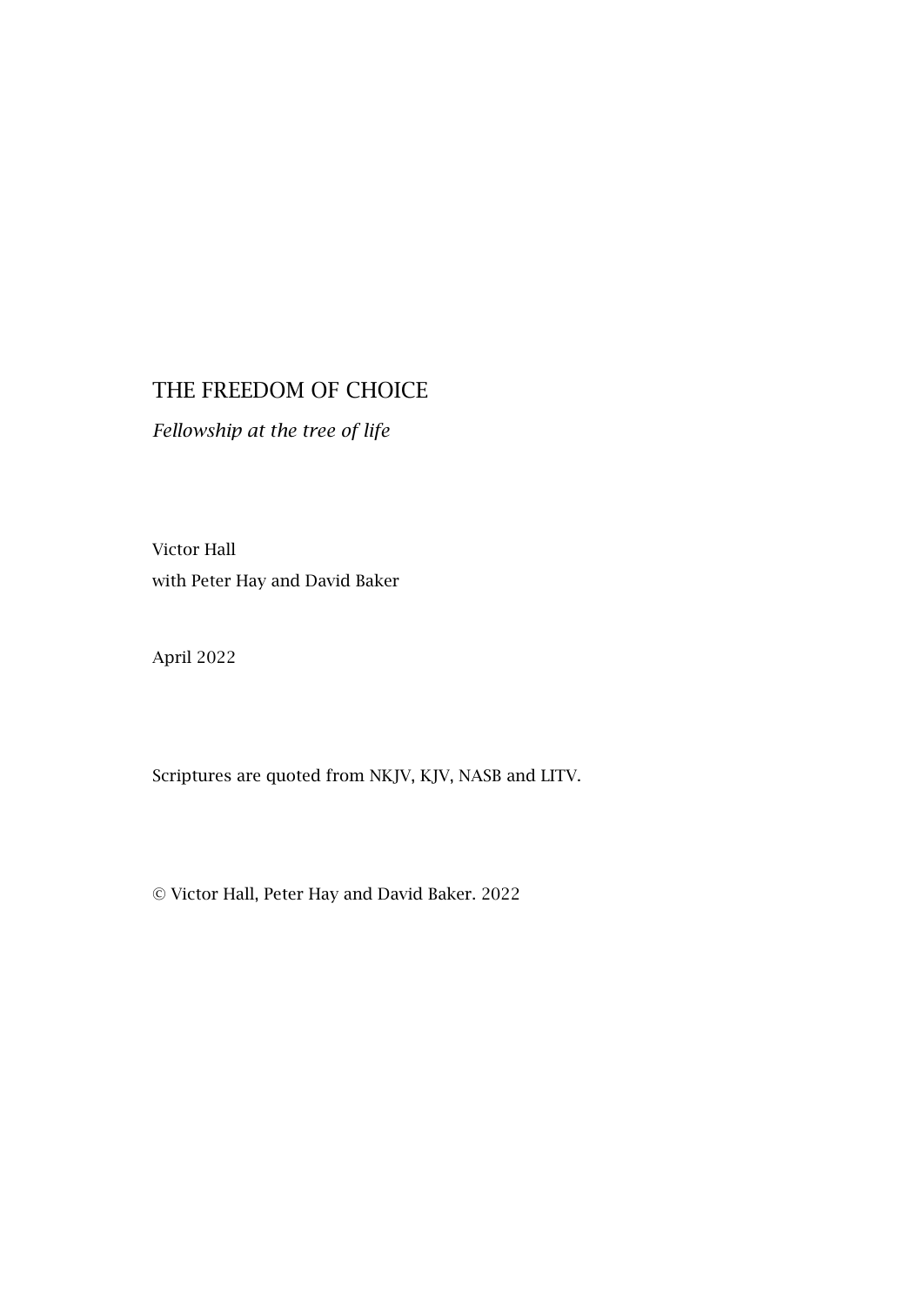#### THE FREEDOM OF CHOICE

*Fellowship at the tree of life*

Victor Hall with Peter Hay and David Baker

April 2022

Scriptures are quoted from NKJV, KJV, NASB and LITV.

© Victor Hall, Peter Hay and David Baker. 2022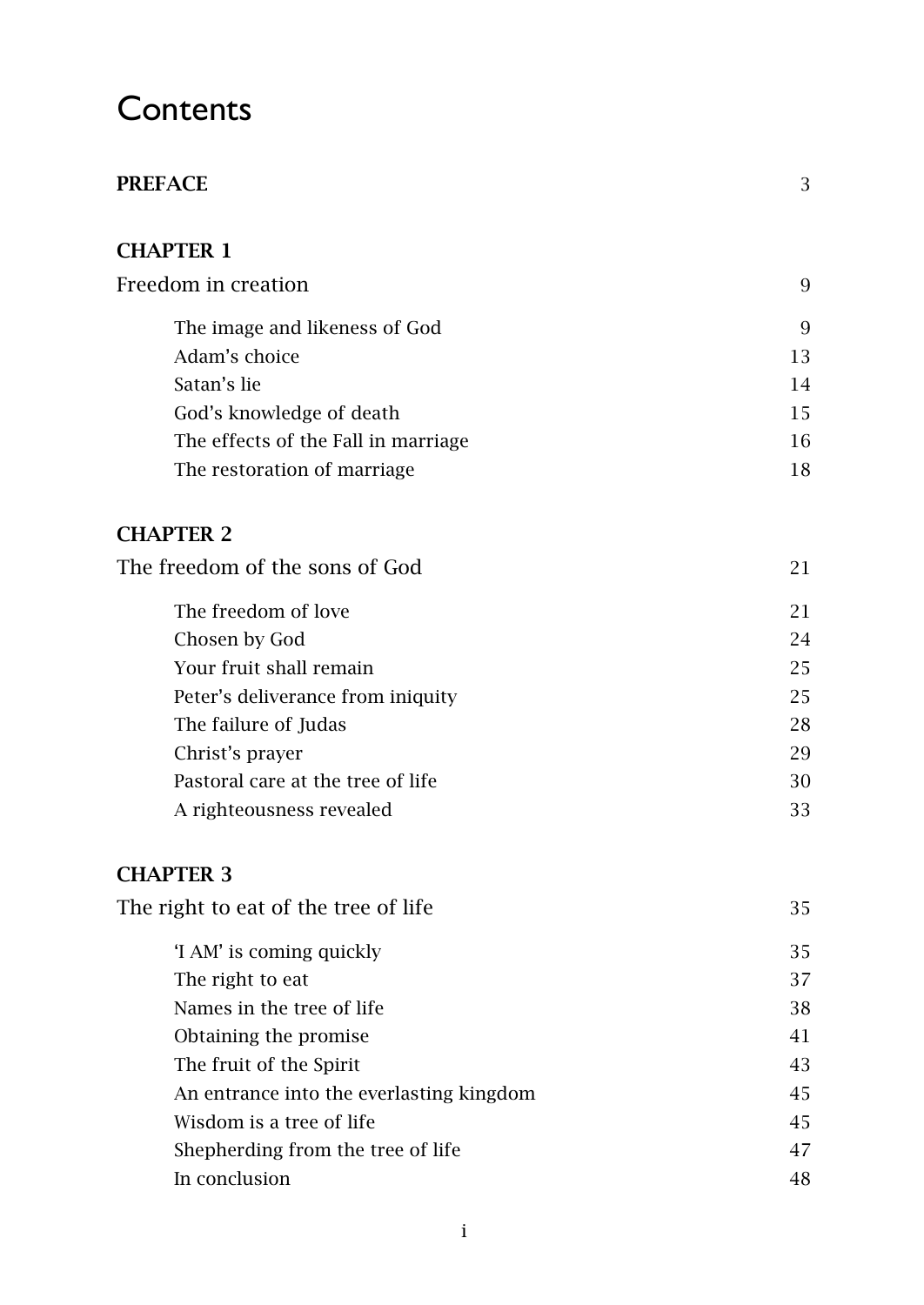# **Contents**

| PREFACE                                  | 3  |
|------------------------------------------|----|
| <b>CHAPTER 1</b>                         |    |
| Freedom in creation                      | 9  |
| The image and likeness of God            | 9  |
| Adam's choice                            | 13 |
| Satan's lie                              | 14 |
| God's knowledge of death                 | 15 |
| The effects of the Fall in marriage      | 16 |
| The restoration of marriage              | 18 |
| <b>CHAPTER 2</b>                         |    |
| The freedom of the sons of God           | 21 |
| The freedom of love                      | 21 |
| Chosen by God                            | 24 |
| Your fruit shall remain                  | 25 |
| Peter's deliverance from iniquity        | 25 |
| The failure of Judas                     | 28 |
| Christ's prayer                          | 29 |
| Pastoral care at the tree of life        | 30 |
| A righteousness revealed                 | 33 |
| <b>CHAPTER 3</b>                         |    |
| The right to eat of the tree of life     | 35 |
| 'I AM' is coming quickly                 | 35 |
| The right to eat                         | 37 |
| Names in the tree of life                | 38 |
| Obtaining the promise                    | 41 |
| The fruit of the Spirit                  | 43 |
| An entrance into the everlasting kingdom | 45 |
| Wisdom is a tree of life                 | 45 |
| Shepherding from the tree of life        | 47 |
| In conclusion                            | 48 |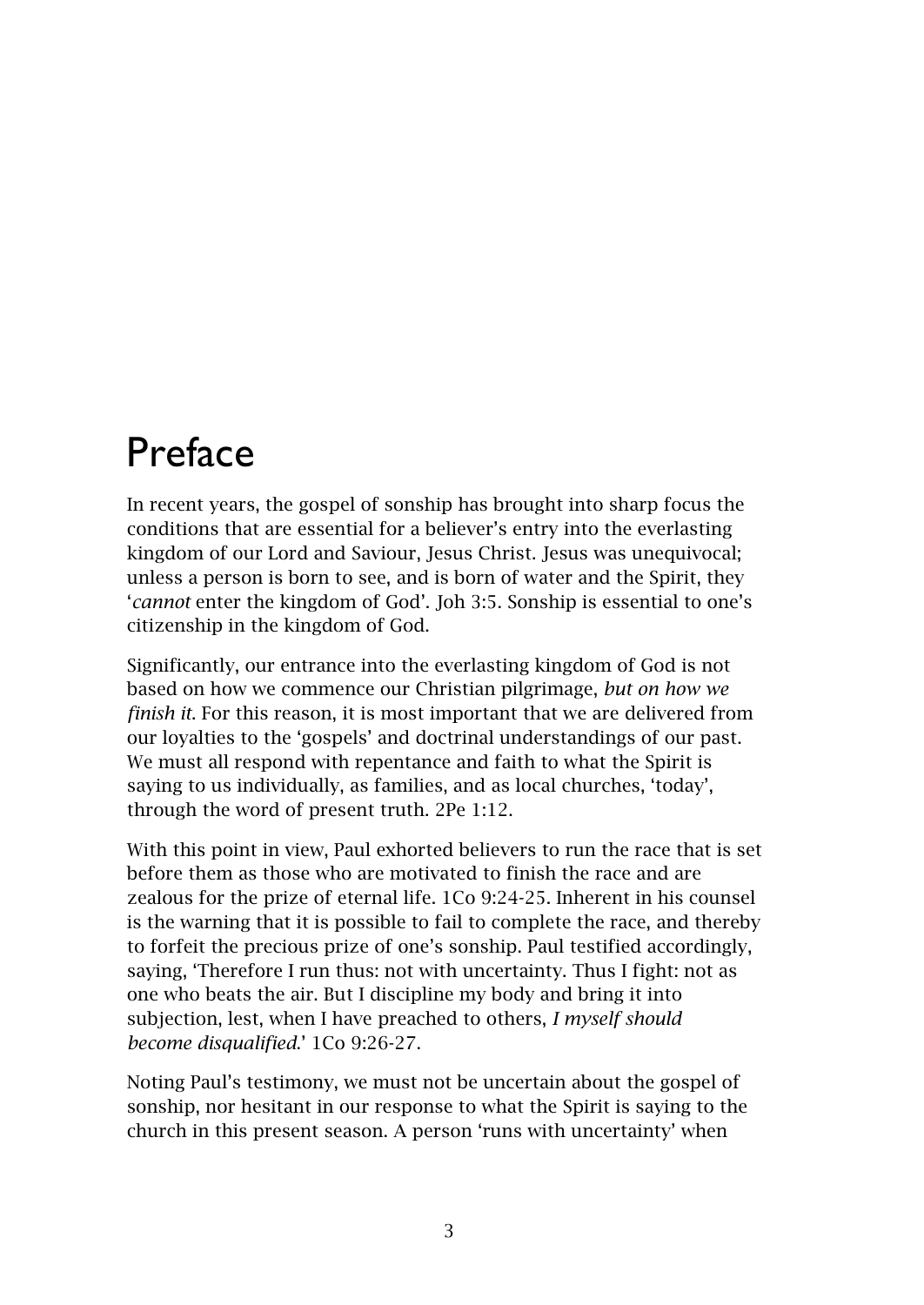# <span id="page-4-0"></span>Preface

In recent years, the gospel of sonship has brought into sharp focus the conditions that are essential for a believer's entry into the everlasting kingdom of our Lord and Saviour, Jesus Christ. Jesus was unequivocal; unless a person is born to see, and is born of water and the Spirit, they '*cannot* enter the kingdom of God'. Joh 3:5. Sonship is essential to one's citizenship in the kingdom of God.

Significantly, our entrance into the everlasting kingdom of God is not based on how we commence our Christian pilgrimage, *but on how we finish it*. For this reason, it is most important that we are delivered from our loyalties to the 'gospels' and doctrinal understandings of our past. We must all respond with repentance and faith to what the Spirit is saying to us individually, as families, and as local churches, 'today', through the word of present truth. 2Pe 1:12.

With this point in view, Paul exhorted believers to run the race that is set before them as those who are motivated to finish the race and are zealous for the prize of eternal life. 1Co 9:24-25. Inherent in his counsel is the warning that it is possible to fail to complete the race, and thereby to forfeit the precious prize of one's sonship. Paul testified accordingly, saying, 'Therefore I run thus: not with uncertainty. Thus I fight: not as one who beats the air. But I discipline my body and bring it into subjection, lest, when I have preached to others, *I myself should become disqualified*.' 1Co 9:26-27.

Noting Paul's testimony, we must not be uncertain about the gospel of sonship, nor hesitant in our response to what the Spirit is saying to the church in this present season. A person 'runs with uncertainty' when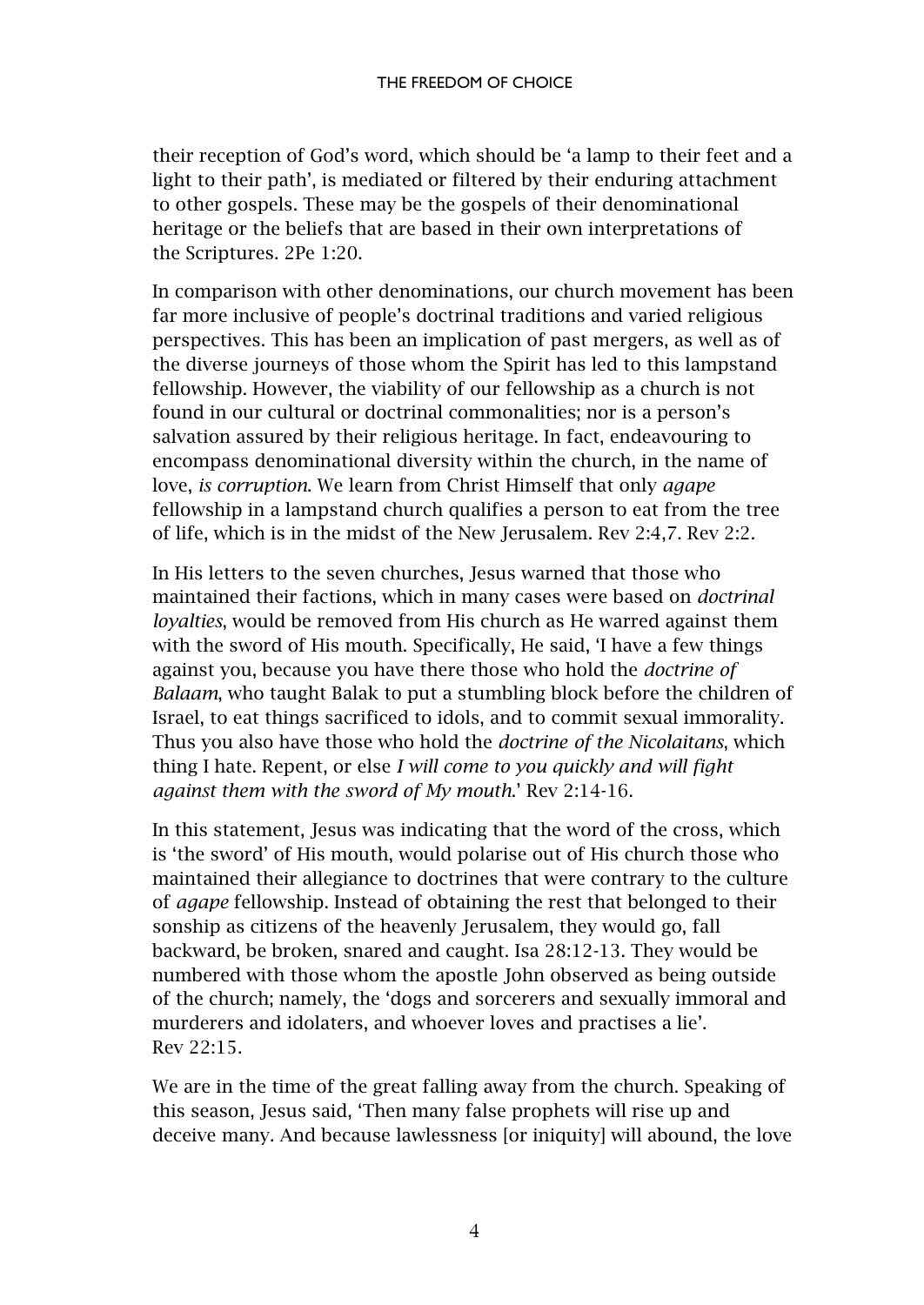their reception of God's word, which should be 'a lamp to their feet and a light to their path', is mediated or filtered by their enduring attachment to other gospels. These may be the gospels of their denominational heritage or the beliefs that are based in their own interpretations of the Scriptures. 2Pe 1:20.

In comparison with other denominations, our church movement has been far more inclusive of people's doctrinal traditions and varied religious perspectives. This has been an implication of past mergers, as well as of the diverse journeys of those whom the Spirit has led to this lampstand fellowship. However, the viability of our fellowship as a church is not found in our cultural or doctrinal commonalities; nor is a person's salvation assured by their religious heritage. In fact, endeavouring to encompass denominational diversity within the church, in the name of love, *is corruption*. We learn from Christ Himself that only *agape* fellowship in a lampstand church qualifies a person to eat from the tree of life, which is in the midst of the New Jerusalem. Rev 2:4,7. Rev 2:2.

In His letters to the seven churches, Jesus warned that those who maintained their factions, which in many cases were based on *doctrinal loyalties*, would be removed from His church as He warred against them with the sword of His mouth. Specifically, He said, 'I have a few things against you, because you have there those who hold the *doctrine of Balaam*, who taught Balak to put a stumbling block before the children of Israel, to eat things sacrificed to idols, and to commit sexual immorality. Thus you also have those who hold the *doctrine of the Nicolaitans*, which thing I hate. Repent, or else *I will come to you quickly and will fight against them with the sword of My mouth*.' Rev 2:14-16.

In this statement, Jesus was indicating that the word of the cross, which is 'the sword' of His mouth, would polarise out of His church those who maintained their allegiance to doctrines that were contrary to the culture of *agape* fellowship. Instead of obtaining the rest that belonged to their sonship as citizens of the heavenly Jerusalem, they would go, fall backward, be broken, snared and caught. Isa 28:12-13. They would be numbered with those whom the apostle John observed as being outside of the church; namely, the 'dogs and sorcerers and sexually immoral and murderers and idolaters, and whoever loves and practises a lie'. Rev 22:15.

We are in the time of the great falling away from the church. Speaking of this season, Jesus said, 'Then many false prophets will rise up and deceive many. And because lawlessness [or iniquity] will abound, the love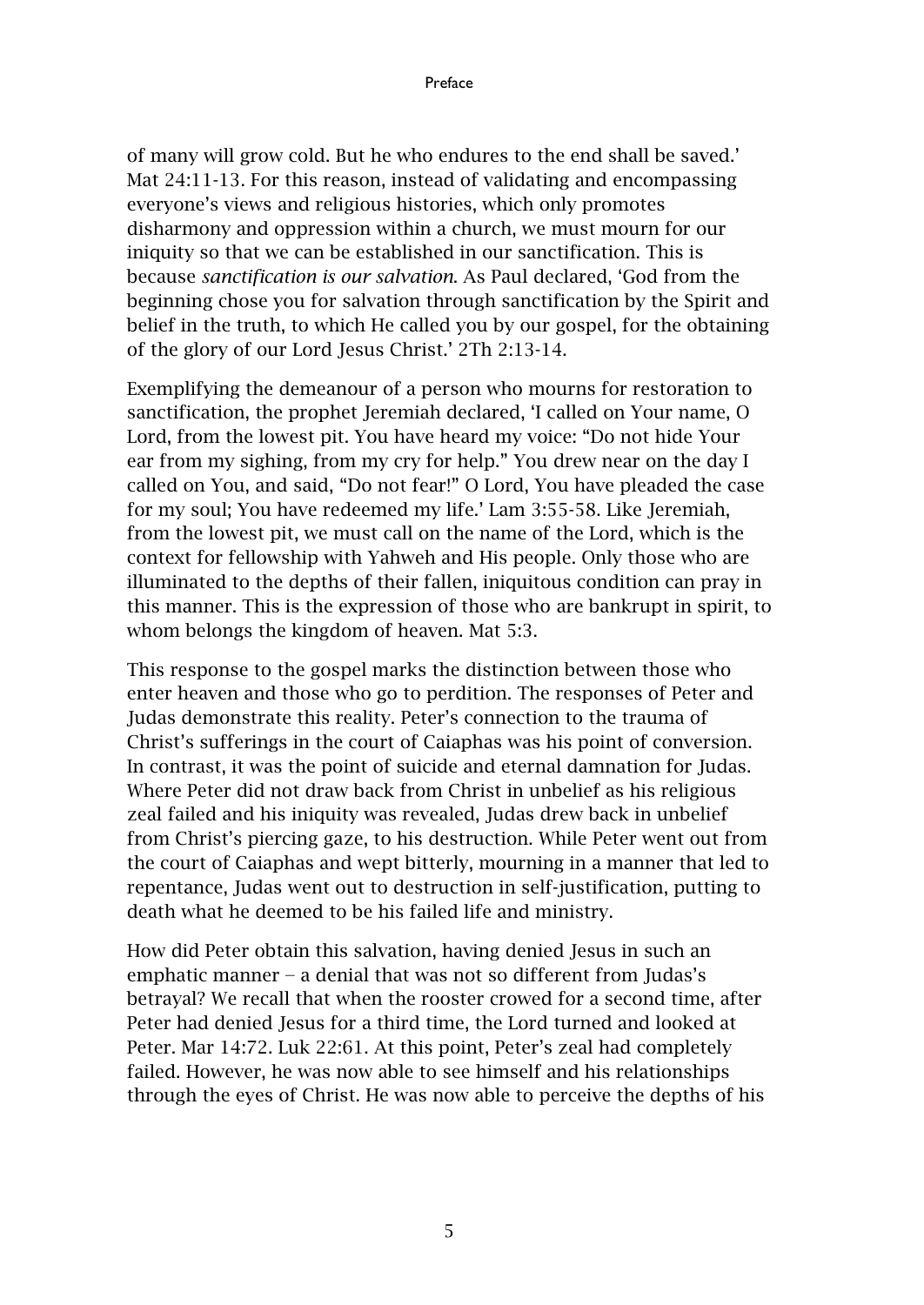of many will grow cold. But he who endures to the end shall be saved.' Mat 24:11-13. For this reason, instead of validating and encompassing everyone's views and religious histories, which only promotes disharmony and oppression within a church, we must mourn for our iniquity so that we can be established in our sanctification. This is because *sanctification is our salvation*. As Paul declared, 'God from the beginning chose you for salvation through sanctification by the Spirit and belief in the truth, to which He called you by our gospel, for the obtaining of the glory of our Lord Jesus Christ.' 2Th 2:13-14.

Exemplifying the demeanour of a person who mourns for restoration to sanctification, the prophet Jeremiah declared, 'I called on Your name, O Lord, from the lowest pit. You have heard my voice: "Do not hide Your ear from my sighing, from my cry for help." You drew near on the day I called on You, and said, "Do not fear!" O Lord, You have pleaded the case for my soul; You have redeemed my life.' Lam 3:55-58. Like Jeremiah, from the lowest pit, we must call on the name of the Lord, which is the context for fellowship with Yahweh and His people. Only those who are illuminated to the depths of their fallen, iniquitous condition can pray in this manner. This is the expression of those who are bankrupt in spirit, to whom belongs the kingdom of heaven. Mat 5:3.

This response to the gospel marks the distinction between those who enter heaven and those who go to perdition. The responses of Peter and Judas demonstrate this reality. Peter's connection to the trauma of Christ's sufferings in the court of Caiaphas was his point of conversion. In contrast, it was the point of suicide and eternal damnation for Judas. Where Peter did not draw back from Christ in unbelief as his religious zeal failed and his iniquity was revealed, Judas drew back in unbelief from Christ's piercing gaze, to his destruction. While Peter went out from the court of Caiaphas and wept bitterly, mourning in a manner that led to repentance, Judas went out to destruction in self-justification, putting to death what he deemed to be his failed life and ministry.

How did Peter obtain this salvation, having denied Jesus in such an emphatic manner − a denial that was not so different from Judas's betrayal? We recall that when the rooster crowed for a second time, after Peter had denied Jesus for a third time, the Lord turned and looked at Peter. Mar 14:72. Luk 22:61. At this point, Peter's zeal had completely failed. However, he was now able to see himself and his relationships through the eyes of Christ. He was now able to perceive the depths of his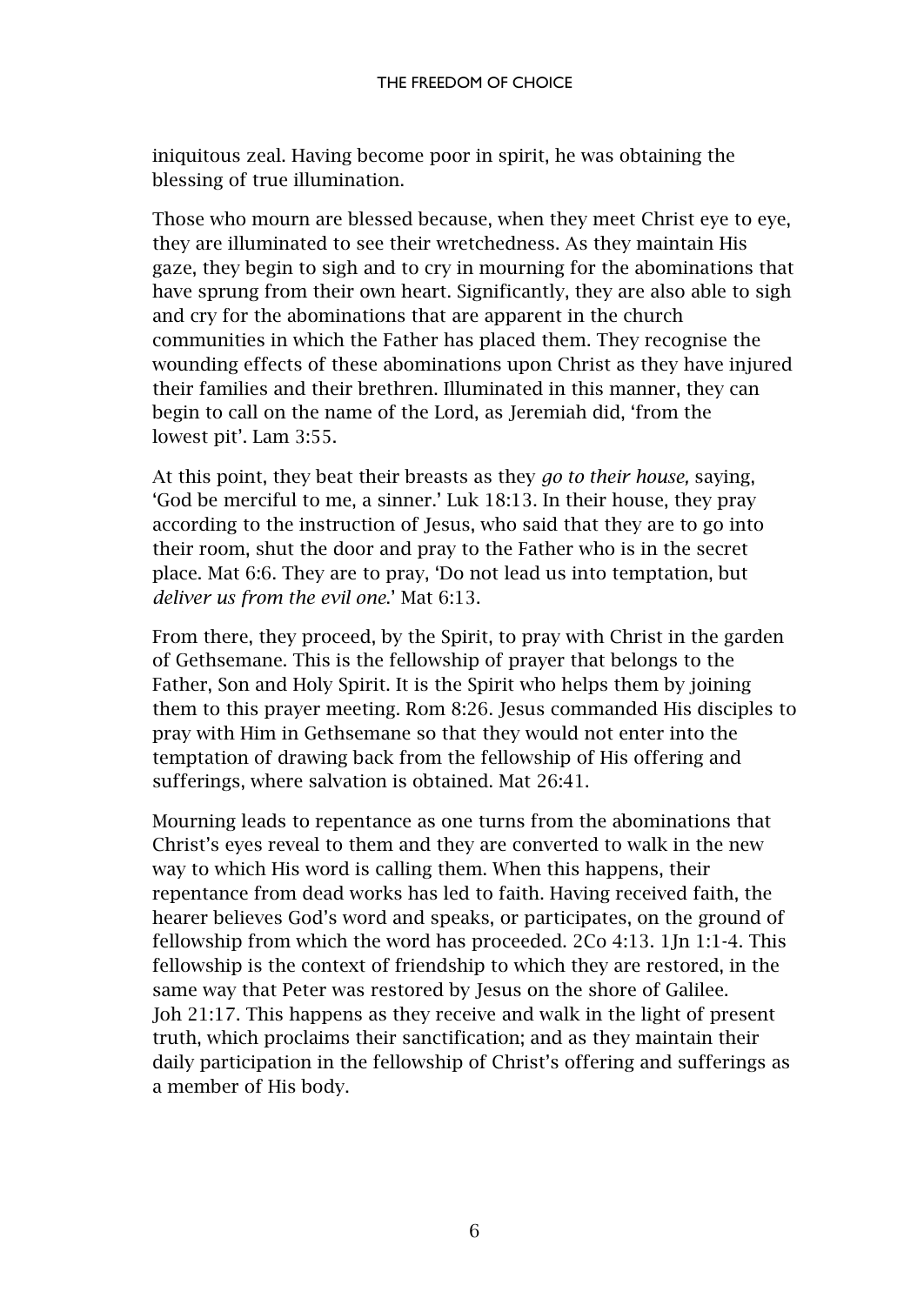iniquitous zeal. Having become poor in spirit, he was obtaining the blessing of true illumination.

Those who mourn are blessed because, when they meet Christ eye to eye, they are illuminated to see their wretchedness. As they maintain His gaze, they begin to sigh and to cry in mourning for the abominations that have sprung from their own heart. Significantly, they are also able to sigh and cry for the abominations that are apparent in the church communities in which the Father has placed them. They recognise the wounding effects of these abominations upon Christ as they have injured their families and their brethren. Illuminated in this manner, they can begin to call on the name of the Lord, as Jeremiah did, 'from the lowest pit'. Lam 3:55.

At this point, they beat their breasts as they *go to their house,* saying, 'God be merciful to me, a sinner.' Luk 18:13. In their house, they pray according to the instruction of Jesus, who said that they are to go into their room, shut the door and pray to the Father who is in the secret place. Mat 6:6. They are to pray, 'Do not lead us into temptation, but *deliver us from the evil one*.' Mat 6:13.

From there, they proceed, by the Spirit, to pray with Christ in the garden of Gethsemane. This is the fellowship of prayer that belongs to the Father, Son and Holy Spirit. It is the Spirit who helps them by joining them to this prayer meeting. Rom 8:26. Jesus commanded His disciples to pray with Him in Gethsemane so that they would not enter into the temptation of drawing back from the fellowship of His offering and sufferings, where salvation is obtained. Mat 26:41.

Mourning leads to repentance as one turns from the abominations that Christ's eyes reveal to them and they are converted to walk in the new way to which His word is calling them. When this happens, their repentance from dead works has led to faith. Having received faith, the hearer believes God's word and speaks, or participates, on the ground of fellowship from which the word has proceeded. 2Co 4:13. 1Jn 1:1-4. This fellowship is the context of friendship to which they are restored, in the same way that Peter was restored by Jesus on the shore of Galilee. Joh 21:17. This happens as they receive and walk in the light of present truth, which proclaims their sanctification; and as they maintain their daily participation in the fellowship of Christ's offering and sufferings as a member of His body.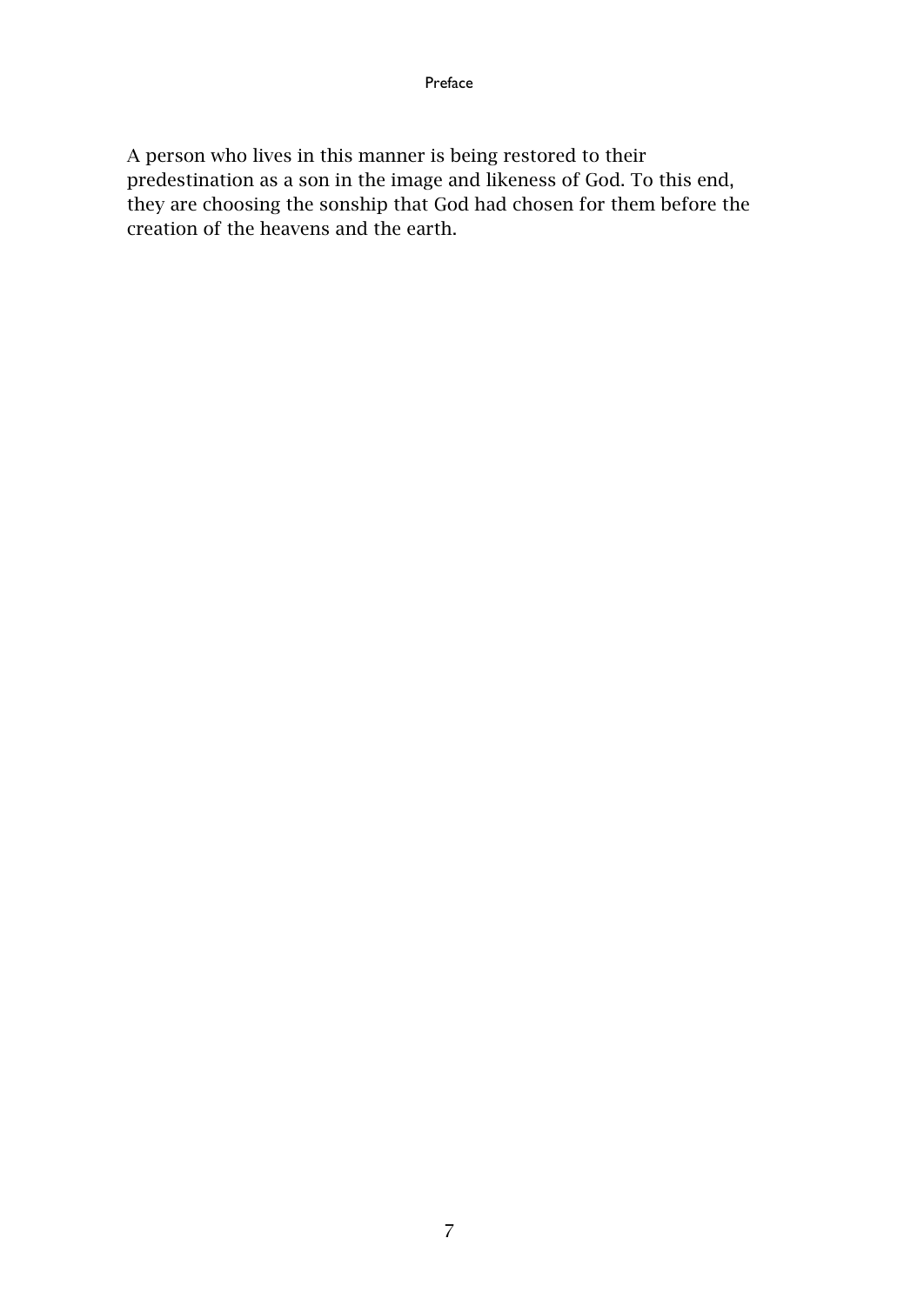A person who lives in this manner is being restored to their predestination as a son in the image and likeness of God. To this end, they are choosing the sonship that God had chosen for them before the creation of the heavens and the earth.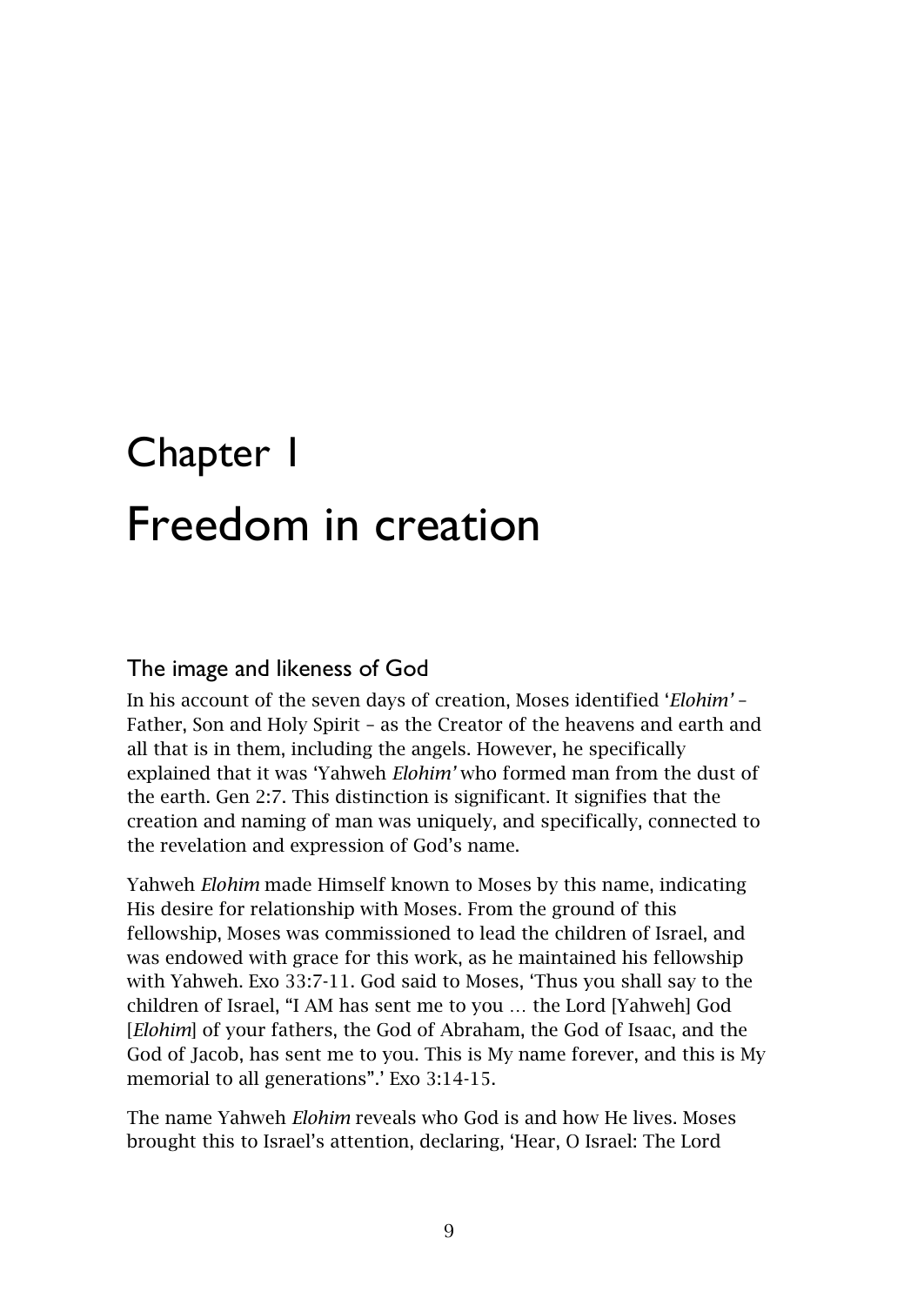# <span id="page-10-1"></span><span id="page-10-0"></span>Chapter 1 Freedom in creation

#### <span id="page-10-2"></span>The image and likeness of God

In his account of the seven days of creation, Moses identified '*Elohim'* – Father, Son and Holy Spirit – as the Creator of the heavens and earth and all that is in them, including the angels. However, he specifically explained that it was 'Yahweh *Elohim'* who formed man from the dust of the earth. Gen 2:7. This distinction is significant. It signifies that the creation and naming of man was uniquely, and specifically, connected to the revelation and expression of God's name.

Yahweh *Elohim* made Himself known to Moses by this name, indicating His desire for relationship with Moses. From the ground of this fellowship, Moses was commissioned to lead the children of Israel, and was endowed with grace for this work, as he maintained his fellowship with Yahweh. Exo 33:7-11. God said to Moses, 'Thus you shall say to the children of Israel, "I AM has sent me to you … the Lord [Yahweh] God [*Elohim*] of your fathers, the God of Abraham, the God of Isaac, and the God of Jacob, has sent me to you. This is My name forever, and this is My memorial to all generations".' Exo 3:14-15.

The name Yahweh *Elohim* reveals who God is and how He lives. Moses brought this to Israel's attention, declaring, 'Hear, O Israel: The Lord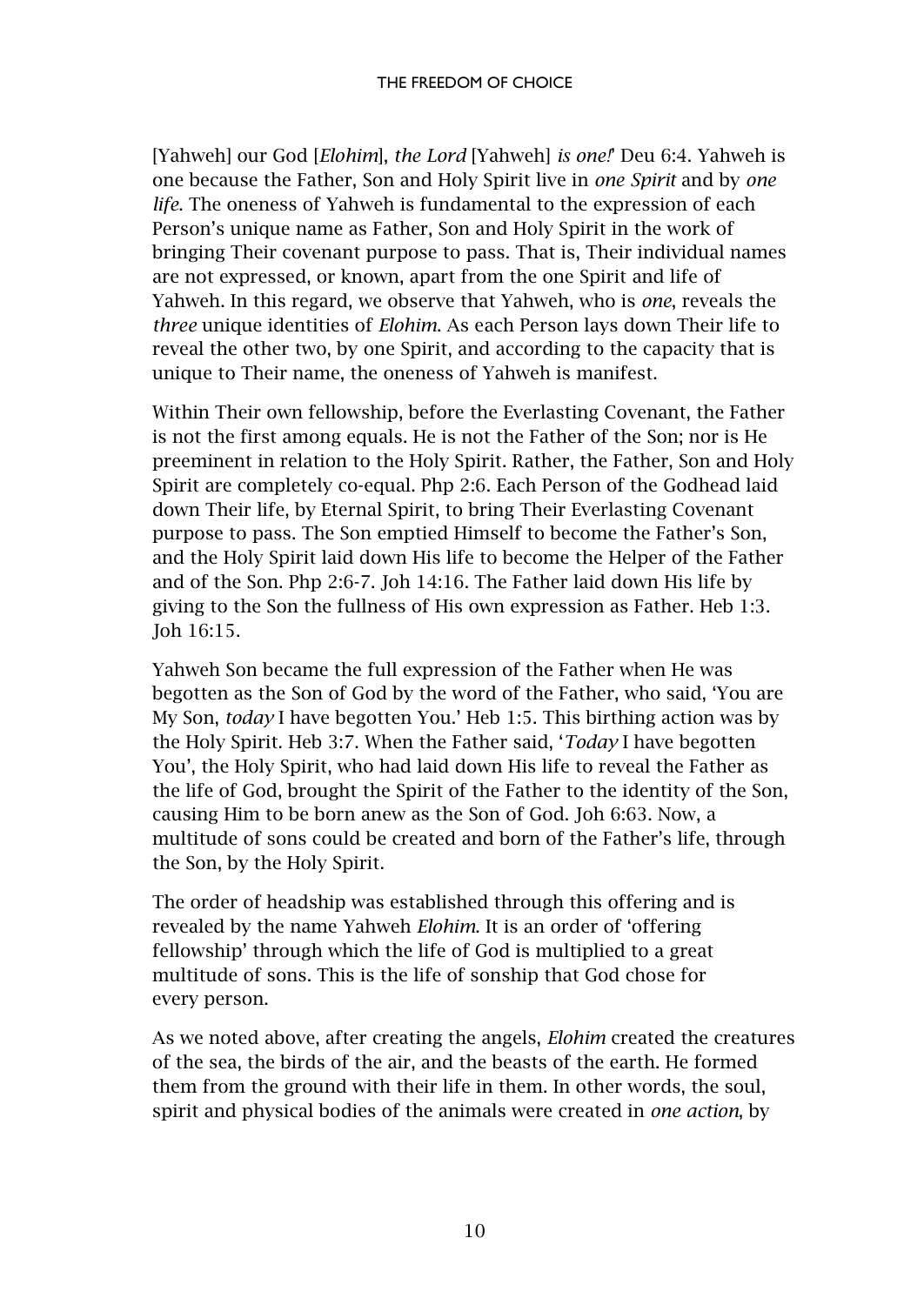[Yahweh] our God [*Elohim*], *the Lord* [Yahweh] *is one!*' Deu 6:4. Yahweh is one because the Father, Son and Holy Spirit live in *one Spirit* and by *one life*. The oneness of Yahweh is fundamental to the expression of each Person's unique name as Father, Son and Holy Spirit in the work of bringing Their covenant purpose to pass. That is, Their individual names are not expressed, or known, apart from the one Spirit and life of Yahweh. In this regard, we observe that Yahweh, who is *one*, reveals the *three* unique identities of *Elohim*. As each Person lays down Their life to reveal the other two, by one Spirit, and according to the capacity that is unique to Their name, the oneness of Yahweh is manifest.

Within Their own fellowship, before the Everlasting Covenant, the Father is not the first among equals. He is not the Father of the Son; nor is He preeminent in relation to the Holy Spirit. Rather, the Father, Son and Holy Spirit are completely co-equal. Php 2:6. Each Person of the Godhead laid down Their life, by Eternal Spirit, to bring Their Everlasting Covenant purpose to pass. The Son emptied Himself to become the Father's Son, and the Holy Spirit laid down His life to become the Helper of the Father and of the Son. Php 2:6-7. Joh 14:16. The Father laid down His life by giving to the Son the fullness of His own expression as Father. Heb 1:3. Joh 16:15.

Yahweh Son became the full expression of the Father when He was begotten as the Son of God by the word of the Father, who said, 'You are My Son, *today* I have begotten You.' Heb 1:5. This birthing action was by the Holy Spirit. Heb 3:7. When the Father said, '*Today* I have begotten You', the Holy Spirit, who had laid down His life to reveal the Father as the life of God, brought the Spirit of the Father to the identity of the Son, causing Him to be born anew as the Son of God. Joh 6:63. Now, a multitude of sons could be created and born of the Father's life, through the Son, by the Holy Spirit.

The order of headship was established through this offering and is revealed by the name Yahweh *Elohim*. It is an order of 'offering fellowship' through which the life of God is multiplied to a great multitude of sons. This is the life of sonship that God chose for every person.

As we noted above, after creating the angels, *Elohim* created the creatures of the sea, the birds of the air, and the beasts of the earth. He formed them from the ground with their life in them. In other words, the soul, spirit and physical bodies of the animals were created in *one action*, by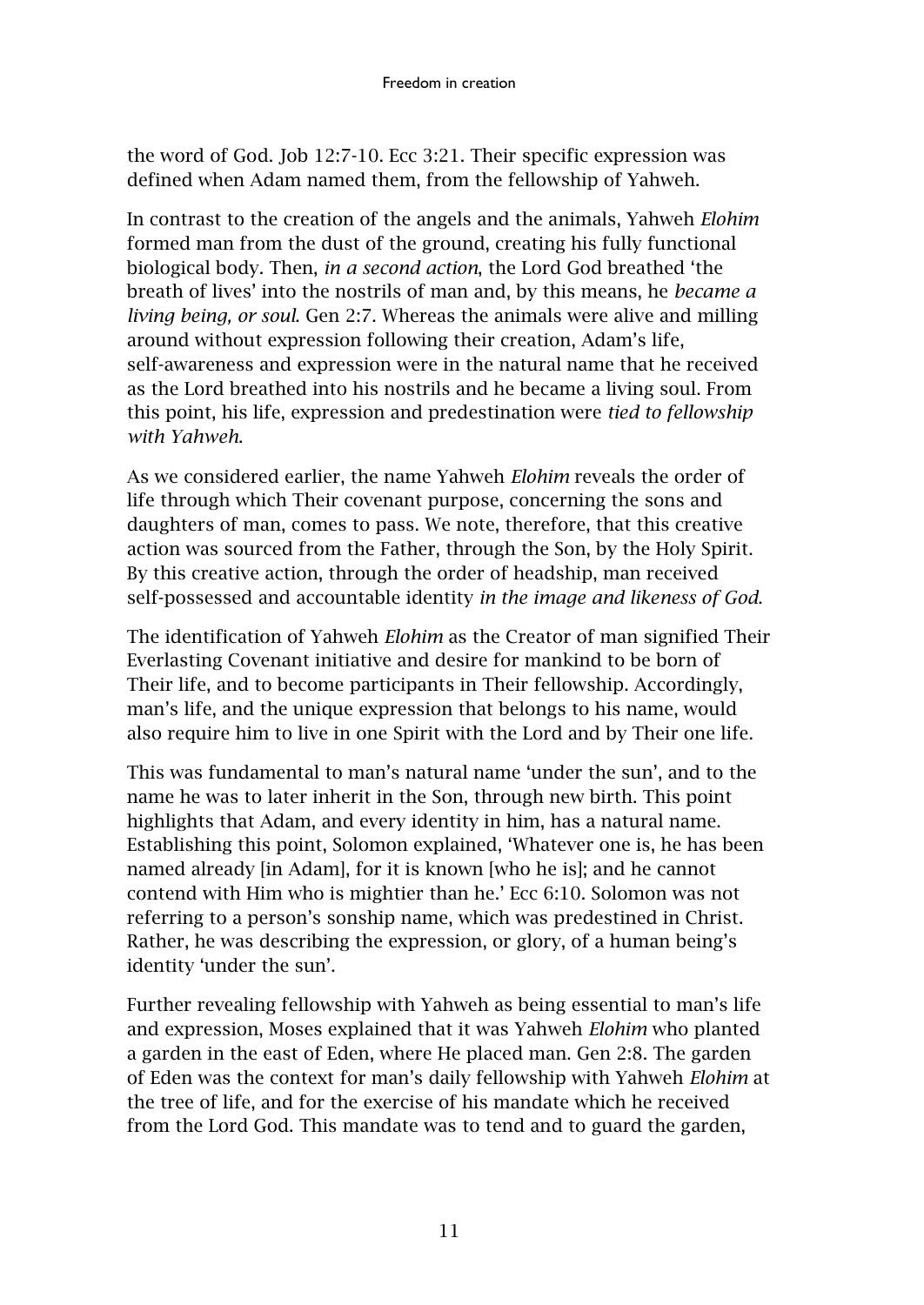the word of God. Job 12:7-10. Ecc 3:21. Their specific expression was defined when Adam named them, from the fellowship of Yahweh.

In contrast to the creation of the angels and the animals, Yahweh *Elohim* formed man from the dust of the ground, creating his fully functional biological body. Then, *in a second action*, the Lord God breathed 'the breath of lives' into the nostrils of man and, by this means, he *became a living being, or soul*. Gen 2:7. Whereas the animals were alive and milling around without expression following their creation, Adam's life, self-awareness and expression were in the natural name that he received as the Lord breathed into his nostrils and he became a living soul. From this point, his life, expression and predestination were *tied to fellowship with Yahweh*.

As we considered earlier, the name Yahweh *Elohim* reveals the order of life through which Their covenant purpose, concerning the sons and daughters of man, comes to pass. We note, therefore, that this creative action was sourced from the Father, through the Son, by the Holy Spirit. By this creative action, through the order of headship, man received self-possessed and accountable identity *in the image and likeness of God*.

The identification of Yahweh *Elohim* as the Creator of man signified Their Everlasting Covenant initiative and desire for mankind to be born of Their life, and to become participants in Their fellowship. Accordingly, man's life, and the unique expression that belongs to his name, would also require him to live in one Spirit with the Lord and by Their one life.

This was fundamental to man's natural name 'under the sun', and to the name he was to later inherit in the Son, through new birth. This point highlights that Adam, and every identity in him, has a natural name. Establishing this point, Solomon explained, 'Whatever one is, he has been named already [in Adam], for it is known [who he is]; and he cannot contend with Him who is mightier than he.' Ecc 6:10. Solomon was not referring to a person's sonship name, which was predestined in Christ. Rather, he was describing the expression, or glory, of a human being's identity 'under the sun'.

Further revealing fellowship with Yahweh as being essential to man's life and expression, Moses explained that it was Yahweh *Elohim* who planted a garden in the east of Eden, where He placed man. Gen 2:8. The garden of Eden was the context for man's daily fellowship with Yahweh *Elohim* at the tree of life, and for the exercise of his mandate which he received from the Lord God. This mandate was to tend and to guard the garden,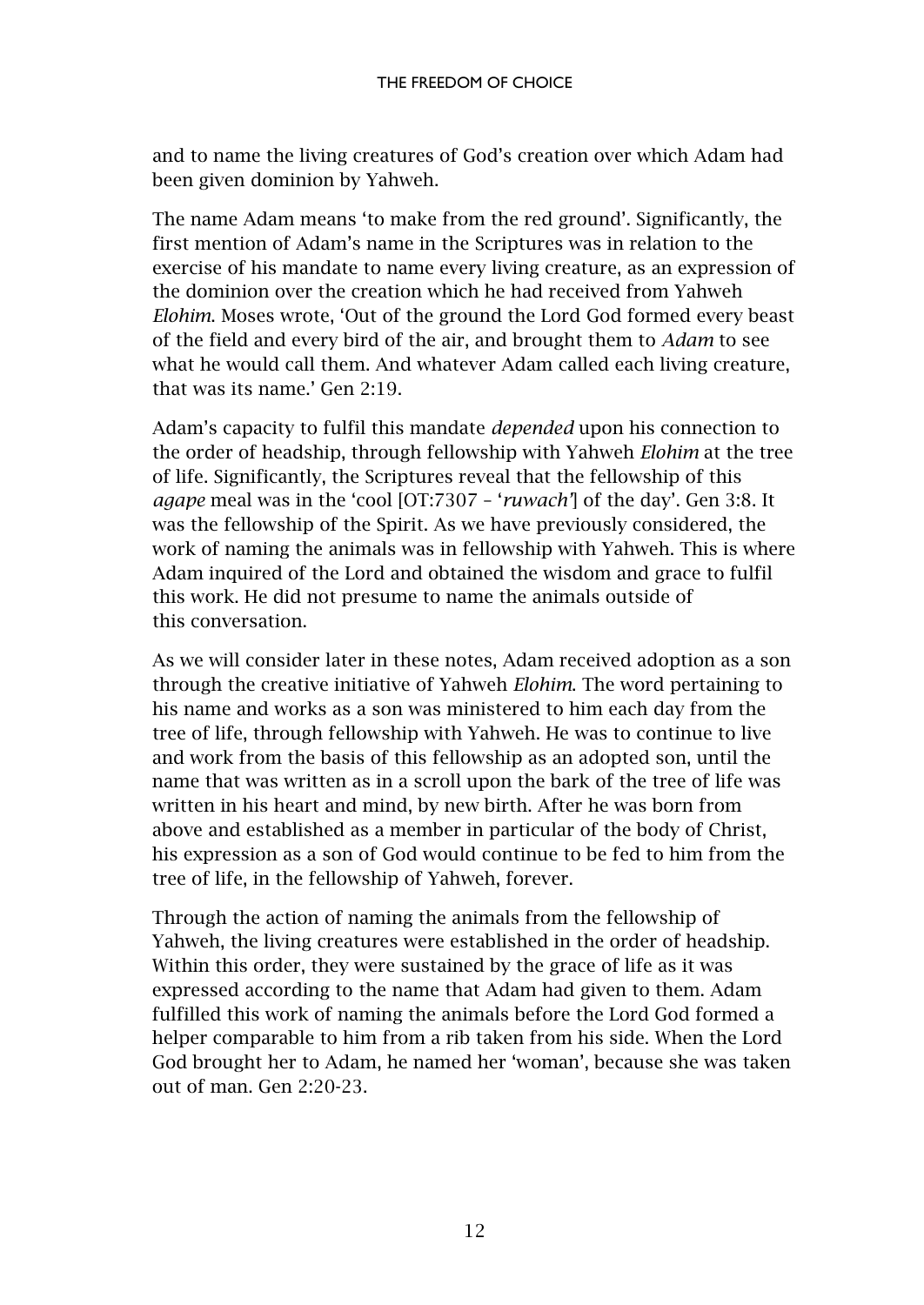and to name the living creatures of God's creation over which Adam had been given dominion by Yahweh.

The name Adam means 'to make from the red ground'. Significantly, the first mention of Adam's name in the Scriptures was in relation to the exercise of his mandate to name every living creature, as an expression of the dominion over the creation which he had received from Yahweh *Elohim*. Moses wrote, 'Out of the ground the Lord God formed every beast of the field and every bird of the air, and brought them to *Adam* to see what he would call them. And whatever Adam called each living creature, that was its name.' Gen 2:19.

Adam's capacity to fulfil this mandate *depended* upon his connection to the order of headship, through fellowship with Yahweh *Elohim* at the tree of life. Significantly, the Scriptures reveal that the fellowship of this *agape* meal was in the 'cool [OT:7307 – '*ruwach'*] of the day'. Gen 3:8. It was the fellowship of the Spirit. As we have previously considered, the work of naming the animals was in fellowship with Yahweh. This is where Adam inquired of the Lord and obtained the wisdom and grace to fulfil this work. He did not presume to name the animals outside of this conversation.

As we will consider later in these notes, Adam received adoption as a son through the creative initiative of Yahweh *Elohim*. The word pertaining to his name and works as a son was ministered to him each day from the tree of life, through fellowship with Yahweh. He was to continue to live and work from the basis of this fellowship as an adopted son, until the name that was written as in a scroll upon the bark of the tree of life was written in his heart and mind, by new birth. After he was born from above and established as a member in particular of the body of Christ, his expression as a son of God would continue to be fed to him from the tree of life, in the fellowship of Yahweh, forever.

Through the action of naming the animals from the fellowship of Yahweh, the living creatures were established in the order of headship. Within this order, they were sustained by the grace of life as it was expressed according to the name that Adam had given to them. Adam fulfilled this work of naming the animals before the Lord God formed a helper comparable to him from a rib taken from his side. When the Lord God brought her to Adam, he named her 'woman', because she was taken out of man. Gen 2:20-23.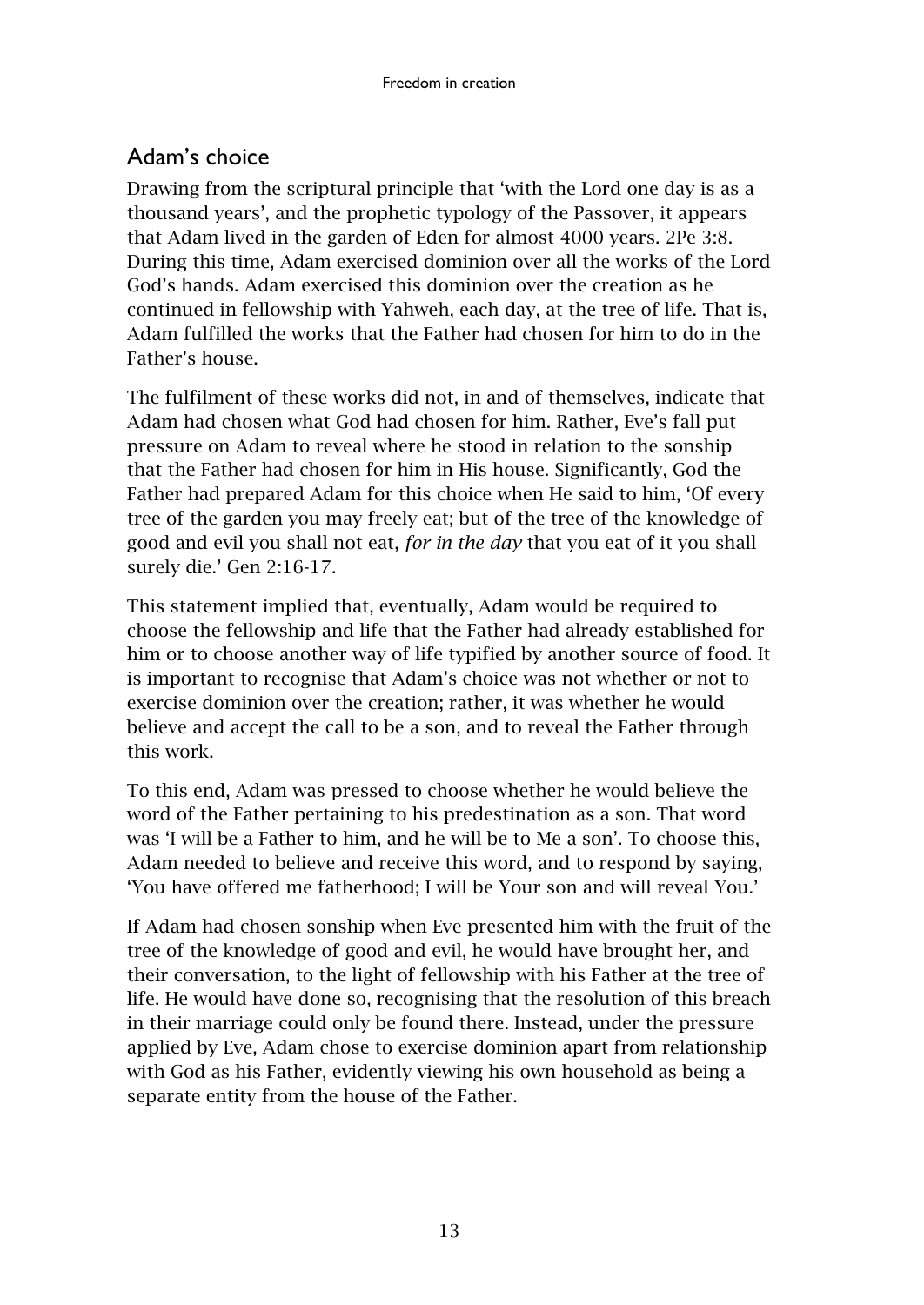# <span id="page-14-0"></span>Adam's choice

Drawing from the scriptural principle that 'with the Lord one day is as a thousand years', and the prophetic typology of the Passover, it appears that Adam lived in the garden of Eden for almost 4000 years. 2Pe 3:8. During this time, Adam exercised dominion over all the works of the Lord God's hands. Adam exercised this dominion over the creation as he continued in fellowship with Yahweh, each day, at the tree of life. That is, Adam fulfilled the works that the Father had chosen for him to do in the Father's house.

The fulfilment of these works did not, in and of themselves, indicate that Adam had chosen what God had chosen for him. Rather, Eve's fall put pressure on Adam to reveal where he stood in relation to the sonship that the Father had chosen for him in His house. Significantly, God the Father had prepared Adam for this choice when He said to him, 'Of every tree of the garden you may freely eat; but of the tree of the knowledge of good and evil you shall not eat, *for in the day* that you eat of it you shall surely die.' Gen 2:16-17.

This statement implied that, eventually, Adam would be required to choose the fellowship and life that the Father had already established for him or to choose another way of life typified by another source of food. It is important to recognise that Adam's choice was not whether or not to exercise dominion over the creation; rather, it was whether he would believe and accept the call to be a son, and to reveal the Father through this work.

To this end, Adam was pressed to choose whether he would believe the word of the Father pertaining to his predestination as a son. That word was 'I will be a Father to him, and he will be to Me a son'. To choose this, Adam needed to believe and receive this word, and to respond by saying, 'You have offered me fatherhood; I will be Your son and will reveal You.'

If Adam had chosen sonship when Eve presented him with the fruit of the tree of the knowledge of good and evil, he would have brought her, and their conversation, to the light of fellowship with his Father at the tree of life. He would have done so, recognising that the resolution of this breach in their marriage could only be found there. Instead, under the pressure applied by Eve, Adam chose to exercise dominion apart from relationship with God as his Father, evidently viewing his own household as being a separate entity from the house of the Father.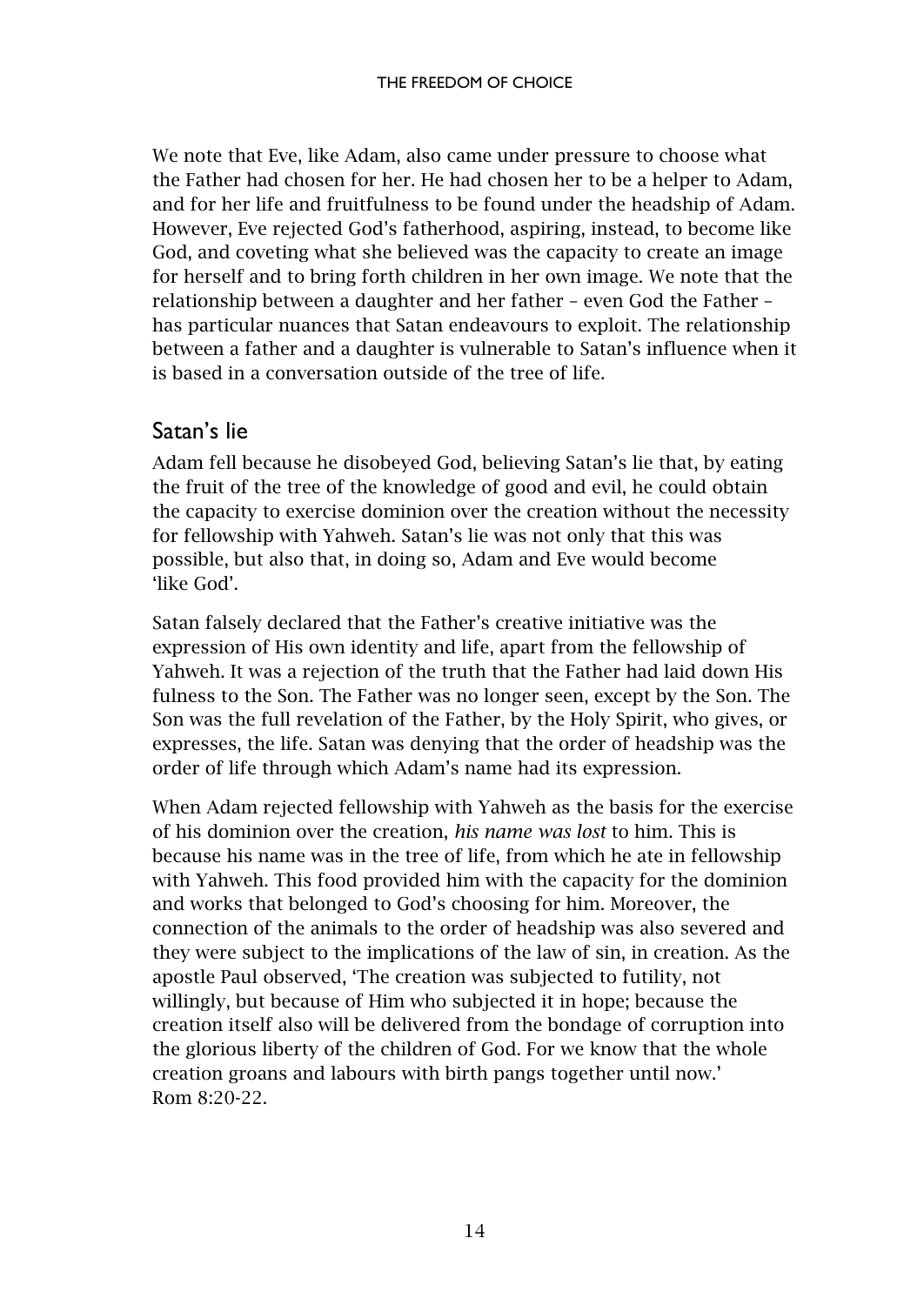We note that Eve, like Adam, also came under pressure to choose what the Father had chosen for her. He had chosen her to be a helper to Adam, and for her life and fruitfulness to be found under the headship of Adam. However, Eve rejected God's fatherhood, aspiring, instead, to become like God, and coveting what she believed was the capacity to create an image for herself and to bring forth children in her own image. We note that the relationship between a daughter and her father – even God the Father – has particular nuances that Satan endeavours to exploit. The relationship between a father and a daughter is vulnerable to Satan's influence when it is based in a conversation outside of the tree of life.

#### <span id="page-15-0"></span>Satan's lie

Adam fell because he disobeyed God, believing Satan's lie that, by eating the fruit of the tree of the knowledge of good and evil, he could obtain the capacity to exercise dominion over the creation without the necessity for fellowship with Yahweh. Satan's lie was not only that this was possible, but also that, in doing so, Adam and Eve would become 'like God'.

Satan falsely declared that the Father's creative initiative was the expression of His own identity and life, apart from the fellowship of Yahweh. It was a rejection of the truth that the Father had laid down His fulness to the Son. The Father was no longer seen, except by the Son. The Son was the full revelation of the Father, by the Holy Spirit, who gives, or expresses, the life. Satan was denying that the order of headship was the order of life through which Adam's name had its expression.

When Adam rejected fellowship with Yahweh as the basis for the exercise of his dominion over the creation, *his name was lost* to him. This is because his name was in the tree of life, from which he ate in fellowship with Yahweh. This food provided him with the capacity for the dominion and works that belonged to God's choosing for him. Moreover, the connection of the animals to the order of headship was also severed and they were subject to the implications of the law of sin, in creation. As the apostle Paul observed, 'The creation was subjected to futility, not willingly, but because of Him who subjected it in hope; because the creation itself also will be delivered from the bondage of corruption into the glorious liberty of the children of God. For we know that the whole creation groans and labours with birth pangs together until now.' Rom 8:20-22.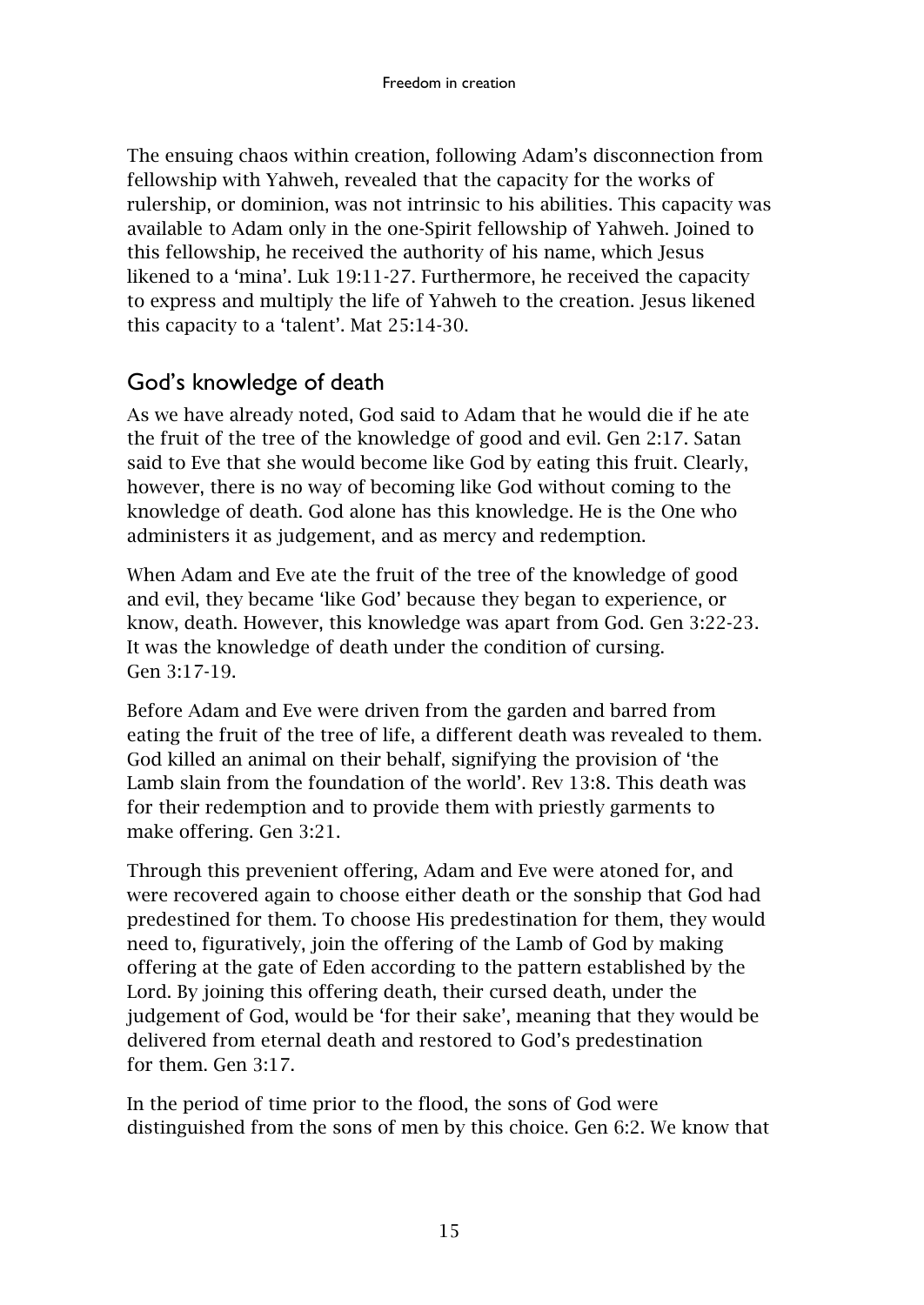The ensuing chaos within creation, following Adam's disconnection from fellowship with Yahweh, revealed that the capacity for the works of rulership, or dominion, was not intrinsic to his abilities. This capacity was available to Adam only in the one-Spirit fellowship of Yahweh. Joined to this fellowship, he received the authority of his name, which Jesus likened to a 'mina'. Luk 19:11-27. Furthermore, he received the capacity to express and multiply the life of Yahweh to the creation. Jesus likened this capacity to a 'talent'. Mat 25:14-30.

#### <span id="page-16-0"></span>God's knowledge of death

As we have already noted, God said to Adam that he would die if he ate the fruit of the tree of the knowledge of good and evil. Gen 2:17. Satan said to Eve that she would become like God by eating this fruit. Clearly, however, there is no way of becoming like God without coming to the knowledge of death. God alone has this knowledge. He is the One who administers it as judgement, and as mercy and redemption.

When Adam and Eve ate the fruit of the tree of the knowledge of good and evil, they became 'like God' because they began to experience, or know, death. However, this knowledge was apart from God. Gen 3:22-23. It was the knowledge of death under the condition of cursing. Gen 3:17-19.

Before Adam and Eve were driven from the garden and barred from eating the fruit of the tree of life, a different death was revealed to them. God killed an animal on their behalf, signifying the provision of 'the Lamb slain from the foundation of the world'. Rev 13:8. This death was for their redemption and to provide them with priestly garments to make offering. Gen 3:21.

Through this prevenient offering, Adam and Eve were atoned for, and were recovered again to choose either death or the sonship that God had predestined for them. To choose His predestination for them, they would need to, figuratively, join the offering of the Lamb of God by making offering at the gate of Eden according to the pattern established by the Lord. By joining this offering death, their cursed death, under the judgement of God, would be 'for their sake', meaning that they would be delivered from eternal death and restored to God's predestination for them. Gen 3:17.

In the period of time prior to the flood, the sons of God were distinguished from the sons of men by this choice. Gen 6:2. We know that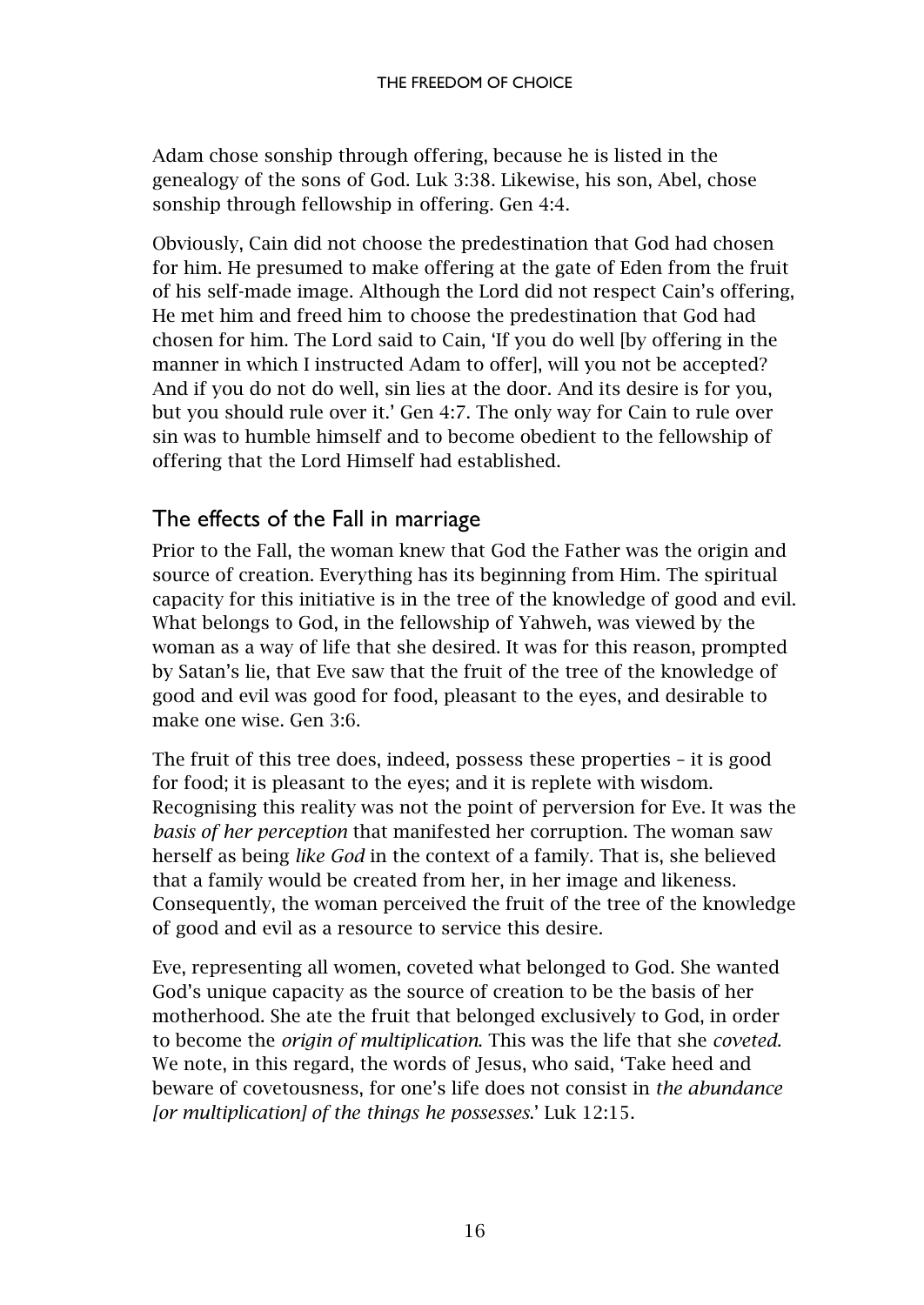Adam chose sonship through offering, because he is listed in the genealogy of the sons of God. Luk 3:38. Likewise, his son, Abel, chose sonship through fellowship in offering. Gen 4:4.

Obviously, Cain did not choose the predestination that God had chosen for him. He presumed to make offering at the gate of Eden from the fruit of his self-made image. Although the Lord did not respect Cain's offering, He met him and freed him to choose the predestination that God had chosen for him. The Lord said to Cain, 'If you do well [by offering in the manner in which I instructed Adam to offer], will you not be accepted? And if you do not do well, sin lies at the door. And its desire is for you, but you should rule over it.' Gen 4:7. The only way for Cain to rule over sin was to humble himself and to become obedient to the fellowship of offering that the Lord Himself had established.

# <span id="page-17-0"></span>The effects of the Fall in marriage

Prior to the Fall, the woman knew that God the Father was the origin and source of creation. Everything has its beginning from Him. The spiritual capacity for this initiative is in the tree of the knowledge of good and evil. What belongs to God, in the fellowship of Yahweh, was viewed by the woman as a way of life that she desired. It was for this reason, prompted by Satan's lie, that Eve saw that the fruit of the tree of the knowledge of good and evil was good for food, pleasant to the eyes, and desirable to make one wise. Gen 3:6.

The fruit of this tree does, indeed, possess these properties – it is good for food; it is pleasant to the eyes; and it is replete with wisdom. Recognising this reality was not the point of perversion for Eve. It was the *basis of her perception* that manifested her corruption. The woman saw herself as being *like God* in the context of a family. That is, she believed that a family would be created from her, in her image and likeness. Consequently, the woman perceived the fruit of the tree of the knowledge of good and evil as a resource to service this desire.

Eve, representing all women, coveted what belonged to God. She wanted God's unique capacity as the source of creation to be the basis of her motherhood. She ate the fruit that belonged exclusively to God, in order to become the *origin of multiplication*. This was the life that she *coveted*. We note, in this regard, the words of Jesus, who said, 'Take heed and beware of covetousness, for one's life does not consist in *the abundance [or multiplication] of the things he possesses*.' Luk 12:15.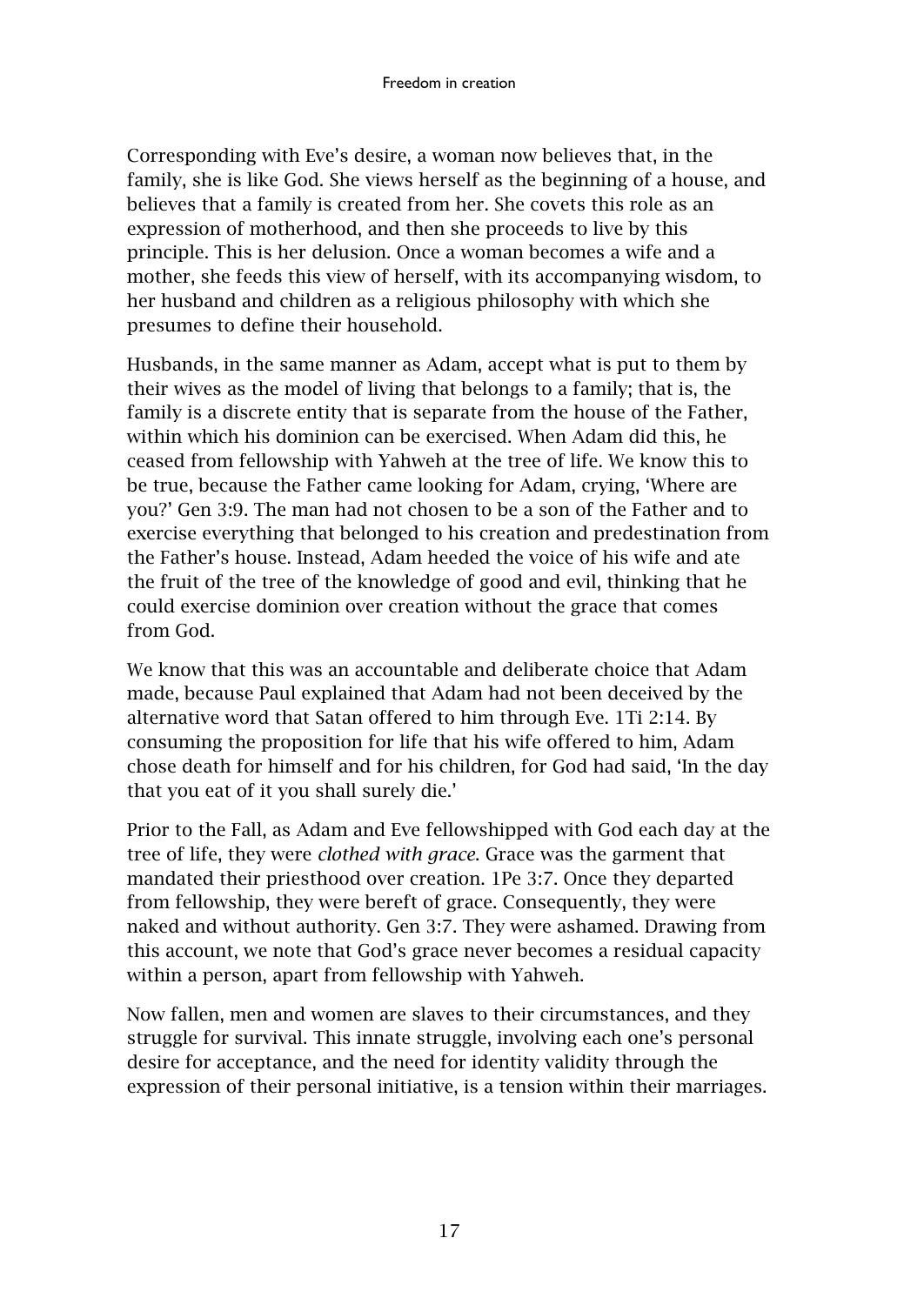Corresponding with Eve's desire, a woman now believes that, in the family, she is like God. She views herself as the beginning of a house, and believes that a family is created from her. She covets this role as an expression of motherhood, and then she proceeds to live by this principle. This is her delusion. Once a woman becomes a wife and a mother, she feeds this view of herself, with its accompanying wisdom, to her husband and children as a religious philosophy with which she presumes to define their household.

Husbands, in the same manner as Adam, accept what is put to them by their wives as the model of living that belongs to a family; that is, the family is a discrete entity that is separate from the house of the Father, within which his dominion can be exercised. When Adam did this, he ceased from fellowship with Yahweh at the tree of life. We know this to be true, because the Father came looking for Adam, crying, 'Where are you?' Gen 3:9. The man had not chosen to be a son of the Father and to exercise everything that belonged to his creation and predestination from the Father's house. Instead, Adam heeded the voice of his wife and ate the fruit of the tree of the knowledge of good and evil, thinking that he could exercise dominion over creation without the grace that comes from God.

We know that this was an accountable and deliberate choice that Adam made, because Paul explained that Adam had not been deceived by the alternative word that Satan offered to him through Eve. 1Ti 2:14. By consuming the proposition for life that his wife offered to him, Adam chose death for himself and for his children, for God had said, 'In the day that you eat of it you shall surely die.'

Prior to the Fall, as Adam and Eve fellowshipped with God each day at the tree of life, they were *clothed with grace*. Grace was the garment that mandated their priesthood over creation. 1Pe 3:7. Once they departed from fellowship, they were bereft of grace. Consequently, they were naked and without authority. Gen 3:7. They were ashamed. Drawing from this account, we note that God's grace never becomes a residual capacity within a person, apart from fellowship with Yahweh.

Now fallen, men and women are slaves to their circumstances, and they struggle for survival. This innate struggle, involving each one's personal desire for acceptance, and the need for identity validity through the expression of their personal initiative, is a tension within their marriages.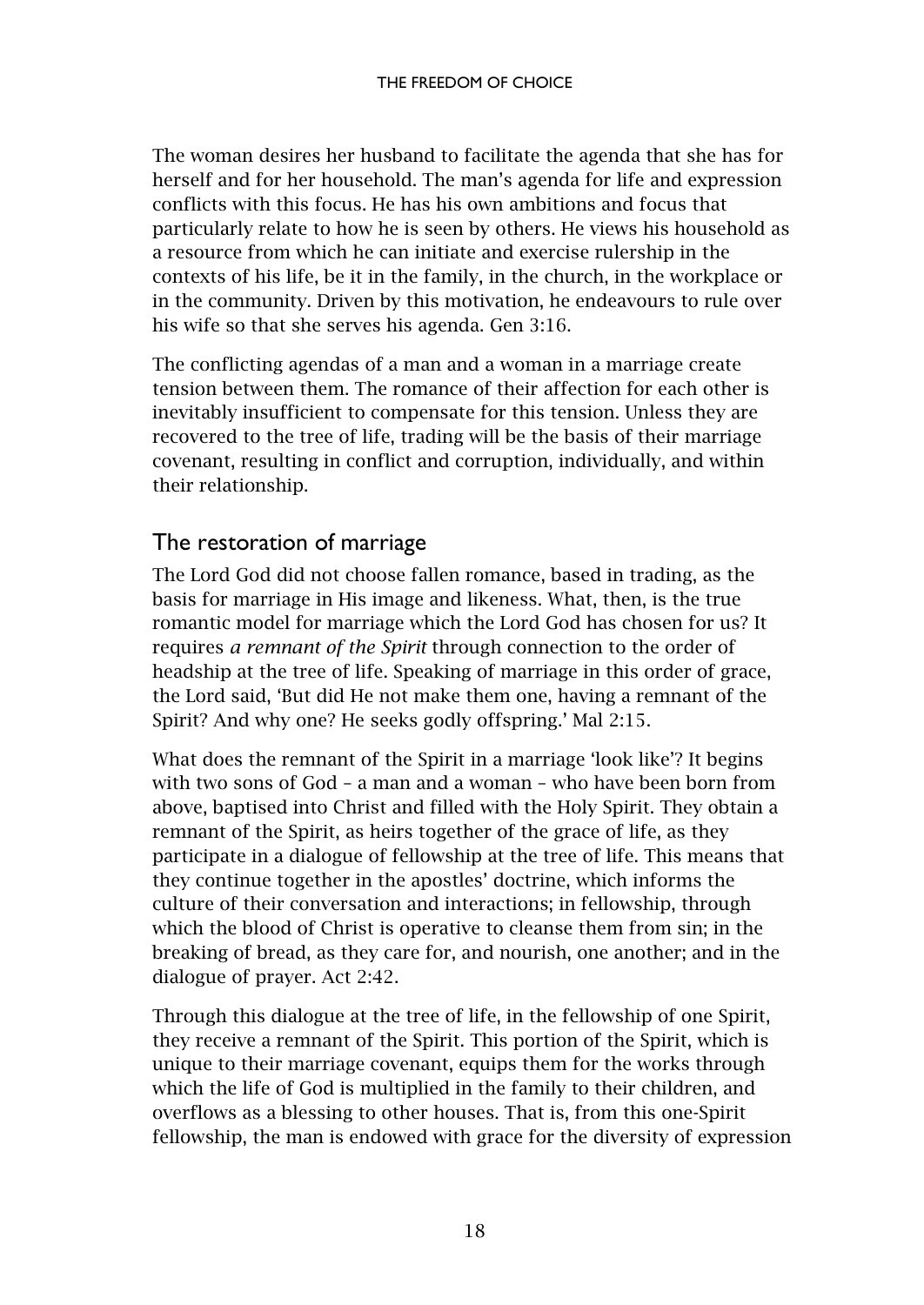The woman desires her husband to facilitate the agenda that she has for herself and for her household. The man's agenda for life and expression conflicts with this focus. He has his own ambitions and focus that particularly relate to how he is seen by others. He views his household as a resource from which he can initiate and exercise rulership in the contexts of his life, be it in the family, in the church, in the workplace or in the community. Driven by this motivation, he endeavours to rule over his wife so that she serves his agenda. Gen 3:16.

The conflicting agendas of a man and a woman in a marriage create tension between them. The romance of their affection for each other is inevitably insufficient to compensate for this tension. Unless they are recovered to the tree of life, trading will be the basis of their marriage covenant, resulting in conflict and corruption, individually, and within their relationship.

#### <span id="page-19-0"></span>The restoration of marriage

The Lord God did not choose fallen romance, based in trading, as the basis for marriage in His image and likeness. What, then, is the true romantic model for marriage which the Lord God has chosen for us? It requires *a remnant of the Spirit* through connection to the order of headship at the tree of life. Speaking of marriage in this order of grace, the Lord said, 'But did He not make them one, having a remnant of the Spirit? And why one? He seeks godly offspring.' Mal 2:15.

What does the remnant of the Spirit in a marriage 'look like'? It begins with two sons of God – a man and a woman – who have been born from above, baptised into Christ and filled with the Holy Spirit. They obtain a remnant of the Spirit, as heirs together of the grace of life, as they participate in a dialogue of fellowship at the tree of life. This means that they continue together in the apostles' doctrine, which informs the culture of their conversation and interactions; in fellowship, through which the blood of Christ is operative to cleanse them from sin; in the breaking of bread, as they care for, and nourish, one another; and in the dialogue of prayer. Act 2:42.

Through this dialogue at the tree of life, in the fellowship of one Spirit, they receive a remnant of the Spirit. This portion of the Spirit, which is unique to their marriage covenant, equips them for the works through which the life of God is multiplied in the family to their children, and overflows as a blessing to other houses. That is, from this one-Spirit fellowship, the man is endowed with grace for the diversity of expression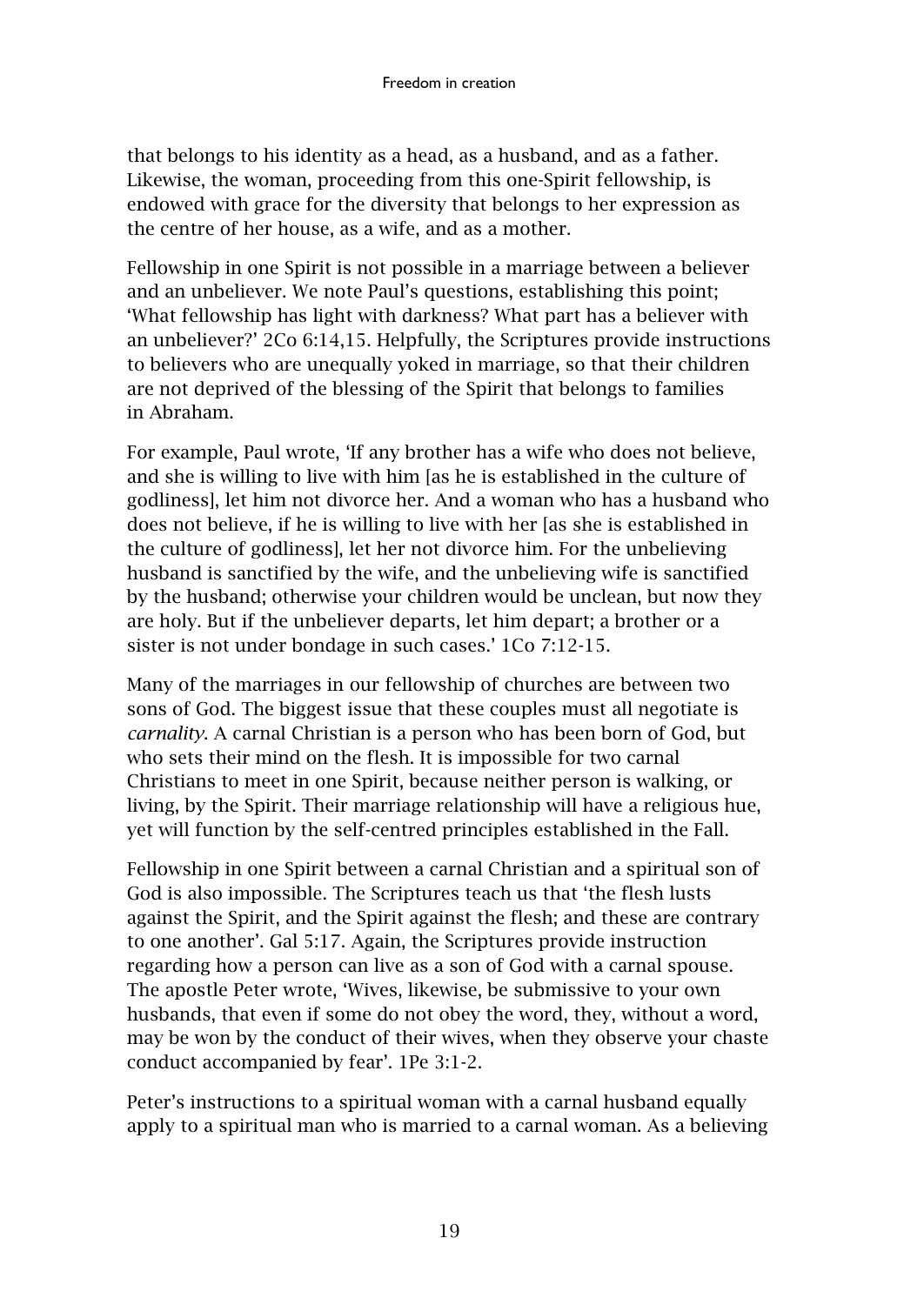that belongs to his identity as a head, as a husband, and as a father. Likewise, the woman, proceeding from this one-Spirit fellowship, is endowed with grace for the diversity that belongs to her expression as the centre of her house, as a wife, and as a mother.

Fellowship in one Spirit is not possible in a marriage between a believer and an unbeliever. We note Paul's questions, establishing this point; 'What fellowship has light with darkness? What part has a believer with an unbeliever?' 2Co 6:14,15. Helpfully, the Scriptures provide instructions to believers who are unequally yoked in marriage, so that their children are not deprived of the blessing of the Spirit that belongs to families in Abraham.

For example, Paul wrote, 'If any brother has a wife who does not believe, and she is willing to live with him [as he is established in the culture of godliness], let him not divorce her. And a woman who has a husband who does not believe, if he is willing to live with her [as she is established in the culture of godliness], let her not divorce him. For the unbelieving husband is sanctified by the wife, and the unbelieving wife is sanctified by the husband; otherwise your children would be unclean, but now they are holy. But if the unbeliever departs, let him depart; a brother or a sister is not under bondage in such cases.' 1Co 7:12-15.

Many of the marriages in our fellowship of churches are between two sons of God. The biggest issue that these couples must all negotiate is *carnality*. A carnal Christian is a person who has been born of God, but who sets their mind on the flesh. It is impossible for two carnal Christians to meet in one Spirit, because neither person is walking, or living, by the Spirit. Their marriage relationship will have a religious hue, yet will function by the self-centred principles established in the Fall.

Fellowship in one Spirit between a carnal Christian and a spiritual son of God is also impossible. The Scriptures teach us that 'the flesh lusts against the Spirit, and the Spirit against the flesh; and these are contrary to one another'. Gal 5:17. Again, the Scriptures provide instruction regarding how a person can live as a son of God with a carnal spouse. The apostle Peter wrote, 'Wives, likewise, be submissive to your own husbands, that even if some do not obey the word, they, without a word, may be won by the conduct of their wives, when they observe your chaste conduct accompanied by fear'. 1Pe 3:1-2.

Peter's instructions to a spiritual woman with a carnal husband equally apply to a spiritual man who is married to a carnal woman. As a believing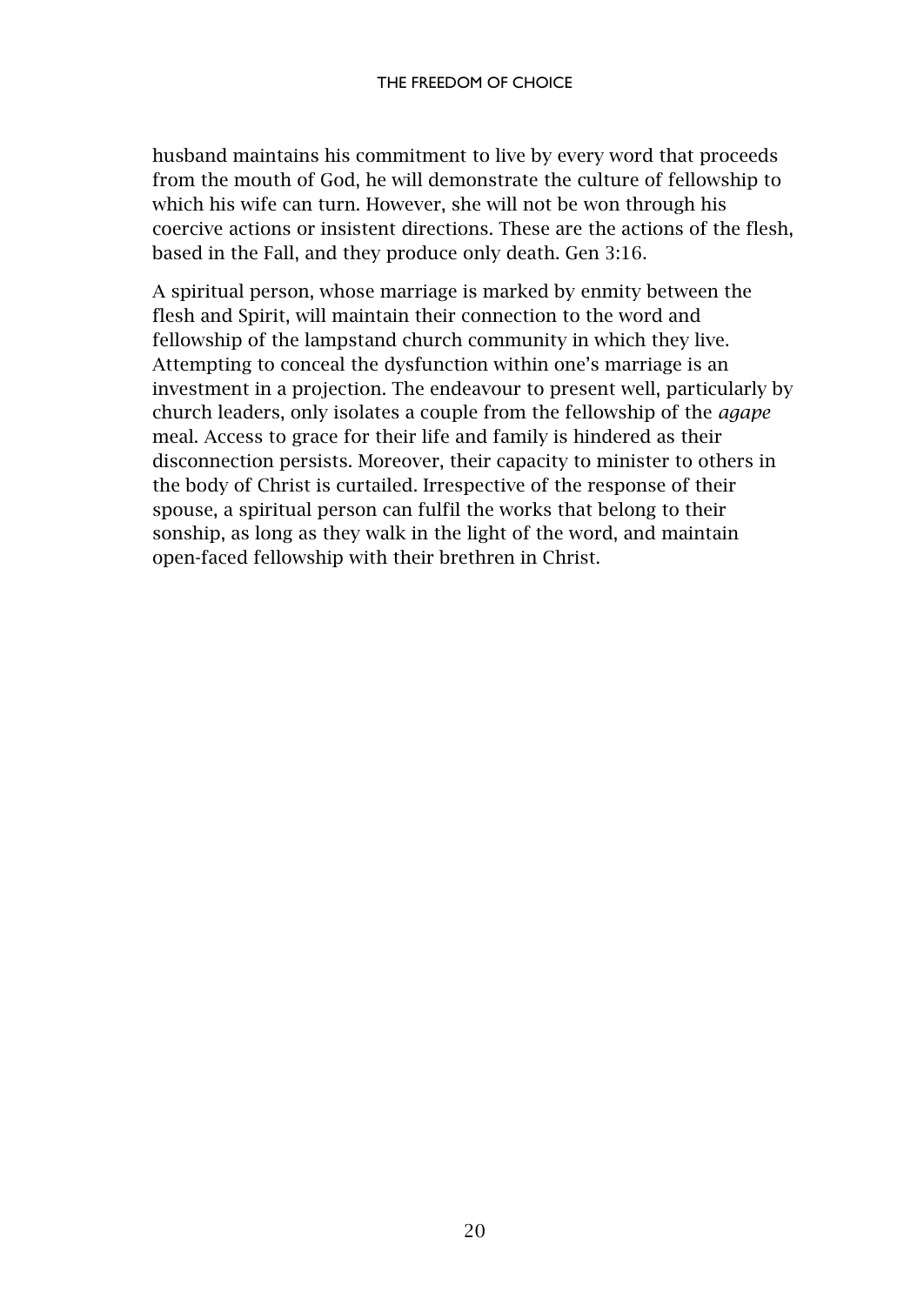husband maintains his commitment to live by every word that proceeds from the mouth of God, he will demonstrate the culture of fellowship to which his wife can turn. However, she will not be won through his coercive actions or insistent directions. These are the actions of the flesh, based in the Fall, and they produce only death. Gen 3:16.

A spiritual person, whose marriage is marked by enmity between the flesh and Spirit, will maintain their connection to the word and fellowship of the lampstand church community in which they live. Attempting to conceal the dysfunction within one's marriage is an investment in a projection. The endeavour to present well, particularly by church leaders, only isolates a couple from the fellowship of the *agape* meal. Access to grace for their life and family is hindered as their disconnection persists. Moreover, their capacity to minister to others in the body of Christ is curtailed. Irrespective of the response of their spouse, a spiritual person can fulfil the works that belong to their sonship, as long as they walk in the light of the word, and maintain open-faced fellowship with their brethren in Christ.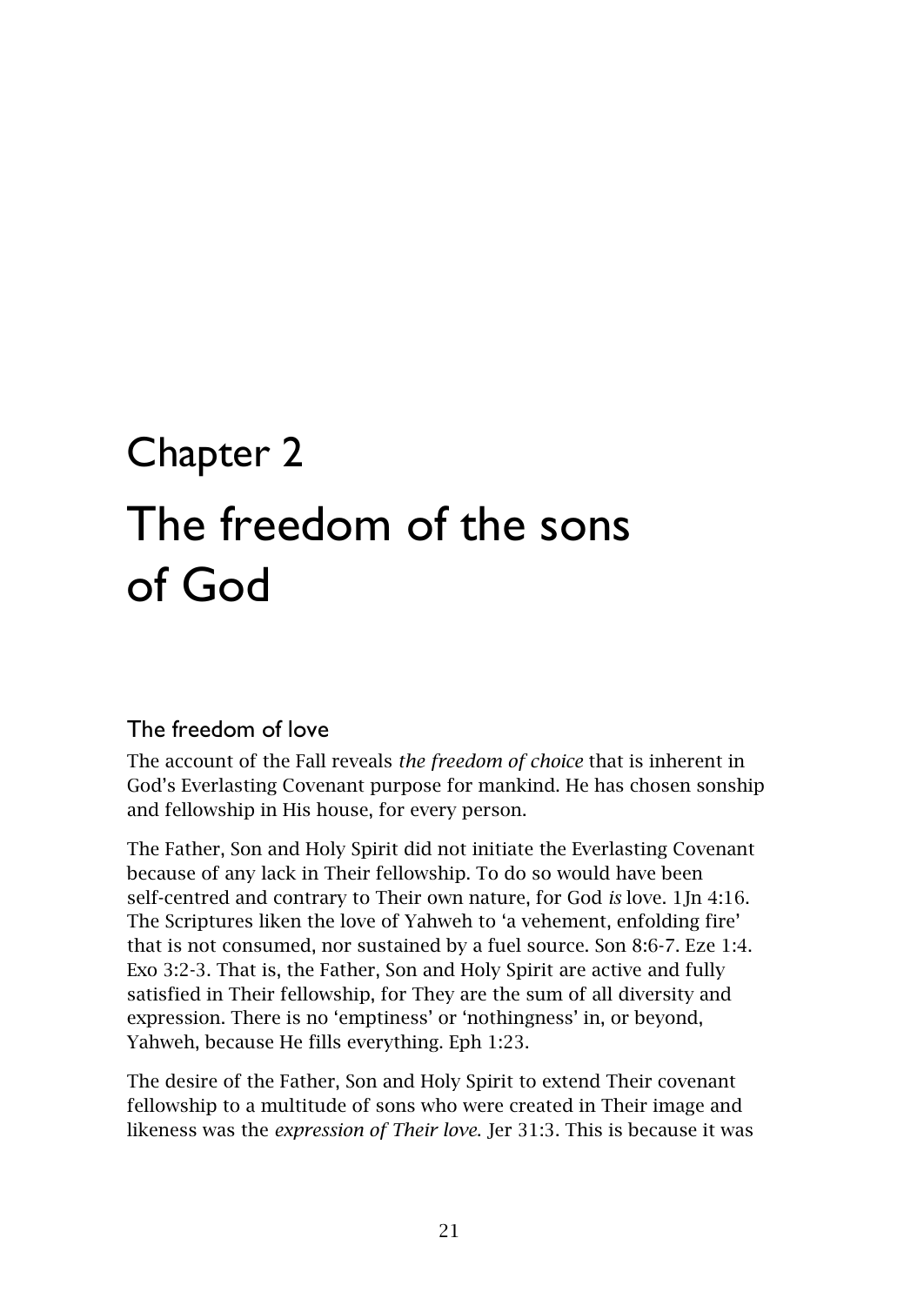# <span id="page-22-1"></span><span id="page-22-0"></span>Chapter 2 The freedom of the sons of God

# <span id="page-22-2"></span>The freedom of love

The account of the Fall reveals *the freedom of choice* that is inherent in God's Everlasting Covenant purpose for mankind. He has chosen sonship and fellowship in His house, for every person.

The Father, Son and Holy Spirit did not initiate the Everlasting Covenant because of any lack in Their fellowship. To do so would have been self-centred and contrary to Their own nature, for God *is* love. 1Jn 4:16. The Scriptures liken the love of Yahweh to 'a vehement, enfolding fire' that is not consumed, nor sustained by a fuel source. Son 8:6-7. Eze 1:4. Exo 3:2-3. That is, the Father, Son and Holy Spirit are active and fully satisfied in Their fellowship, for They are the sum of all diversity and expression. There is no 'emptiness' or 'nothingness' in, or beyond, Yahweh, because He fills everything. Eph 1:23.

The desire of the Father, Son and Holy Spirit to extend Their covenant fellowship to a multitude of sons who were created in Their image and likeness was the *expression of Their love*. Jer 31:3. This is because it was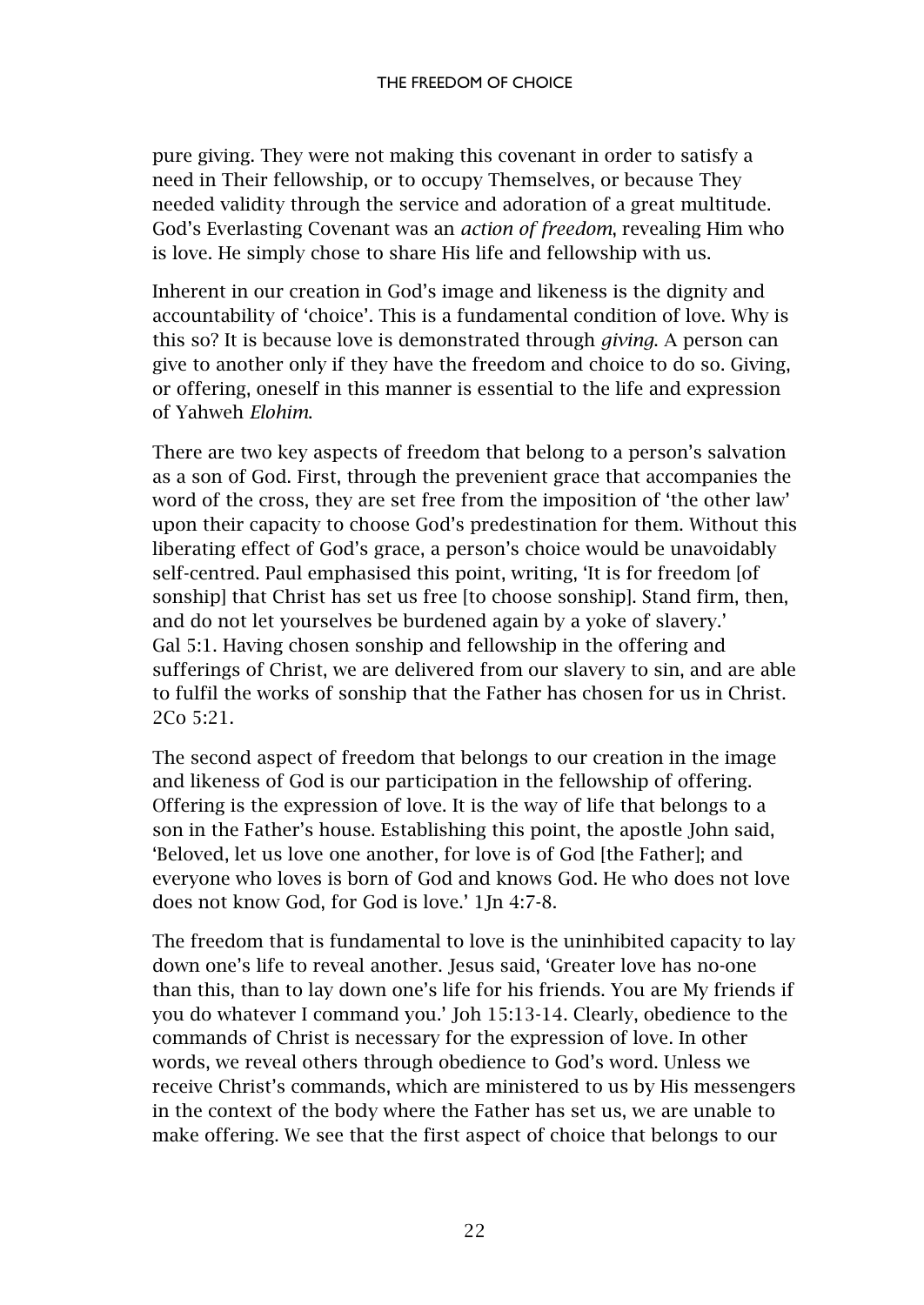pure giving. They were not making this covenant in order to satisfy a need in Their fellowship, or to occupy Themselves, or because They needed validity through the service and adoration of a great multitude. God's Everlasting Covenant was an *action of freedom*, revealing Him who is love. He simply chose to share His life and fellowship with us.

Inherent in our creation in God's image and likeness is the dignity and accountability of 'choice'. This is a fundamental condition of love. Why is this so? It is because love is demonstrated through *giving*. A person can give to another only if they have the freedom and choice to do so. Giving, or offering, oneself in this manner is essential to the life and expression of Yahweh *Elohim*.

There are two key aspects of freedom that belong to a person's salvation as a son of God. First, through the prevenient grace that accompanies the word of the cross, they are set free from the imposition of 'the other law' upon their capacity to choose God's predestination for them. Without this liberating effect of God's grace, a person's choice would be unavoidably self-centred. Paul emphasised this point, writing, 'It is for freedom [of sonship] that Christ has set us free [to choose sonship]. Stand firm, then, and do not let yourselves be burdened again by a yoke of slavery.' Gal 5:1. Having chosen sonship and fellowship in the offering and sufferings of Christ, we are delivered from our slavery to sin, and are able to fulfil the works of sonship that the Father has chosen for us in Christ. 2Co 5:21.

The second aspect of freedom that belongs to our creation in the image and likeness of God is our participation in the fellowship of offering. Offering is the expression of love. It is the way of life that belongs to a son in the Father's house. Establishing this point, the apostle John said, 'Beloved, let us love one another, for love is of God [the Father]; and everyone who loves is born of God and knows God. He who does not love does not know God, for God is love.' 1Jn 4:7-8.

The freedom that is fundamental to love is the uninhibited capacity to lay down one's life to reveal another. Jesus said, 'Greater love has no-one than this, than to lay down one's life for his friends. You are My friends if you do whatever I command you.' Joh 15:13-14. Clearly, obedience to the commands of Christ is necessary for the expression of love. In other words, we reveal others through obedience to God's word. Unless we receive Christ's commands, which are ministered to us by His messengers in the context of the body where the Father has set us, we are unable to make offering. We see that the first aspect of choice that belongs to our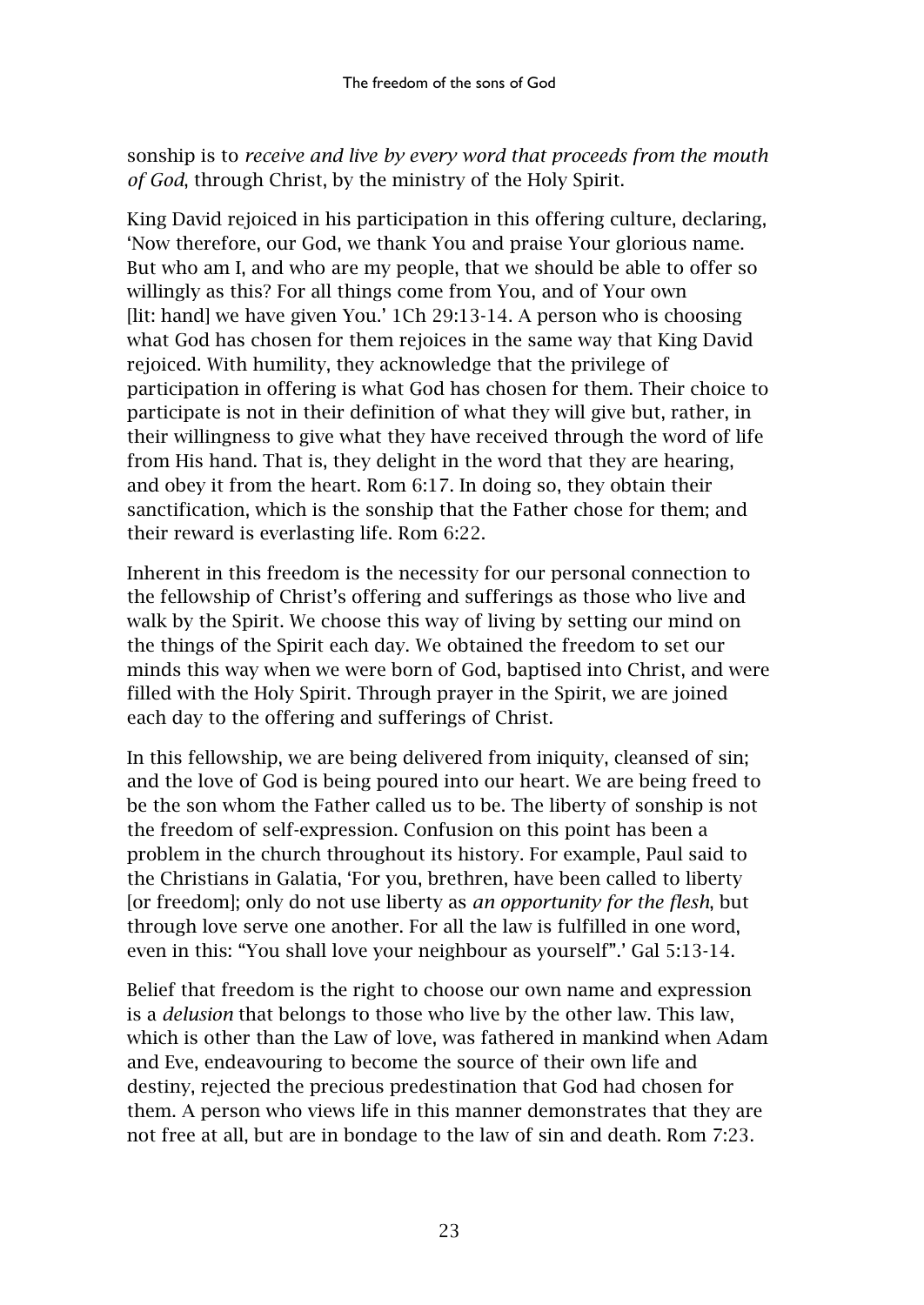sonship is to *receive and live by every word that proceeds from the mouth of God*, through Christ, by the ministry of the Holy Spirit.

King David rejoiced in his participation in this offering culture, declaring, 'Now therefore, our God, we thank You and praise Your glorious name. But who am I, and who are my people, that we should be able to offer so willingly as this? For all things come from You, and of Your own [lit: hand] we have given You.' 1Ch 29:13-14. A person who is choosing what God has chosen for them rejoices in the same way that King David rejoiced. With humility, they acknowledge that the privilege of participation in offering is what God has chosen for them. Their choice to participate is not in their definition of what they will give but, rather, in their willingness to give what they have received through the word of life from His hand. That is, they delight in the word that they are hearing, and obey it from the heart. Rom 6:17. In doing so, they obtain their sanctification, which is the sonship that the Father chose for them; and their reward is everlasting life. Rom 6:22.

Inherent in this freedom is the necessity for our personal connection to the fellowship of Christ's offering and sufferings as those who live and walk by the Spirit. We choose this way of living by setting our mind on the things of the Spirit each day. We obtained the freedom to set our minds this way when we were born of God, baptised into Christ, and were filled with the Holy Spirit. Through prayer in the Spirit, we are joined each day to the offering and sufferings of Christ.

In this fellowship, we are being delivered from iniquity, cleansed of sin; and the love of God is being poured into our heart. We are being freed to be the son whom the Father called us to be. The liberty of sonship is not the freedom of self-expression. Confusion on this point has been a problem in the church throughout its history. For example, Paul said to the Christians in Galatia, 'For you, brethren, have been called to liberty [or freedom]; only do not use liberty as *an opportunity for the flesh*, but through love serve one another. For all the law is fulfilled in one word, even in this: "You shall love your neighbour as yourself".' Gal 5:13-14.

Belief that freedom is the right to choose our own name and expression is a *delusion* that belongs to those who live by the other law. This law, which is other than the Law of love, was fathered in mankind when Adam and Eve, endeavouring to become the source of their own life and destiny, rejected the precious predestination that God had chosen for them. A person who views life in this manner demonstrates that they are not free at all, but are in bondage to the law of sin and death. Rom 7:23.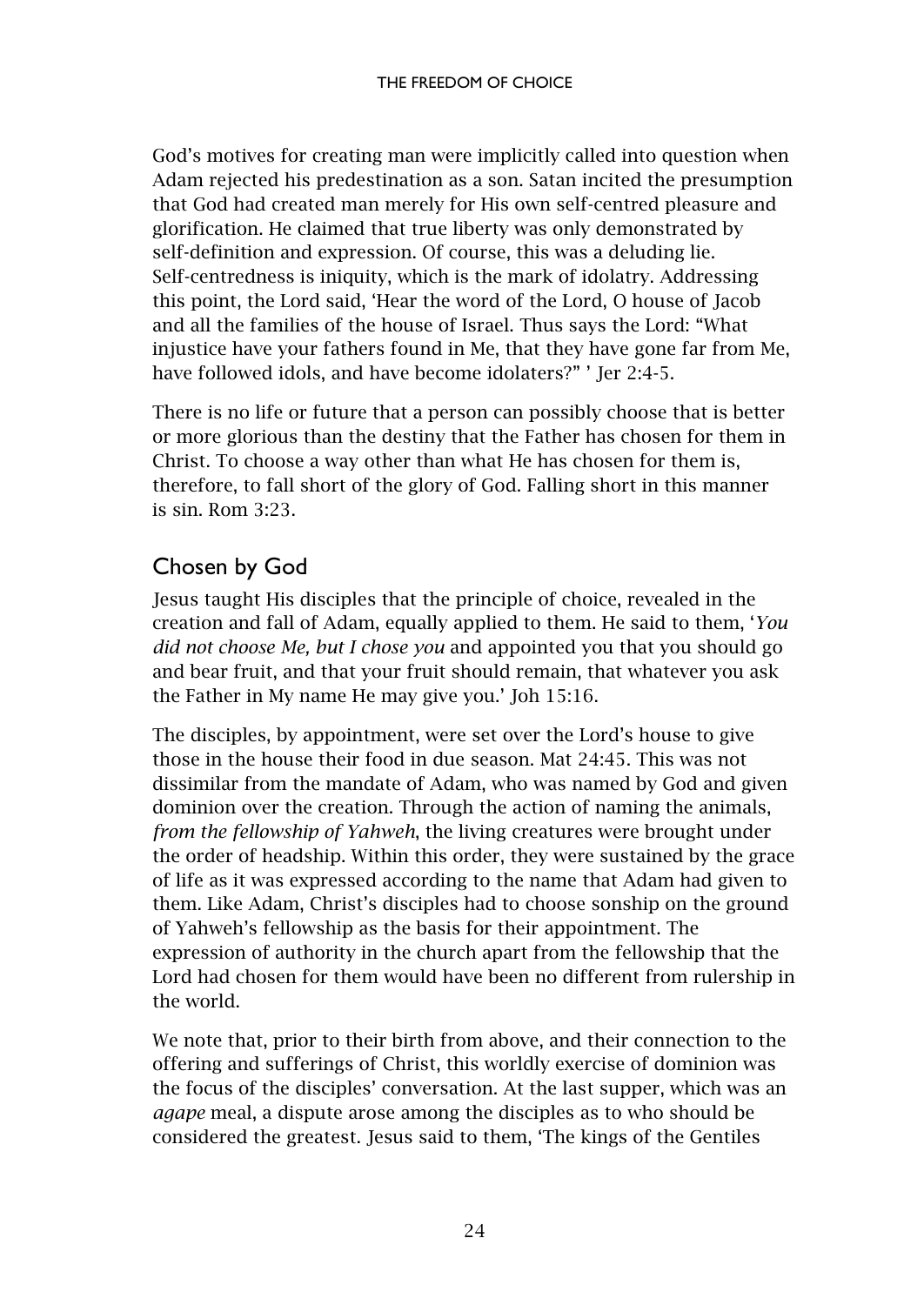God's motives for creating man were implicitly called into question when Adam rejected his predestination as a son. Satan incited the presumption that God had created man merely for His own self-centred pleasure and glorification. He claimed that true liberty was only demonstrated by self-definition and expression. Of course, this was a deluding lie. Self-centredness is iniquity, which is the mark of idolatry. Addressing this point, the Lord said, 'Hear the word of the Lord, O house of Jacob and all the families of the house of Israel. Thus says the Lord: "What injustice have your fathers found in Me, that they have gone far from Me, have followed idols, and have become idolaters?" ' Jer 2:4-5.

There is no life or future that a person can possibly choose that is better or more glorious than the destiny that the Father has chosen for them in Christ. To choose a way other than what He has chosen for them is, therefore, to fall short of the glory of God. Falling short in this manner is sin. Rom 3:23.

# <span id="page-25-0"></span>Chosen by God

Jesus taught His disciples that the principle of choice, revealed in the creation and fall of Adam, equally applied to them. He said to them, '*You did not choose Me, but I chose you* and appointed you that you should go and bear fruit, and that your fruit should remain, that whatever you ask the Father in My name He may give you.' Joh 15:16.

The disciples, by appointment, were set over the Lord's house to give those in the house their food in due season. Mat 24:45. This was not dissimilar from the mandate of Adam, who was named by God and given dominion over the creation. Through the action of naming the animals, *from the fellowship of Yahweh*, the living creatures were brought under the order of headship. Within this order, they were sustained by the grace of life as it was expressed according to the name that Adam had given to them. Like Adam, Christ's disciples had to choose sonship on the ground of Yahweh's fellowship as the basis for their appointment. The expression of authority in the church apart from the fellowship that the Lord had chosen for them would have been no different from rulership in the world.

We note that, prior to their birth from above, and their connection to the offering and sufferings of Christ, this worldly exercise of dominion was the focus of the disciples' conversation. At the last supper, which was an *agape* meal, a dispute arose among the disciples as to who should be considered the greatest. Jesus said to them, 'The kings of the Gentiles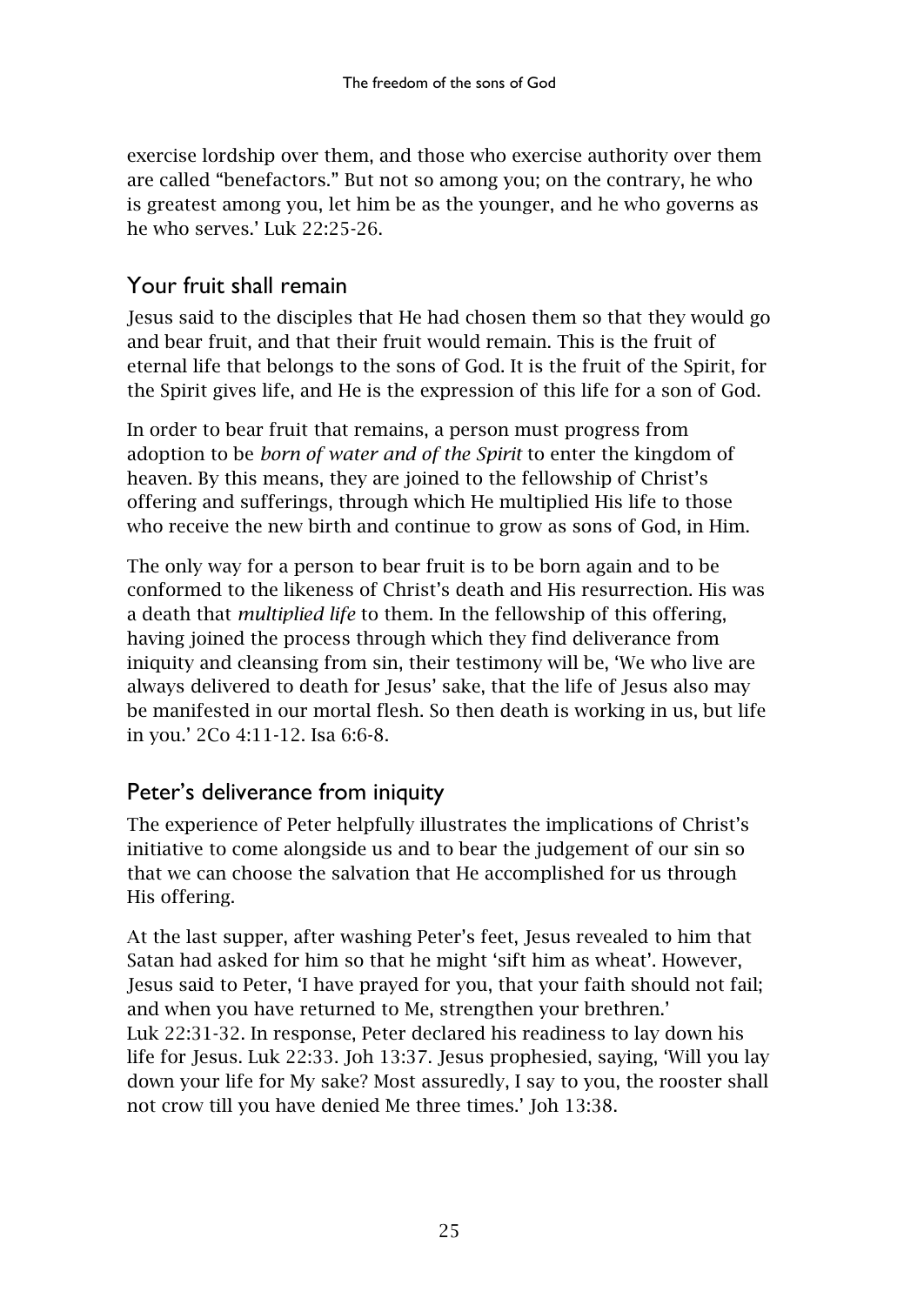exercise lordship over them, and those who exercise authority over them are called "benefactors." But not so among you; on the contrary, he who is greatest among you, let him be as the younger, and he who governs as he who serves.' Luk 22:25-26.

# <span id="page-26-0"></span>Your fruit shall remain

Jesus said to the disciples that He had chosen them so that they would go and bear fruit, and that their fruit would remain. This is the fruit of eternal life that belongs to the sons of God. It is the fruit of the Spirit, for the Spirit gives life, and He is the expression of this life for a son of God.

In order to bear fruit that remains, a person must progress from adoption to be *born of water and of the Spirit* to enter the kingdom of heaven. By this means, they are joined to the fellowship of Christ's offering and sufferings, through which He multiplied His life to those who receive the new birth and continue to grow as sons of God, in Him.

The only way for a person to bear fruit is to be born again and to be conformed to the likeness of Christ's death and His resurrection. His was a death that *multiplied life* to them. In the fellowship of this offering, having joined the process through which they find deliverance from iniquity and cleansing from sin, their testimony will be, 'We who live are always delivered to death for Jesus' sake, that the life of Jesus also may be manifested in our mortal flesh. So then death is working in us, but life in you.' 2Co 4:11-12. Isa 6:6-8.

# <span id="page-26-1"></span>Peter's deliverance from iniquity

The experience of Peter helpfully illustrates the implications of Christ's initiative to come alongside us and to bear the judgement of our sin so that we can choose the salvation that He accomplished for us through His offering.

At the last supper, after washing Peter's feet, Jesus revealed to him that Satan had asked for him so that he might 'sift him as wheat'. However, Jesus said to Peter, 'I have prayed for you, that your faith should not fail; and when you have returned to Me, strengthen your brethren.' Luk 22:31-32. In response, Peter declared his readiness to lay down his life for Jesus. Luk 22:33. Joh 13:37. Jesus prophesied, saying, 'Will you lay down your life for My sake? Most assuredly, I say to you, the rooster shall not crow till you have denied Me three times.' Joh 13:38.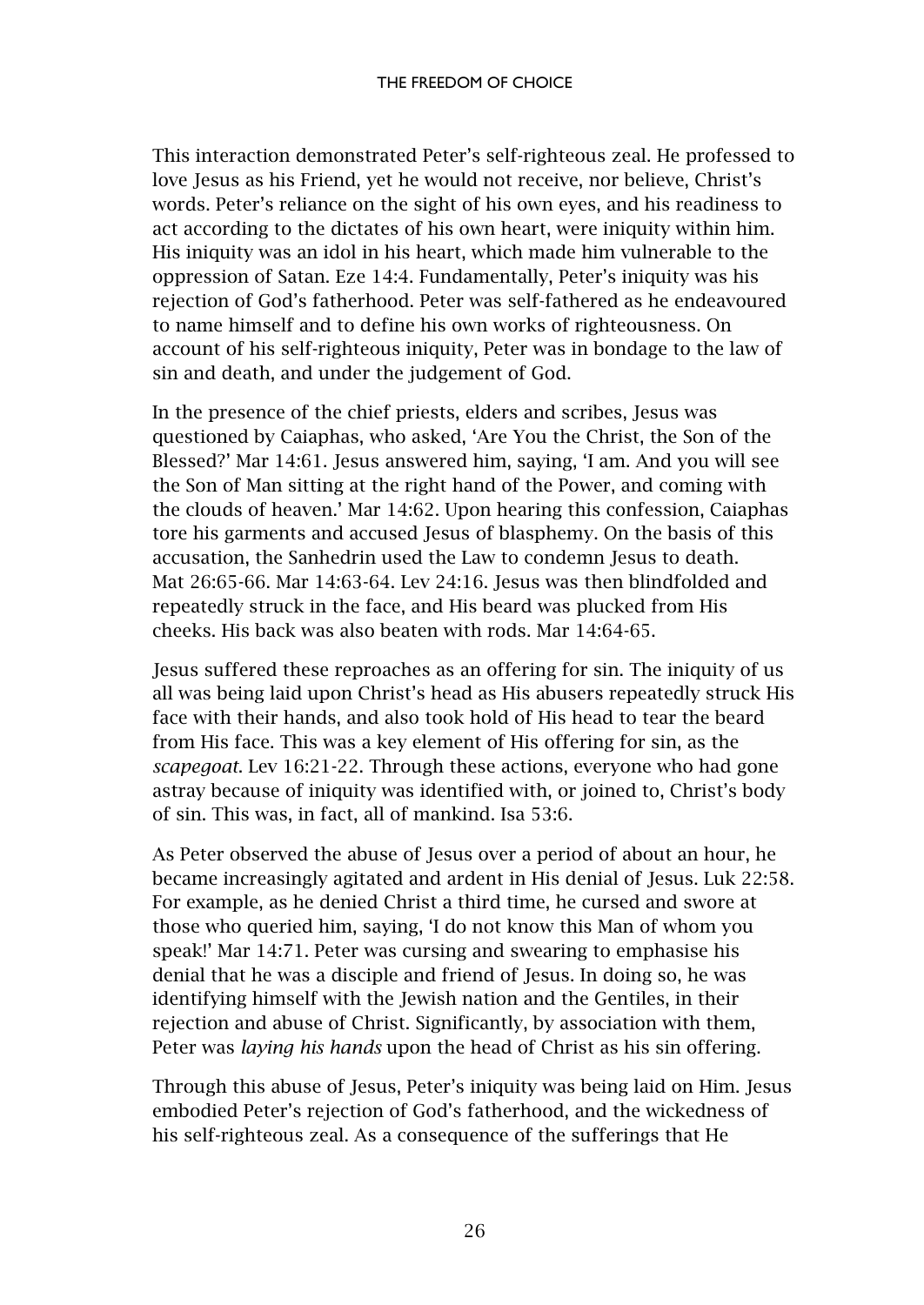This interaction demonstrated Peter's self-righteous zeal. He professed to love Jesus as his Friend, yet he would not receive, nor believe, Christ's words. Peter's reliance on the sight of his own eyes, and his readiness to act according to the dictates of his own heart, were iniquity within him. His iniquity was an idol in his heart, which made him vulnerable to the oppression of Satan. Eze 14:4. Fundamentally, Peter's iniquity was his rejection of God's fatherhood. Peter was self-fathered as he endeavoured to name himself and to define his own works of righteousness. On account of his self-righteous iniquity, Peter was in bondage to the law of sin and death, and under the judgement of God.

In the presence of the chief priests, elders and scribes, Jesus was questioned by Caiaphas, who asked, 'Are You the Christ, the Son of the Blessed?' Mar 14:61. Jesus answered him, saying, 'I am. And you will see the Son of Man sitting at the right hand of the Power, and coming with the clouds of heaven.' Mar 14:62. Upon hearing this confession, Caiaphas tore his garments and accused Jesus of blasphemy. On the basis of this accusation, the Sanhedrin used the Law to condemn Jesus to death. Mat 26:65-66. Mar 14:63-64. Lev 24:16. Jesus was then blindfolded and repeatedly struck in the face, and His beard was plucked from His cheeks. His back was also beaten with rods. Mar 14:64-65.

Jesus suffered these reproaches as an offering for sin. The iniquity of us all was being laid upon Christ's head as His abusers repeatedly struck His face with their hands, and also took hold of His head to tear the beard from His face. This was a key element of His offering for sin, as the *scapegoat*. Lev 16:21-22. Through these actions, everyone who had gone astray because of iniquity was identified with, or joined to, Christ's body of sin. This was, in fact, all of mankind. Isa 53:6.

As Peter observed the abuse of Jesus over a period of about an hour, he became increasingly agitated and ardent in His denial of Jesus. Luk 22:58. For example, as he denied Christ a third time, he cursed and swore at those who queried him, saying, 'I do not know this Man of whom you speak!' Mar 14:71. Peter was cursing and swearing to emphasise his denial that he was a disciple and friend of Jesus. In doing so, he was identifying himself with the Jewish nation and the Gentiles, in their rejection and abuse of Christ. Significantly, by association with them, Peter was *laying his hands* upon the head of Christ as his sin offering.

Through this abuse of Jesus, Peter's iniquity was being laid on Him. Jesus embodied Peter's rejection of God's fatherhood, and the wickedness of his self-righteous zeal. As a consequence of the sufferings that He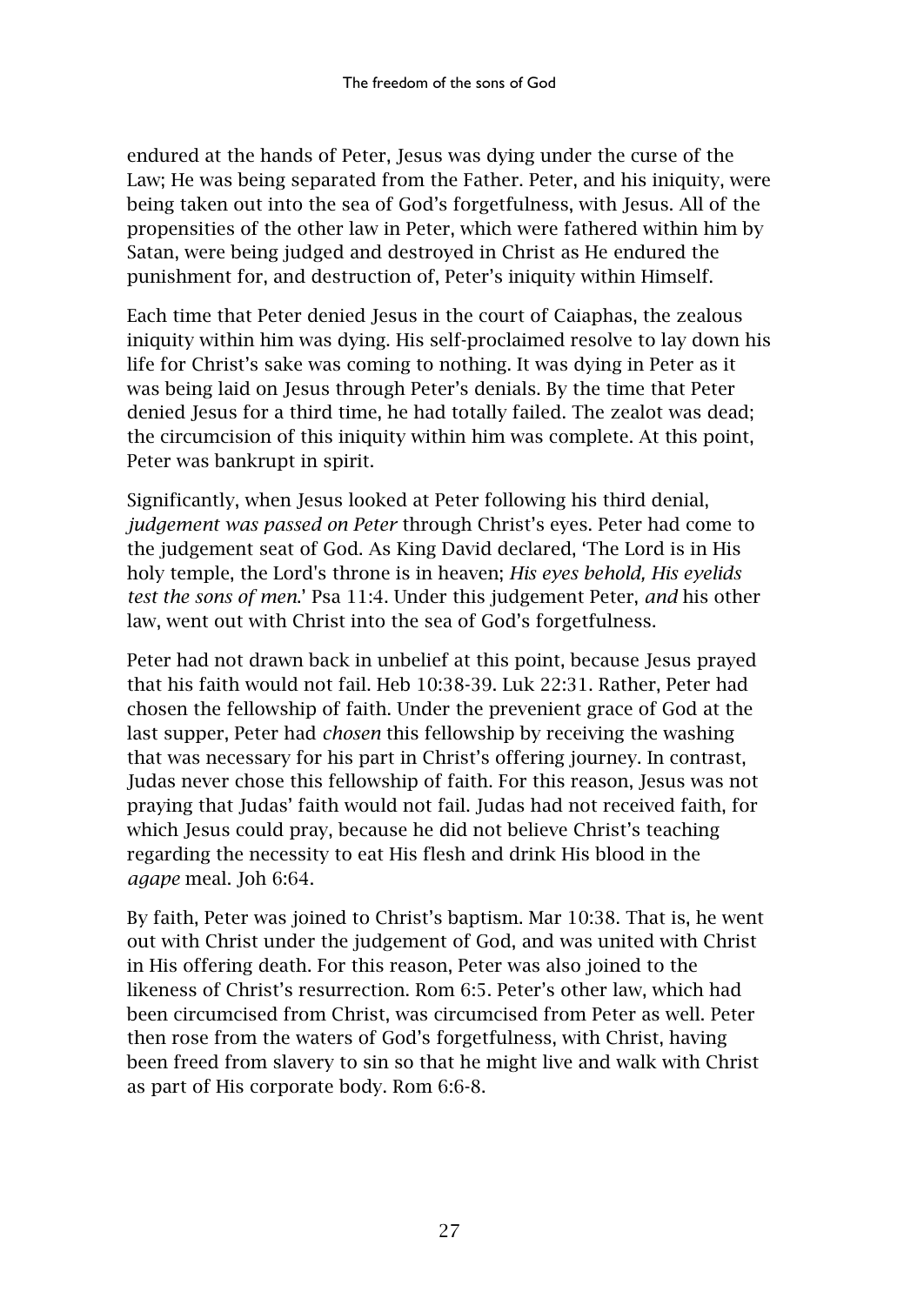endured at the hands of Peter, Jesus was dying under the curse of the Law; He was being separated from the Father. Peter, and his iniquity, were being taken out into the sea of God's forgetfulness, with Jesus. All of the propensities of the other law in Peter, which were fathered within him by Satan, were being judged and destroyed in Christ as He endured the punishment for, and destruction of, Peter's iniquity within Himself.

Each time that Peter denied Jesus in the court of Caiaphas, the zealous iniquity within him was dying. His self-proclaimed resolve to lay down his life for Christ's sake was coming to nothing. It was dying in Peter as it was being laid on Jesus through Peter's denials. By the time that Peter denied Jesus for a third time, he had totally failed. The zealot was dead; the circumcision of this iniquity within him was complete. At this point, Peter was bankrupt in spirit.

Significantly, when Jesus looked at Peter following his third denial, *judgement was passed on Peter* through Christ's eyes. Peter had come to the judgement seat of God. As King David declared, 'The Lord is in His holy temple, the Lord's throne is in heaven; *His eyes behold, His eyelids test the sons of men*.' Psa 11:4. Under this judgement Peter, *and* his other law, went out with Christ into the sea of God's forgetfulness.

Peter had not drawn back in unbelief at this point, because Jesus prayed that his faith would not fail. Heb 10:38-39. Luk 22:31. Rather, Peter had chosen the fellowship of faith. Under the prevenient grace of God at the last supper, Peter had *chosen* this fellowship by receiving the washing that was necessary for his part in Christ's offering journey. In contrast, Judas never chose this fellowship of faith. For this reason, Jesus was not praying that Judas' faith would not fail. Judas had not received faith, for which Jesus could pray, because he did not believe Christ's teaching regarding the necessity to eat His flesh and drink His blood in the *agape* meal. Joh 6:64.

By faith, Peter was joined to Christ's baptism. Mar 10:38. That is, he went out with Christ under the judgement of God, and was united with Christ in His offering death. For this reason, Peter was also joined to the likeness of Christ's resurrection. Rom 6:5. Peter's other law, which had been circumcised from Christ, was circumcised from Peter as well. Peter then rose from the waters of God's forgetfulness, with Christ, having been freed from slavery to sin so that he might live and walk with Christ as part of His corporate body. Rom 6:6-8.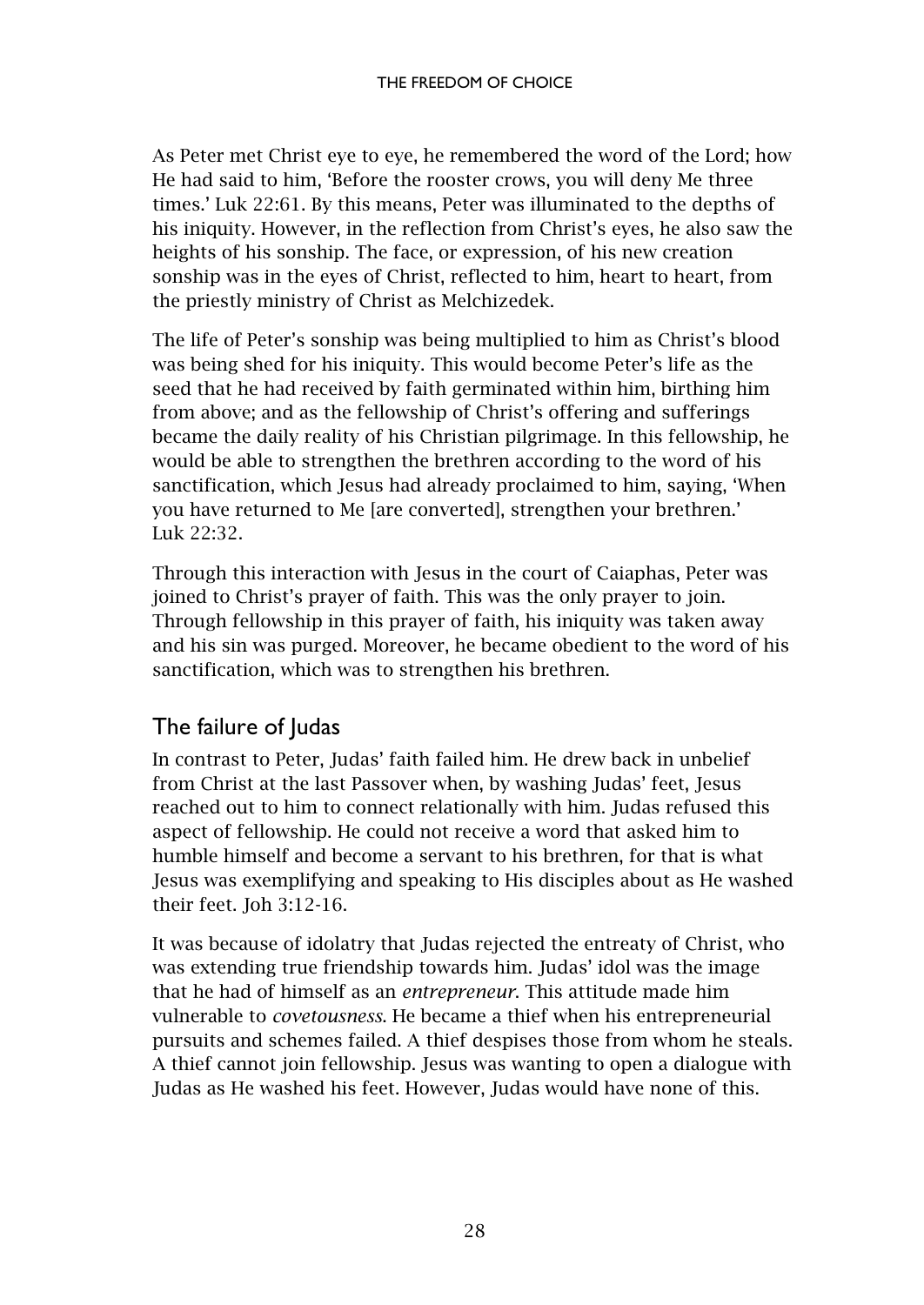As Peter met Christ eye to eye, he remembered the word of the Lord; how He had said to him, 'Before the rooster crows, you will deny Me three times.' Luk 22:61. By this means, Peter was illuminated to the depths of his iniquity. However, in the reflection from Christ's eyes, he also saw the heights of his sonship. The face, or expression, of his new creation sonship was in the eyes of Christ, reflected to him, heart to heart, from the priestly ministry of Christ as Melchizedek.

The life of Peter's sonship was being multiplied to him as Christ's blood was being shed for his iniquity. This would become Peter's life as the seed that he had received by faith germinated within him, birthing him from above; and as the fellowship of Christ's offering and sufferings became the daily reality of his Christian pilgrimage. In this fellowship, he would be able to strengthen the brethren according to the word of his sanctification, which Jesus had already proclaimed to him, saying, 'When you have returned to Me [are converted], strengthen your brethren.' Luk 22:32.

Through this interaction with Jesus in the court of Caiaphas, Peter was joined to Christ's prayer of faith. This was the only prayer to join. Through fellowship in this prayer of faith, his iniquity was taken away and his sin was purged. Moreover, he became obedient to the word of his sanctification, which was to strengthen his brethren.

# <span id="page-29-0"></span>The failure of Judas

In contrast to Peter, Judas' faith failed him. He drew back in unbelief from Christ at the last Passover when, by washing Judas' feet, Jesus reached out to him to connect relationally with him. Judas refused this aspect of fellowship. He could not receive a word that asked him to humble himself and become a servant to his brethren, for that is what Jesus was exemplifying and speaking to His disciples about as He washed their feet. Joh 3:12-16.

It was because of idolatry that Judas rejected the entreaty of Christ, who was extending true friendship towards him. Judas' idol was the image that he had of himself as an *entrepreneur*. This attitude made him vulnerable to *covetousness*. He became a thief when his entrepreneurial pursuits and schemes failed. A thief despises those from whom he steals. A thief cannot join fellowship. Jesus was wanting to open a dialogue with Judas as He washed his feet. However, Judas would have none of this.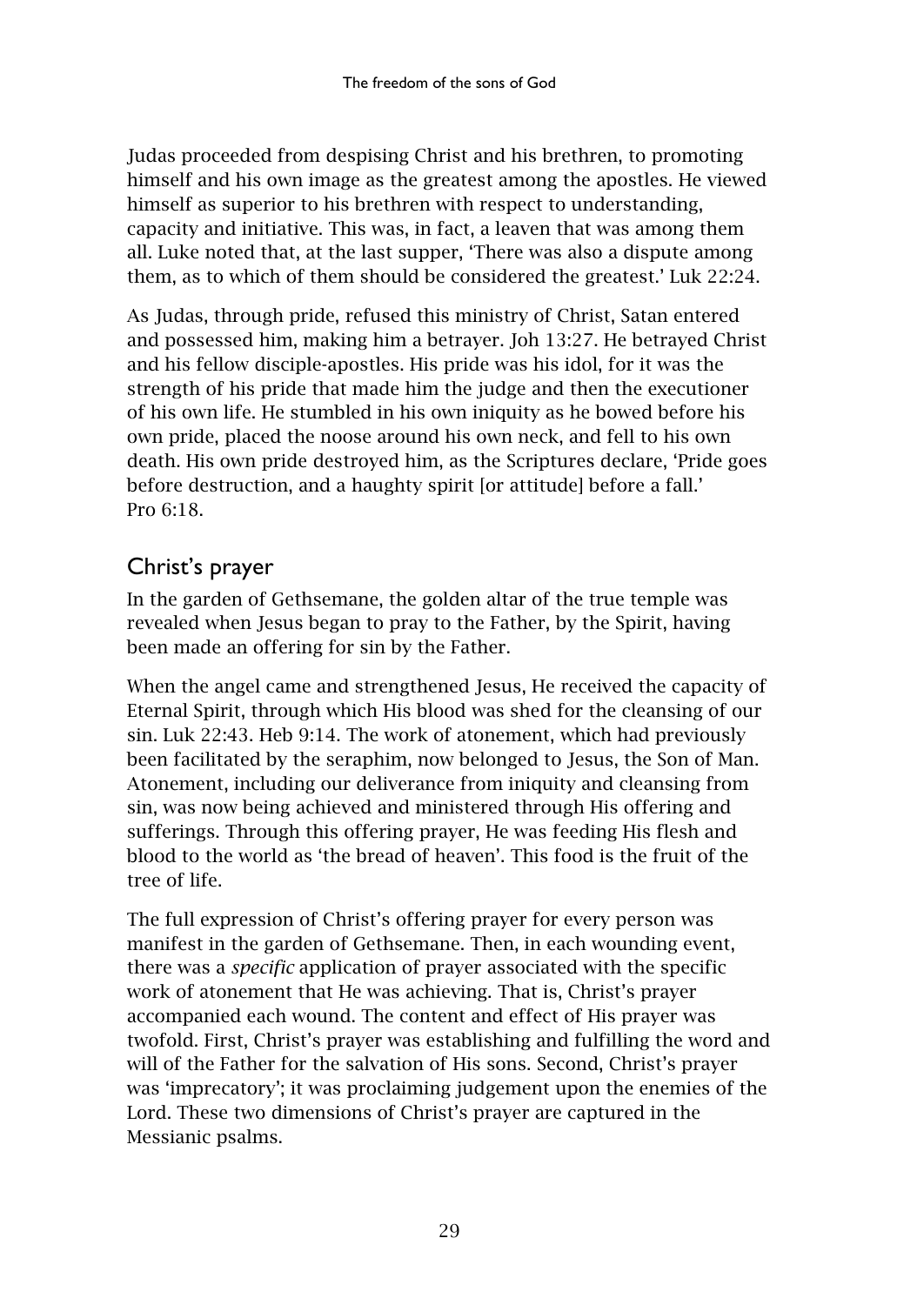Judas proceeded from despising Christ and his brethren, to promoting himself and his own image as the greatest among the apostles. He viewed himself as superior to his brethren with respect to understanding, capacity and initiative. This was, in fact, a leaven that was among them all. Luke noted that, at the last supper, 'There was also a dispute among them, as to which of them should be considered the greatest.' Luk 22:24.

As Judas, through pride, refused this ministry of Christ, Satan entered and possessed him, making him a betrayer. Joh 13:27. He betrayed Christ and his fellow disciple-apostles. His pride was his idol, for it was the strength of his pride that made him the judge and then the executioner of his own life. He stumbled in his own iniquity as he bowed before his own pride, placed the noose around his own neck, and fell to his own death. His own pride destroyed him, as the Scriptures declare, 'Pride goes before destruction, and a haughty spirit [or attitude] before a fall.' Pro  $6:18$ .

# <span id="page-30-0"></span>Christ's prayer

In the garden of Gethsemane, the golden altar of the true temple was revealed when Jesus began to pray to the Father, by the Spirit, having been made an offering for sin by the Father.

When the angel came and strengthened Jesus, He received the capacity of Eternal Spirit, through which His blood was shed for the cleansing of our sin. Luk 22:43. Heb 9:14. The work of atonement, which had previously been facilitated by the seraphim, now belonged to Jesus, the Son of Man. Atonement, including our deliverance from iniquity and cleansing from sin, was now being achieved and ministered through His offering and sufferings. Through this offering prayer, He was feeding His flesh and blood to the world as 'the bread of heaven'. This food is the fruit of the tree of life.

The full expression of Christ's offering prayer for every person was manifest in the garden of Gethsemane. Then, in each wounding event, there was a *specific* application of prayer associated with the specific work of atonement that He was achieving. That is, Christ's prayer accompanied each wound. The content and effect of His prayer was twofold. First, Christ's prayer was establishing and fulfilling the word and will of the Father for the salvation of His sons. Second, Christ's prayer was 'imprecatory'; it was proclaiming judgement upon the enemies of the Lord. These two dimensions of Christ's prayer are captured in the Messianic psalms.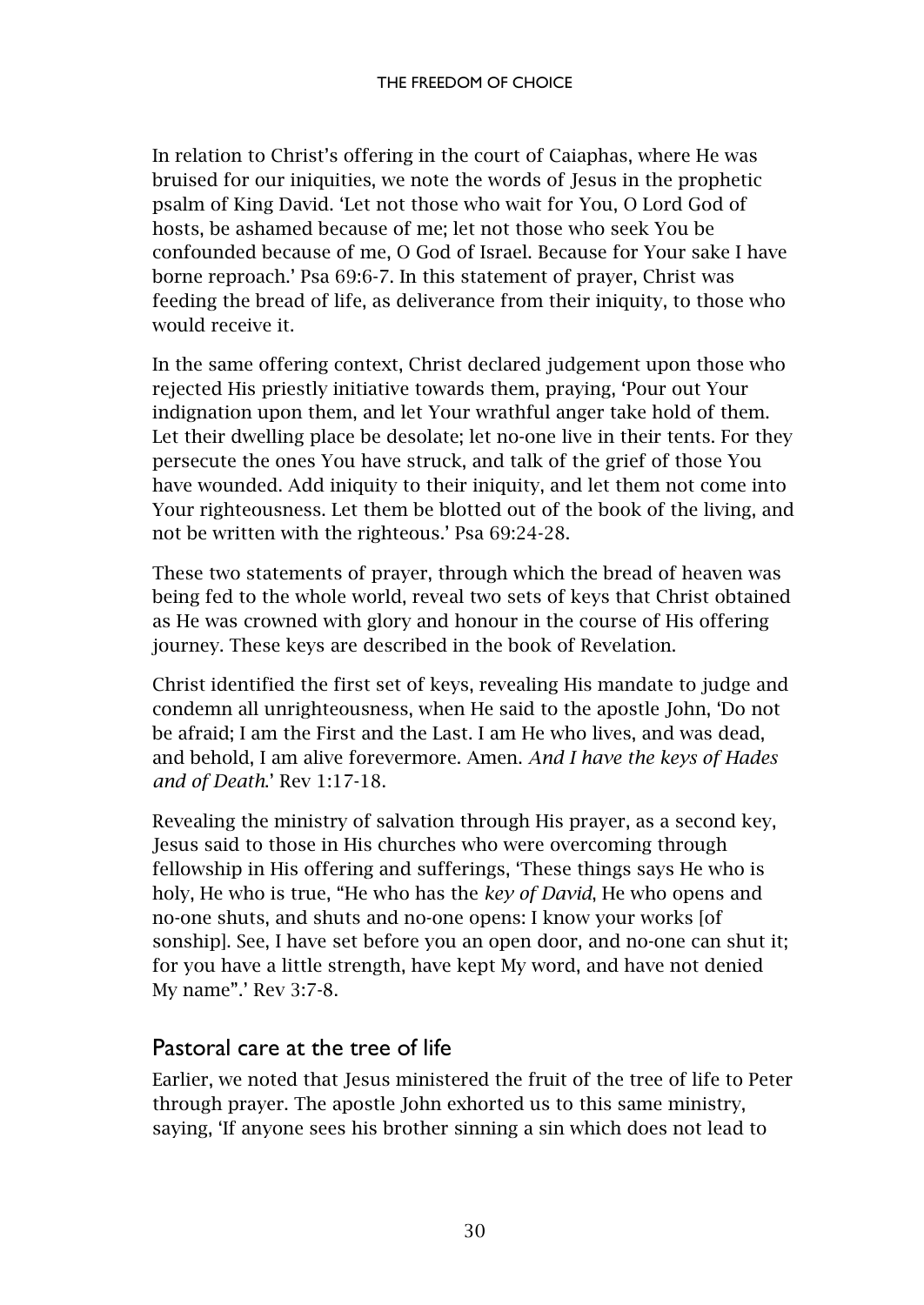In relation to Christ's offering in the court of Caiaphas, where He was bruised for our iniquities, we note the words of Jesus in the prophetic psalm of King David. 'Let not those who wait for You, O Lord God of hosts, be ashamed because of me; let not those who seek You be confounded because of me, O God of Israel. Because for Your sake I have borne reproach.' Psa 69:6-7. In this statement of prayer, Christ was feeding the bread of life, as deliverance from their iniquity, to those who would receive it.

In the same offering context, Christ declared judgement upon those who rejected His priestly initiative towards them, praying, 'Pour out Your indignation upon them, and let Your wrathful anger take hold of them. Let their dwelling place be desolate; let no-one live in their tents. For they persecute the ones You have struck, and talk of the grief of those You have wounded. Add iniquity to their iniquity, and let them not come into Your righteousness. Let them be blotted out of the book of the living, and not be written with the righteous.' Psa 69:24-28.

These two statements of prayer, through which the bread of heaven was being fed to the whole world, reveal two sets of keys that Christ obtained as He was crowned with glory and honour in the course of His offering journey. These keys are described in the book of Revelation.

Christ identified the first set of keys, revealing His mandate to judge and condemn all unrighteousness, when He said to the apostle John, 'Do not be afraid; I am the First and the Last. I am He who lives, and was dead, and behold, I am alive forevermore. Amen. *And I have the keys of Hades and of Death*.' Rev 1:17-18.

Revealing the ministry of salvation through His prayer, as a second key, Jesus said to those in His churches who were overcoming through fellowship in His offering and sufferings, 'These things says He who is holy, He who is true, "He who has the *key of David*, He who opens and no-one shuts, and shuts and no-one opens: I know your works [of sonship]. See, I have set before you an open door, and no-one can shut it; for you have a little strength, have kept My word, and have not denied My name".' Rev 3:7-8.

#### <span id="page-31-0"></span>Pastoral care at the tree of life

Earlier, we noted that Jesus ministered the fruit of the tree of life to Peter through prayer. The apostle John exhorted us to this same ministry, saying, 'If anyone sees his brother sinning a sin which does not lead to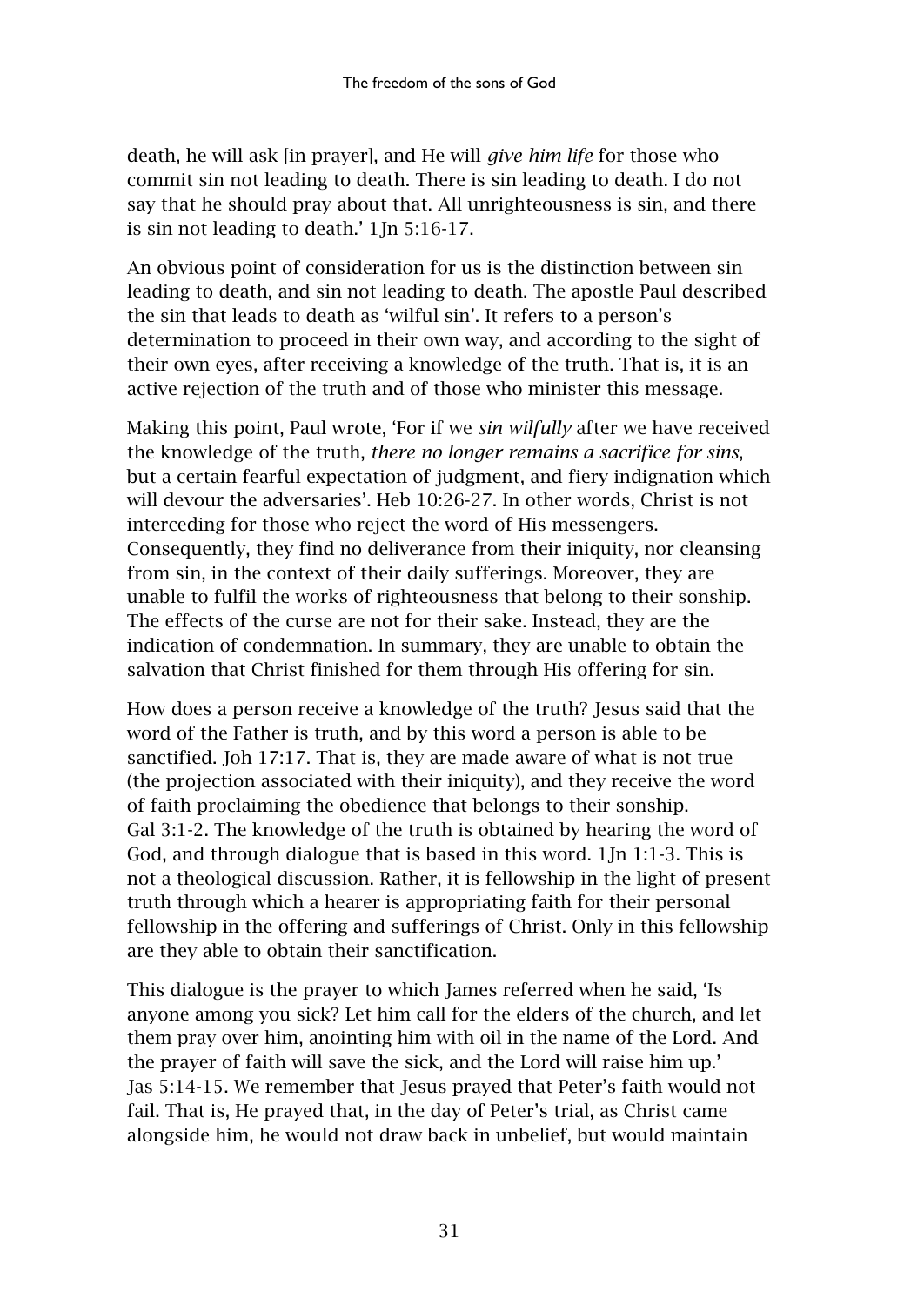death, he will ask [in prayer], and He will *give him life* for those who commit sin not leading to death. There is sin leading to death. I do not say that he should pray about that. All unrighteousness is sin, and there is sin not leading to death.' 1Jn 5:16-17.

An obvious point of consideration for us is the distinction between sin leading to death, and sin not leading to death. The apostle Paul described the sin that leads to death as 'wilful sin'. It refers to a person's determination to proceed in their own way, and according to the sight of their own eyes, after receiving a knowledge of the truth. That is, it is an active rejection of the truth and of those who minister this message.

Making this point, Paul wrote, 'For if we *sin wilfully* after we have received the knowledge of the truth, *there no longer remains a sacrifice for sins*, but a certain fearful expectation of judgment, and fiery indignation which will devour the adversaries'. Heb 10:26-27. In other words, Christ is not interceding for those who reject the word of His messengers. Consequently, they find no deliverance from their iniquity, nor cleansing from sin, in the context of their daily sufferings. Moreover, they are unable to fulfil the works of righteousness that belong to their sonship. The effects of the curse are not for their sake. Instead, they are the indication of condemnation. In summary, they are unable to obtain the salvation that Christ finished for them through His offering for sin.

How does a person receive a knowledge of the truth? Jesus said that the word of the Father is truth, and by this word a person is able to be sanctified. Joh 17:17. That is, they are made aware of what is not true (the projection associated with their iniquity), and they receive the word of faith proclaiming the obedience that belongs to their sonship. Gal 3:1-2. The knowledge of the truth is obtained by hearing the word of God, and through dialogue that is based in this word. 1Jn 1:1-3. This is not a theological discussion. Rather, it is fellowship in the light of present truth through which a hearer is appropriating faith for their personal fellowship in the offering and sufferings of Christ. Only in this fellowship are they able to obtain their sanctification.

This dialogue is the prayer to which James referred when he said, 'Is anyone among you sick? Let him call for the elders of the church, and let them pray over him, anointing him with oil in the name of the Lord. And the prayer of faith will save the sick, and the Lord will raise him up.' Jas 5:14-15. We remember that Jesus prayed that Peter's faith would not fail. That is, He prayed that, in the day of Peter's trial, as Christ came alongside him, he would not draw back in unbelief, but would maintain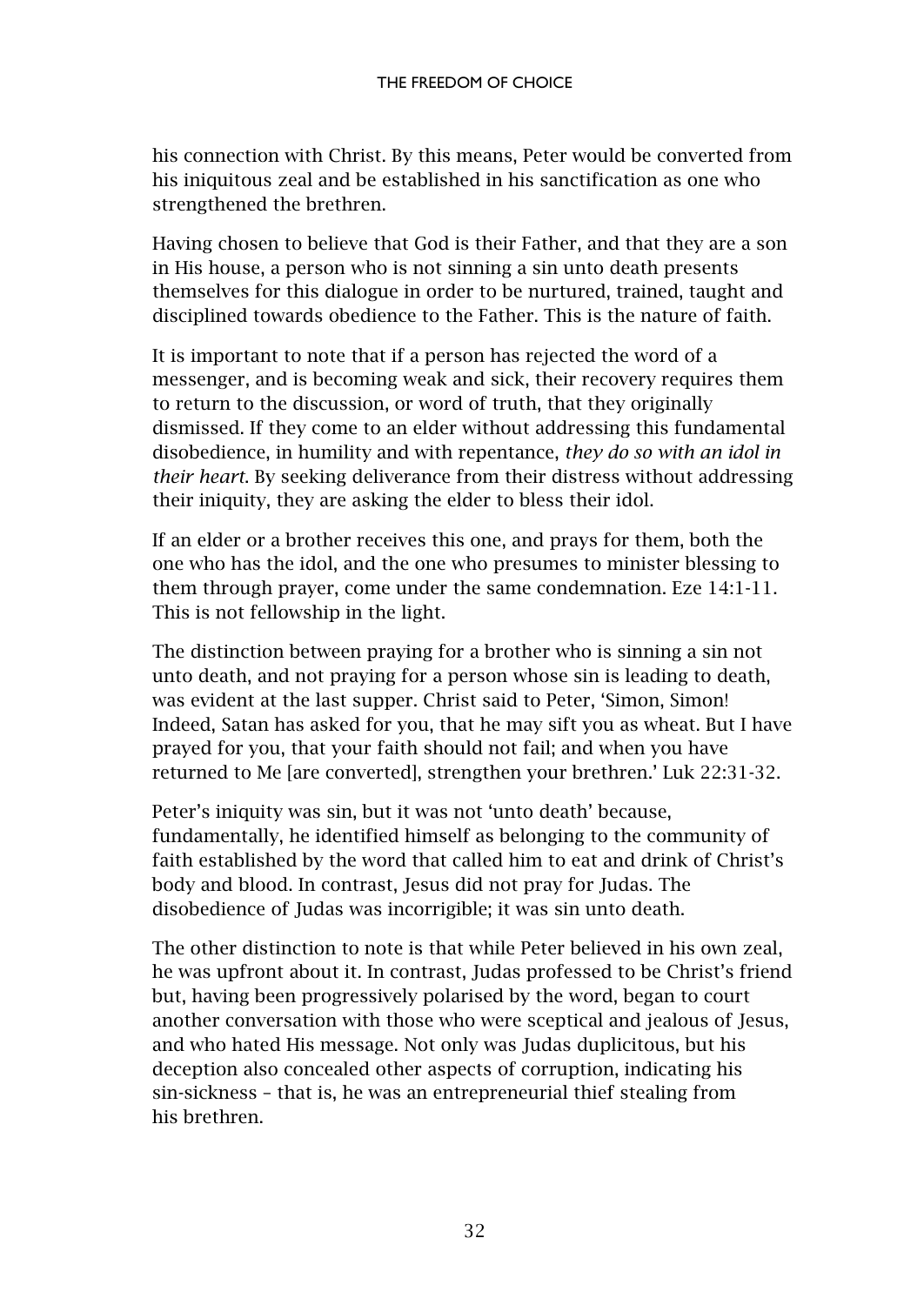his connection with Christ. By this means, Peter would be converted from his iniquitous zeal and be established in his sanctification as one who strengthened the brethren.

Having chosen to believe that God is their Father, and that they are a son in His house, a person who is not sinning a sin unto death presents themselves for this dialogue in order to be nurtured, trained, taught and disciplined towards obedience to the Father. This is the nature of faith.

It is important to note that if a person has rejected the word of a messenger, and is becoming weak and sick, their recovery requires them to return to the discussion, or word of truth, that they originally dismissed. If they come to an elder without addressing this fundamental disobedience, in humility and with repentance, *they do so with an idol in their heart*. By seeking deliverance from their distress without addressing their iniquity, they are asking the elder to bless their idol.

If an elder or a brother receives this one, and prays for them, both the one who has the idol, and the one who presumes to minister blessing to them through prayer, come under the same condemnation. Eze 14:1-11. This is not fellowship in the light.

The distinction between praying for a brother who is sinning a sin not unto death, and not praying for a person whose sin is leading to death, was evident at the last supper. Christ said to Peter, 'Simon, Simon! Indeed, Satan has asked for you, that he may sift you as wheat. But I have prayed for you, that your faith should not fail; and when you have returned to Me [are converted], strengthen your brethren.' Luk 22:31-32.

Peter's iniquity was sin, but it was not 'unto death' because, fundamentally, he identified himself as belonging to the community of faith established by the word that called him to eat and drink of Christ's body and blood. In contrast, Jesus did not pray for Judas. The disobedience of Judas was incorrigible; it was sin unto death.

The other distinction to note is that while Peter believed in his own zeal, he was upfront about it. In contrast, Judas professed to be Christ's friend but, having been progressively polarised by the word, began to court another conversation with those who were sceptical and jealous of Jesus, and who hated His message. Not only was Judas duplicitous, but his deception also concealed other aspects of corruption, indicating his sin-sickness – that is, he was an entrepreneurial thief stealing from his brethren.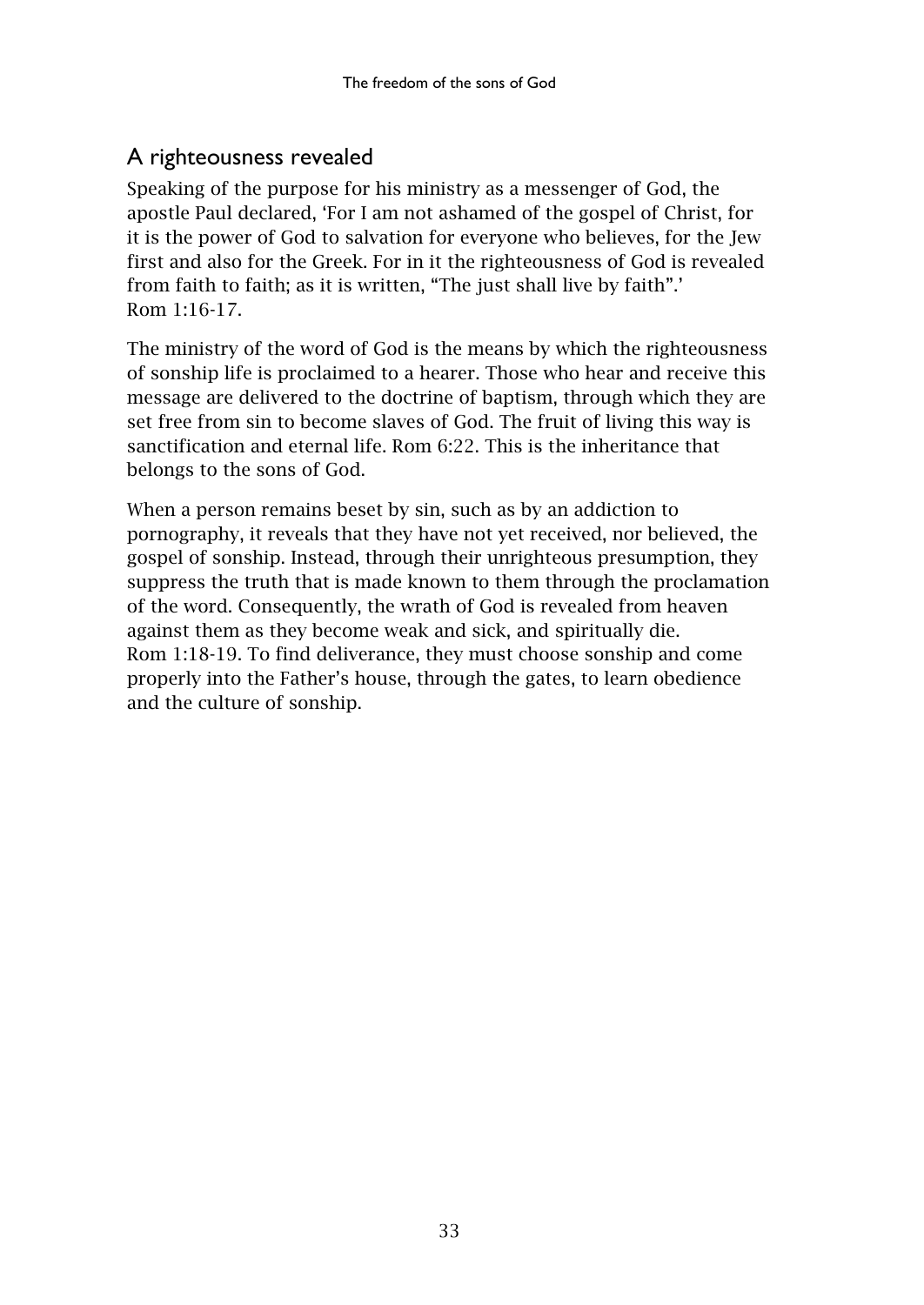# <span id="page-34-0"></span>A righteousness revealed

Speaking of the purpose for his ministry as a messenger of God, the apostle Paul declared, 'For I am not ashamed of the gospel of Christ, for it is the power of God to salvation for everyone who believes, for the Jew first and also for the Greek. For in it the righteousness of God is revealed from faith to faith; as it is written, "The just shall live by faith".' Rom 1:16-17.

The ministry of the word of God is the means by which the righteousness of sonship life is proclaimed to a hearer. Those who hear and receive this message are delivered to the doctrine of baptism, through which they are set free from sin to become slaves of God. The fruit of living this way is sanctification and eternal life. Rom 6:22. This is the inheritance that belongs to the sons of God.

When a person remains beset by sin, such as by an addiction to pornography, it reveals that they have not yet received, nor believed, the gospel of sonship. Instead, through their unrighteous presumption, they suppress the truth that is made known to them through the proclamation of the word. Consequently, the wrath of God is revealed from heaven against them as they become weak and sick, and spiritually die. Rom 1:18-19. To find deliverance, they must choose sonship and come properly into the Father's house, through the gates, to learn obedience and the culture of sonship.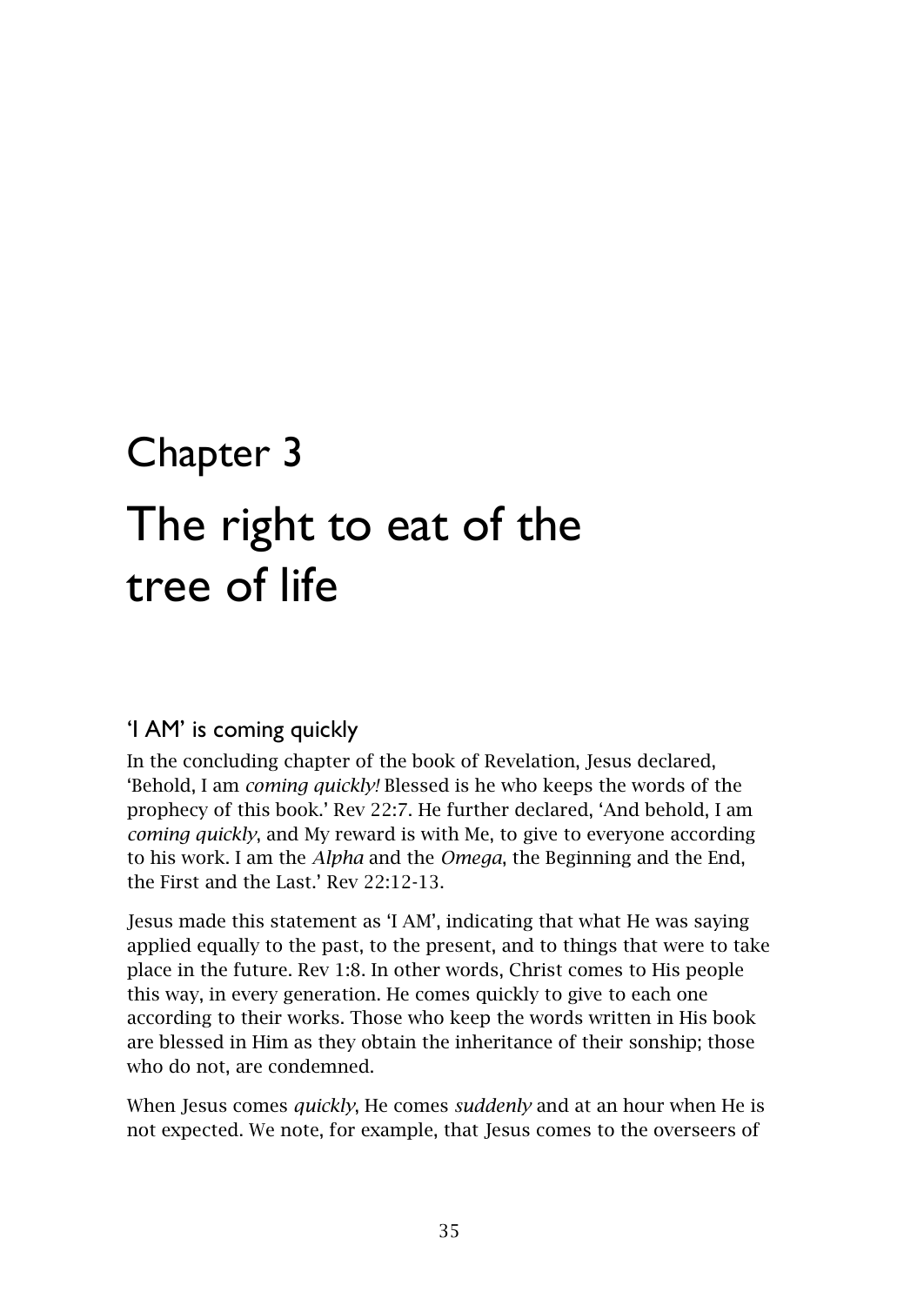# <span id="page-36-1"></span><span id="page-36-0"></span>Chapter 3 The right to eat of the tree of life

# <span id="page-36-2"></span>'I AM' is coming quickly

In the concluding chapter of the book of Revelation, Jesus declared, 'Behold, I am *coming quickly!* Blessed is he who keeps the words of the prophecy of this book.' Rev 22:7. He further declared, 'And behold, I am *coming quickly*, and My reward is with Me, to give to everyone according to his work. I am the *Alpha* and the *Omega*, the Beginning and the End, the First and the Last.' Rev 22:12-13.

Jesus made this statement as 'I AM', indicating that what He was saying applied equally to the past, to the present, and to things that were to take place in the future. Rev 1:8. In other words, Christ comes to His people this way, in every generation. He comes quickly to give to each one according to their works. Those who keep the words written in His book are blessed in Him as they obtain the inheritance of their sonship; those who do not, are condemned.

When Jesus comes *quickly*, He comes *suddenly* and at an hour when He is not expected. We note, for example, that Jesus comes to the overseers of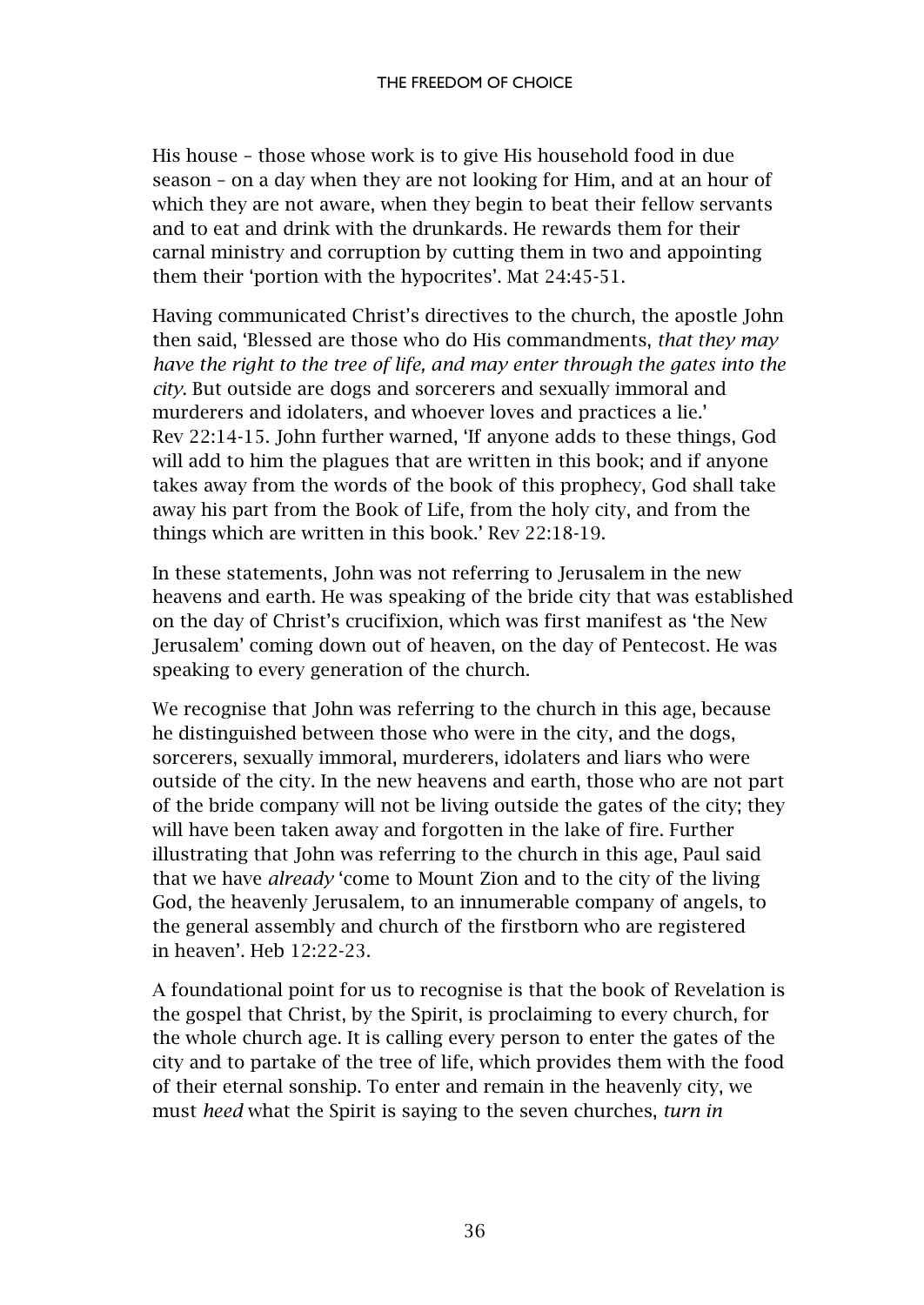His house – those whose work is to give His household food in due season – on a day when they are not looking for Him, and at an hour of which they are not aware, when they begin to beat their fellow servants and to eat and drink with the drunkards. He rewards them for their carnal ministry and corruption by cutting them in two and appointing them their 'portion with the hypocrites'. Mat 24:45-51.

Having communicated Christ's directives to the church, the apostle John then said, 'Blessed are those who do His commandments, *that they may have the right to the tree of life, and may enter through the gates into the city*. But outside are dogs and sorcerers and sexually immoral and murderers and idolaters, and whoever loves and practices a lie.' Rev 22:14-15. John further warned, 'If anyone adds to these things, God will add to him the plagues that are written in this book; and if anyone takes away from the words of the book of this prophecy, God shall take away his part from the Book of Life, from the holy city, and from the things which are written in this book.' Rev 22:18-19.

In these statements, John was not referring to Jerusalem in the new heavens and earth. He was speaking of the bride city that was established on the day of Christ's crucifixion, which was first manifest as 'the New Jerusalem' coming down out of heaven, on the day of Pentecost. He was speaking to every generation of the church.

We recognise that John was referring to the church in this age, because he distinguished between those who were in the city, and the dogs, sorcerers, sexually immoral, murderers, idolaters and liars who were outside of the city. In the new heavens and earth, those who are not part of the bride company will not be living outside the gates of the city; they will have been taken away and forgotten in the lake of fire. Further illustrating that John was referring to the church in this age, Paul said that we have *already* 'come to Mount Zion and to the city of the living God, the heavenly Jerusalem, to an innumerable company of angels, to the general assembly and church of the firstborn who are registered in heaven'. Heb 12:22-23.

A foundational point for us to recognise is that the book of Revelation is the gospel that Christ, by the Spirit, is proclaiming to every church, for the whole church age. It is calling every person to enter the gates of the city and to partake of the tree of life, which provides them with the food of their eternal sonship. To enter and remain in the heavenly city, we must *heed* what the Spirit is saying to the seven churches, *turn in*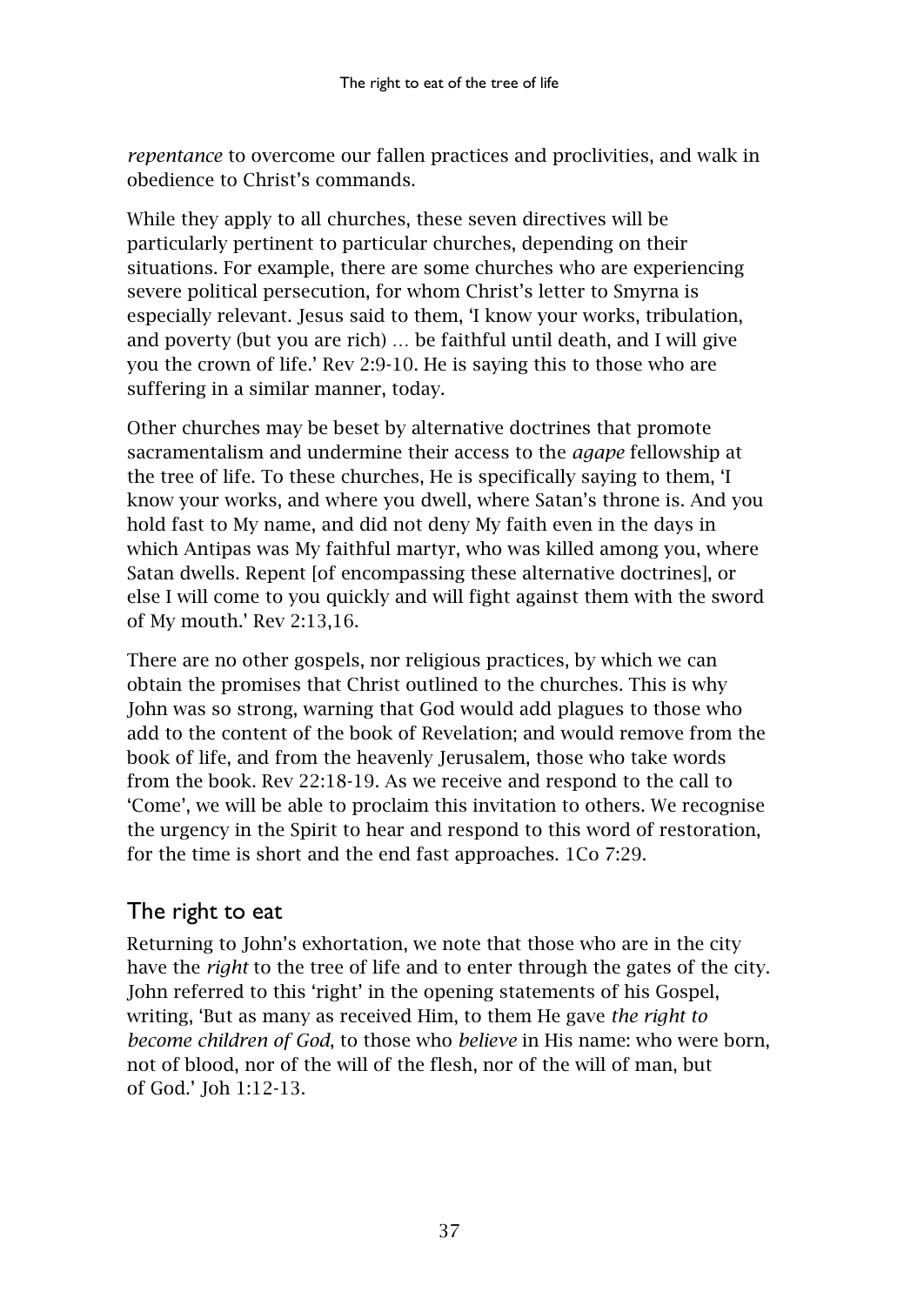*repentance* to overcome our fallen practices and proclivities, and walk in obedience to Christ's commands.

While they apply to all churches, these seven directives will be particularly pertinent to particular churches, depending on their situations. For example, there are some churches who are experiencing severe political persecution, for whom Christ's letter to Smyrna is especially relevant. Jesus said to them, 'I know your works, tribulation, and poverty (but you are rich) … be faithful until death, and I will give you the crown of life.' Rev 2:9-10. He is saying this to those who are suffering in a similar manner, today.

Other churches may be beset by alternative doctrines that promote sacramentalism and undermine their access to the *agape* fellowship at the tree of life. To these churches, He is specifically saying to them, 'I know your works, and where you dwell, where Satan's throne is. And you hold fast to My name, and did not deny My faith even in the days in which Antipas was My faithful martyr, who was killed among you, where Satan dwells. Repent [of encompassing these alternative doctrines], or else I will come to you quickly and will fight against them with the sword of My mouth.' Rev 2:13,16.

There are no other gospels, nor religious practices, by which we can obtain the promises that Christ outlined to the churches. This is why John was so strong, warning that God would add plagues to those who add to the content of the book of Revelation; and would remove from the book of life, and from the heavenly Jerusalem, those who take words from the book. Rev 22:18-19. As we receive and respond to the call to 'Come', we will be able to proclaim this invitation to others. We recognise the urgency in the Spirit to hear and respond to this word of restoration, for the time is short and the end fast approaches. 1Co 7:29.

# <span id="page-38-0"></span>The right to eat

Returning to John's exhortation, we note that those who are in the city have the *right* to the tree of life and to enter through the gates of the city. John referred to this 'right' in the opening statements of his Gospel, writing, 'But as many as received Him, to them He gave *the right to become children of God*, to those who *believe* in His name: who were born, not of blood, nor of the will of the flesh, nor of the will of man, but of God.' Joh 1:12-13.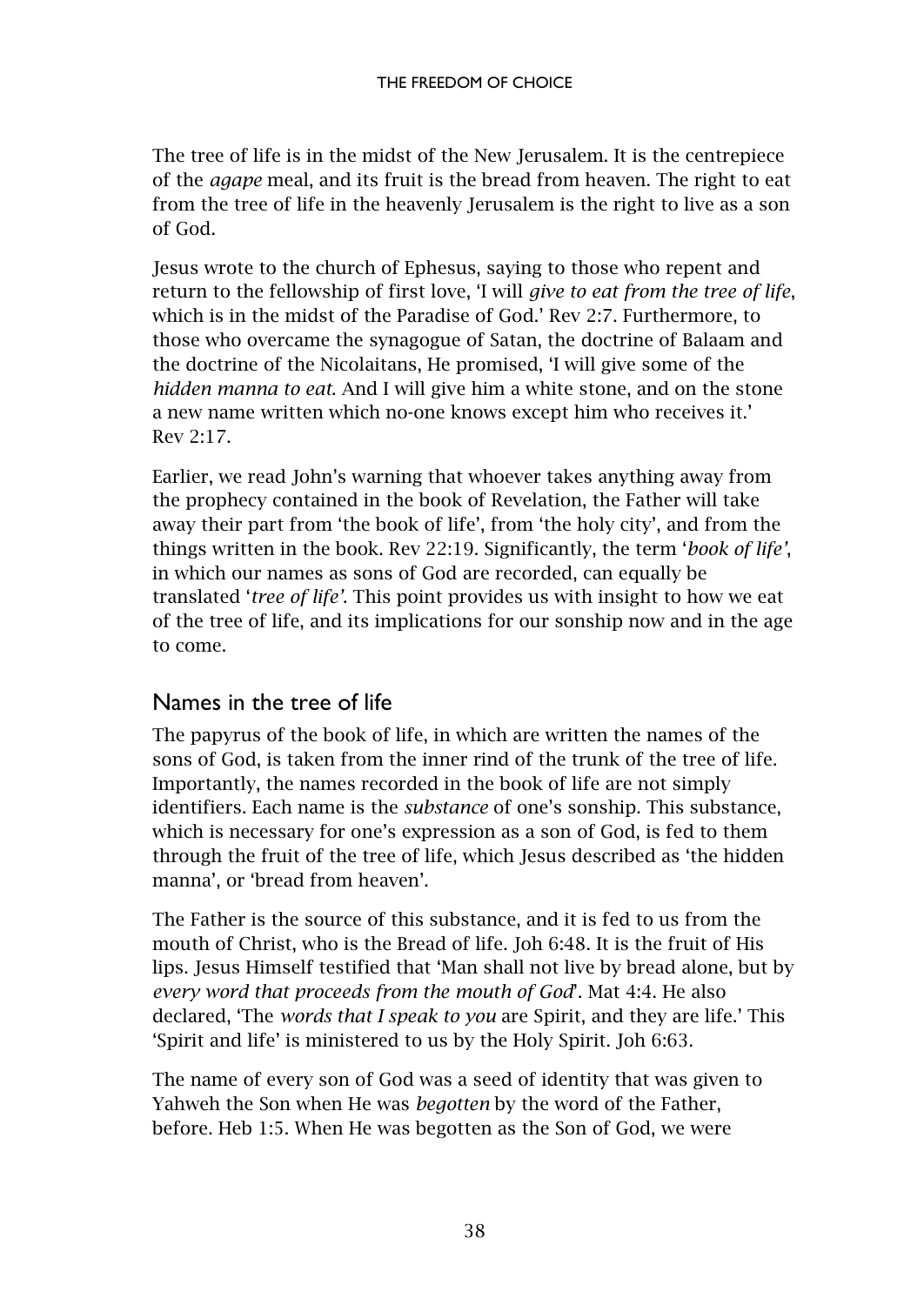The tree of life is in the midst of the New Jerusalem. It is the centrepiece of the *agape* meal, and its fruit is the bread from heaven. The right to eat from the tree of life in the heavenly Jerusalem is the right to live as a son of God.

Jesus wrote to the church of Ephesus, saying to those who repent and return to the fellowship of first love, 'I will *give to eat from the tree of life*, which is in the midst of the Paradise of God.' Rev 2:7. Furthermore, to those who overcame the synagogue of Satan, the doctrine of Balaam and the doctrine of the Nicolaitans, He promised, 'I will give some of the *hidden manna to eat*. And I will give him a white stone, and on the stone a new name written which no-one knows except him who receives it.' Rev 2:17.

Earlier, we read John's warning that whoever takes anything away from the prophecy contained in the book of Revelation, the Father will take away their part from 'the book of life', from 'the holy city', and from the things written in the book. Rev 22:19. Significantly, the term '*book of life'*, in which our names as sons of God are recorded, can equally be translated '*tree of life'*. This point provides us with insight to how we eat of the tree of life, and its implications for our sonship now and in the age to come.

# <span id="page-39-0"></span>Names in the tree of life

The papyrus of the book of life, in which are written the names of the sons of God, is taken from the inner rind of the trunk of the tree of life. Importantly, the names recorded in the book of life are not simply identifiers. Each name is the *substance* of one's sonship. This substance, which is necessary for one's expression as a son of God, is fed to them through the fruit of the tree of life, which Jesus described as 'the hidden manna', or 'bread from heaven'.

The Father is the source of this substance, and it is fed to us from the mouth of Christ, who is the Bread of life. Joh 6:48. It is the fruit of His lips. Jesus Himself testified that 'Man shall not live by bread alone, but by *every word that proceeds from the mouth of God*'. Mat 4:4. He also declared, 'The *words that I speak to you* are Spirit, and they are life.' This 'Spirit and life' is ministered to us by the Holy Spirit. Joh 6:63.

The name of every son of God was a seed of identity that was given to Yahweh the Son when He was *begotten* by the word of the Father, before. Heb 1:5. When He was begotten as the Son of God, we were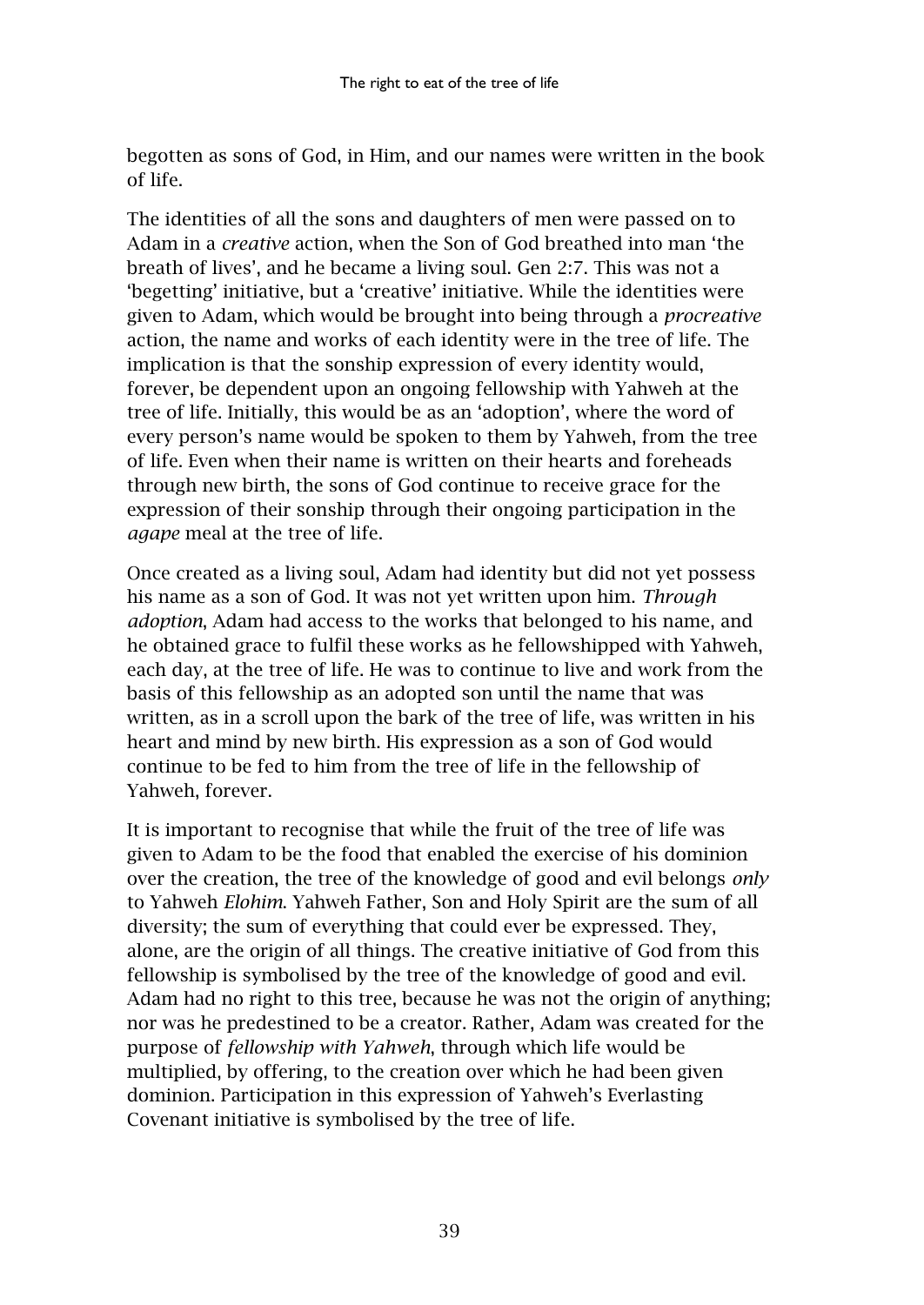begotten as sons of God, in Him, and our names were written in the book of life.

The identities of all the sons and daughters of men were passed on to Adam in a *creative* action, when the Son of God breathed into man 'the breath of lives', and he became a living soul. Gen 2:7. This was not a 'begetting' initiative, but a 'creative' initiative. While the identities were given to Adam, which would be brought into being through a *procreative* action, the name and works of each identity were in the tree of life. The implication is that the sonship expression of every identity would, forever, be dependent upon an ongoing fellowship with Yahweh at the tree of life. Initially, this would be as an 'adoption', where the word of every person's name would be spoken to them by Yahweh, from the tree of life. Even when their name is written on their hearts and foreheads through new birth, the sons of God continue to receive grace for the expression of their sonship through their ongoing participation in the *agape* meal at the tree of life.

Once created as a living soul, Adam had identity but did not yet possess his name as a son of God. It was not yet written upon him. *Through adoption*, Adam had access to the works that belonged to his name, and he obtained grace to fulfil these works as he fellowshipped with Yahweh, each day, at the tree of life. He was to continue to live and work from the basis of this fellowship as an adopted son until the name that was written, as in a scroll upon the bark of the tree of life, was written in his heart and mind by new birth. His expression as a son of God would continue to be fed to him from the tree of life in the fellowship of Yahweh, forever.

It is important to recognise that while the fruit of the tree of life was given to Adam to be the food that enabled the exercise of his dominion over the creation, the tree of the knowledge of good and evil belongs *only*  to Yahweh *Elohim*. Yahweh Father, Son and Holy Spirit are the sum of all diversity; the sum of everything that could ever be expressed. They, alone, are the origin of all things. The creative initiative of God from this fellowship is symbolised by the tree of the knowledge of good and evil. Adam had no right to this tree, because he was not the origin of anything; nor was he predestined to be a creator. Rather, Adam was created for the purpose of *fellowship with Yahweh*, through which life would be multiplied, by offering, to the creation over which he had been given dominion. Participation in this expression of Yahweh's Everlasting Covenant initiative is symbolised by the tree of life.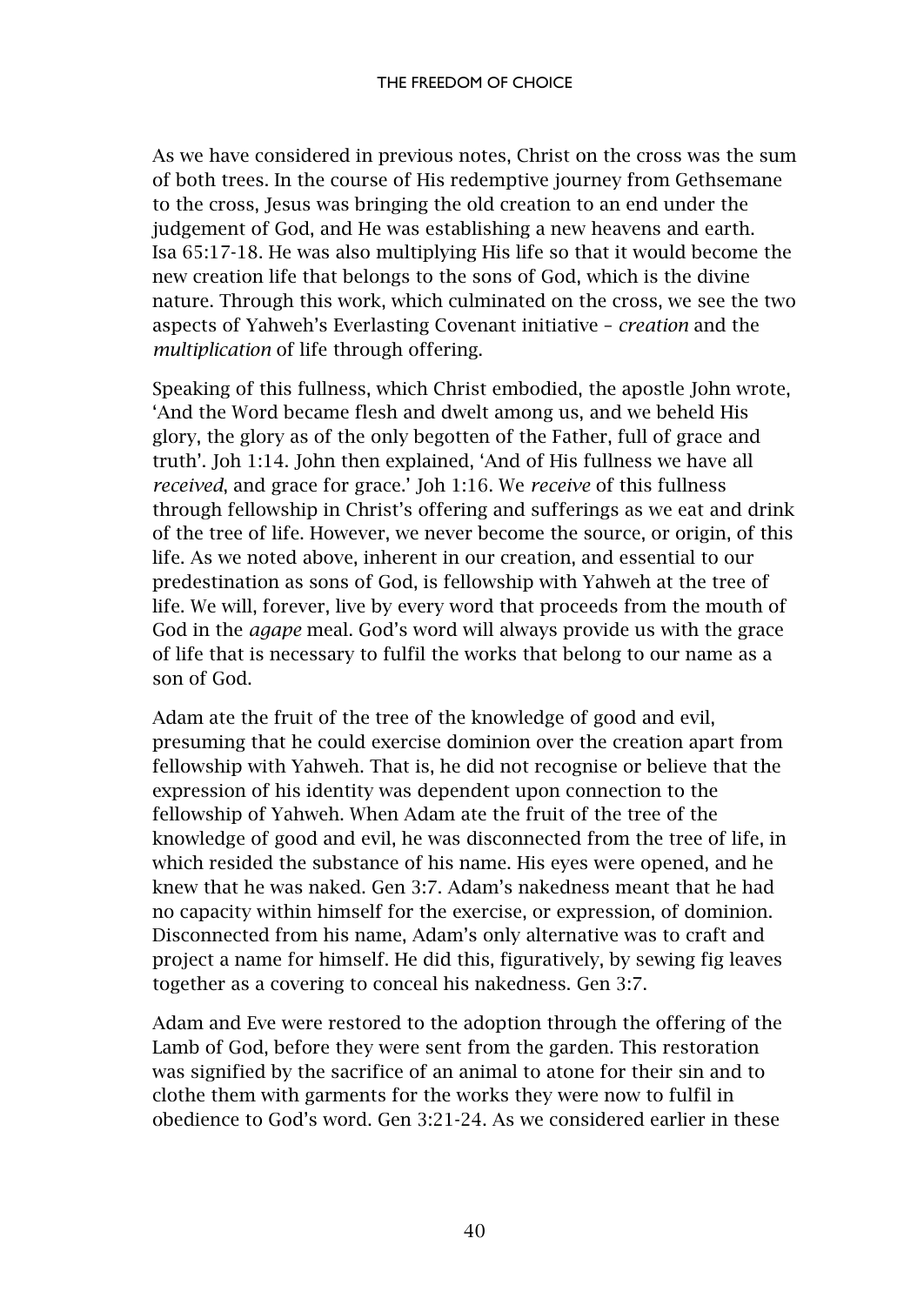As we have considered in previous notes, Christ on the cross was the sum of both trees. In the course of His redemptive journey from Gethsemane to the cross, Jesus was bringing the old creation to an end under the judgement of God, and He was establishing a new heavens and earth. Isa 65:17-18. He was also multiplying His life so that it would become the new creation life that belongs to the sons of God, which is the divine nature. Through this work, which culminated on the cross, we see the two aspects of Yahweh's Everlasting Covenant initiative – *creation* and the *multiplication* of life through offering.

Speaking of this fullness, which Christ embodied, the apostle John wrote, 'And the Word became flesh and dwelt among us, and we beheld His glory, the glory as of the only begotten of the Father, full of grace and truth'. Joh 1:14. John then explained, 'And of His fullness we have all *received*, and grace for grace.' Joh 1:16. We *receive* of this fullness through fellowship in Christ's offering and sufferings as we eat and drink of the tree of life. However, we never become the source, or origin, of this life. As we noted above, inherent in our creation, and essential to our predestination as sons of God, is fellowship with Yahweh at the tree of life. We will, forever, live by every word that proceeds from the mouth of God in the *agape* meal. God's word will always provide us with the grace of life that is necessary to fulfil the works that belong to our name as a son of God.

Adam ate the fruit of the tree of the knowledge of good and evil, presuming that he could exercise dominion over the creation apart from fellowship with Yahweh. That is, he did not recognise or believe that the expression of his identity was dependent upon connection to the fellowship of Yahweh. When Adam ate the fruit of the tree of the knowledge of good and evil, he was disconnected from the tree of life, in which resided the substance of his name. His eyes were opened, and he knew that he was naked. Gen 3:7. Adam's nakedness meant that he had no capacity within himself for the exercise, or expression, of dominion. Disconnected from his name, Adam's only alternative was to craft and project a name for himself. He did this, figuratively, by sewing fig leaves together as a covering to conceal his nakedness. Gen 3:7.

Adam and Eve were restored to the adoption through the offering of the Lamb of God, before they were sent from the garden. This restoration was signified by the sacrifice of an animal to atone for their sin and to clothe them with garments for the works they were now to fulfil in obedience to God's word. Gen 3:21-24. As we considered earlier in these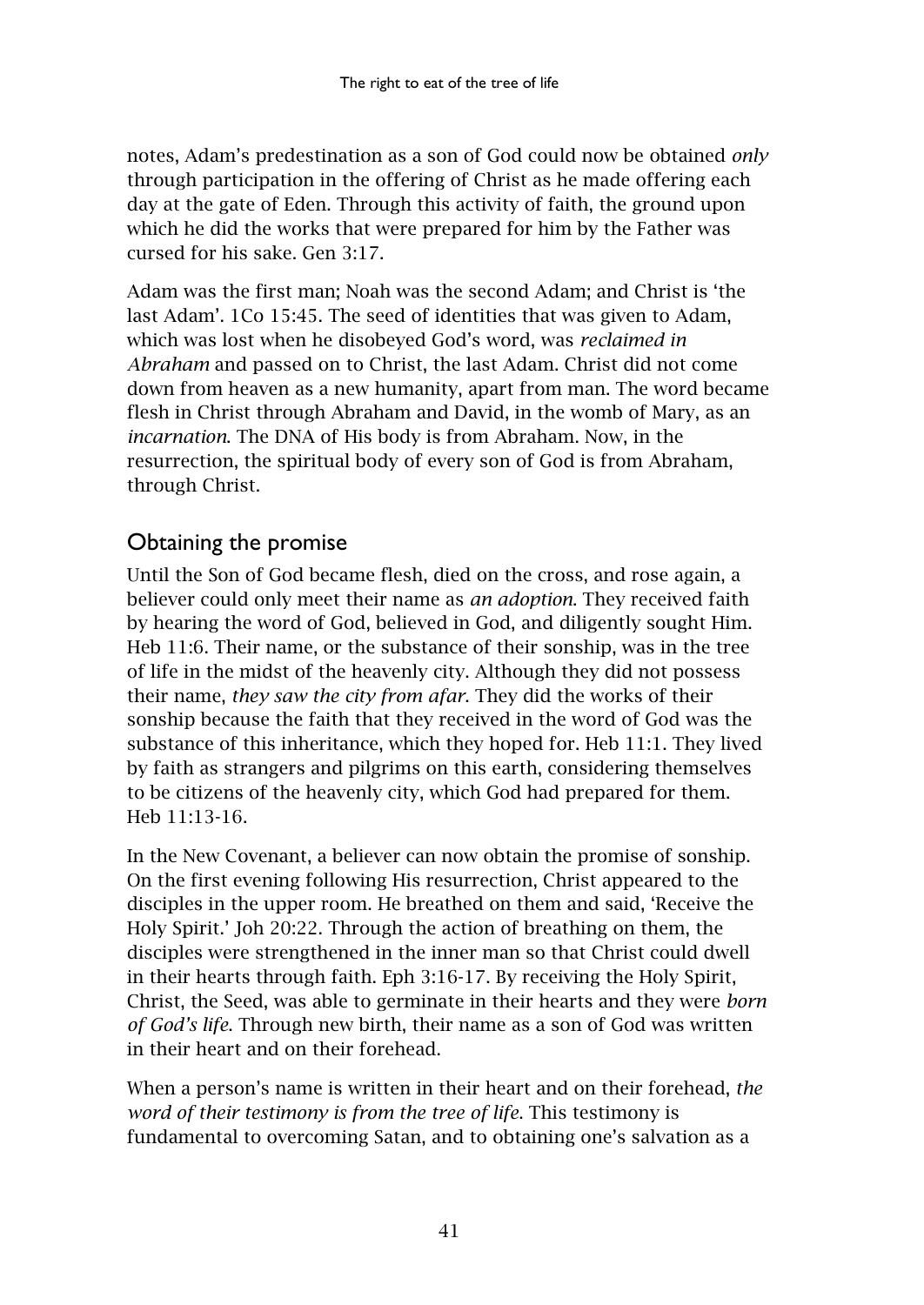notes, Adam's predestination as a son of God could now be obtained *only* through participation in the offering of Christ as he made offering each day at the gate of Eden. Through this activity of faith, the ground upon which he did the works that were prepared for him by the Father was cursed for his sake. Gen 3:17.

Adam was the first man; Noah was the second Adam; and Christ is 'the last Adam'. 1Co 15:45. The seed of identities that was given to Adam, which was lost when he disobeyed God's word, was *reclaimed in Abraham* and passed on to Christ, the last Adam. Christ did not come down from heaven as a new humanity, apart from man. The word became flesh in Christ through Abraham and David, in the womb of Mary, as an *incarnation*. The DNA of His body is from Abraham. Now, in the resurrection, the spiritual body of every son of God is from Abraham, through Christ.

# <span id="page-42-0"></span>Obtaining the promise

Until the Son of God became flesh, died on the cross, and rose again, a believer could only meet their name as *an adoption*. They received faith by hearing the word of God, believed in God, and diligently sought Him. Heb 11:6. Their name, or the substance of their sonship, was in the tree of life in the midst of the heavenly city. Although they did not possess their name, *they saw the city from afar*. They did the works of their sonship because the faith that they received in the word of God was the substance of this inheritance, which they hoped for. Heb 11:1. They lived by faith as strangers and pilgrims on this earth, considering themselves to be citizens of the heavenly city, which God had prepared for them. Heb 11:13-16.

In the New Covenant, a believer can now obtain the promise of sonship. On the first evening following His resurrection, Christ appeared to the disciples in the upper room. He breathed on them and said, 'Receive the Holy Spirit.' Joh 20:22. Through the action of breathing on them, the disciples were strengthened in the inner man so that Christ could dwell in their hearts through faith. Eph 3:16-17. By receiving the Holy Spirit, Christ, the Seed, was able to germinate in their hearts and they were *born of God's life*. Through new birth, their name as a son of God was written in their heart and on their forehead.

When a person's name is written in their heart and on their forehead, *the word of their testimony is from the tree of life*. This testimony is fundamental to overcoming Satan, and to obtaining one's salvation as a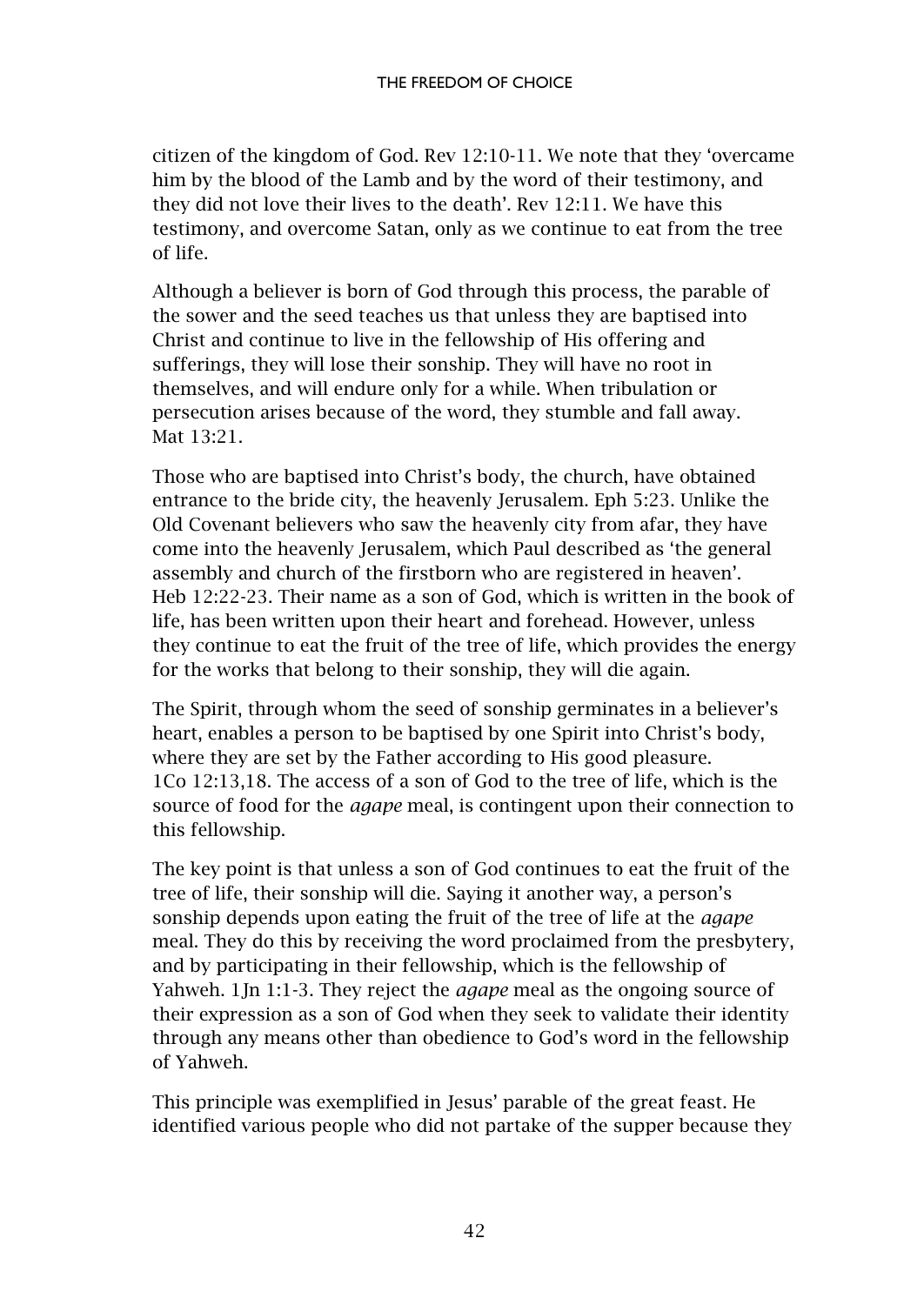citizen of the kingdom of God. Rev 12:10-11. We note that they 'overcame him by the blood of the Lamb and by the word of their testimony, and they did not love their lives to the death'. Rev 12:11. We have this testimony, and overcome Satan, only as we continue to eat from the tree of life.

Although a believer is born of God through this process, the parable of the sower and the seed teaches us that unless they are baptised into Christ and continue to live in the fellowship of His offering and sufferings, they will lose their sonship. They will have no root in themselves, and will endure only for a while. When tribulation or persecution arises because of the word, they stumble and fall away. Mat 13:21.

Those who are baptised into Christ's body, the church, have obtained entrance to the bride city, the heavenly Jerusalem. Eph 5:23. Unlike the Old Covenant believers who saw the heavenly city from afar, they have come into the heavenly Jerusalem, which Paul described as 'the general assembly and church of the firstborn who are registered in heaven'. Heb 12:22-23. Their name as a son of God, which is written in the book of life, has been written upon their heart and forehead. However, unless they continue to eat the fruit of the tree of life, which provides the energy for the works that belong to their sonship, they will die again.

The Spirit, through whom the seed of sonship germinates in a believer's heart, enables a person to be baptised by one Spirit into Christ's body, where they are set by the Father according to His good pleasure. 1Co 12:13,18. The access of a son of God to the tree of life, which is the source of food for the *agape* meal, is contingent upon their connection to this fellowship.

The key point is that unless a son of God continues to eat the fruit of the tree of life, their sonship will die. Saying it another way, a person's sonship depends upon eating the fruit of the tree of life at the *agape* meal. They do this by receiving the word proclaimed from the presbytery, and by participating in their fellowship, which is the fellowship of Yahweh. 1Jn 1:1-3. They reject the *agape* meal as the ongoing source of their expression as a son of God when they seek to validate their identity through any means other than obedience to God's word in the fellowship of Yahweh.

This principle was exemplified in Jesus' parable of the great feast. He identified various people who did not partake of the supper because they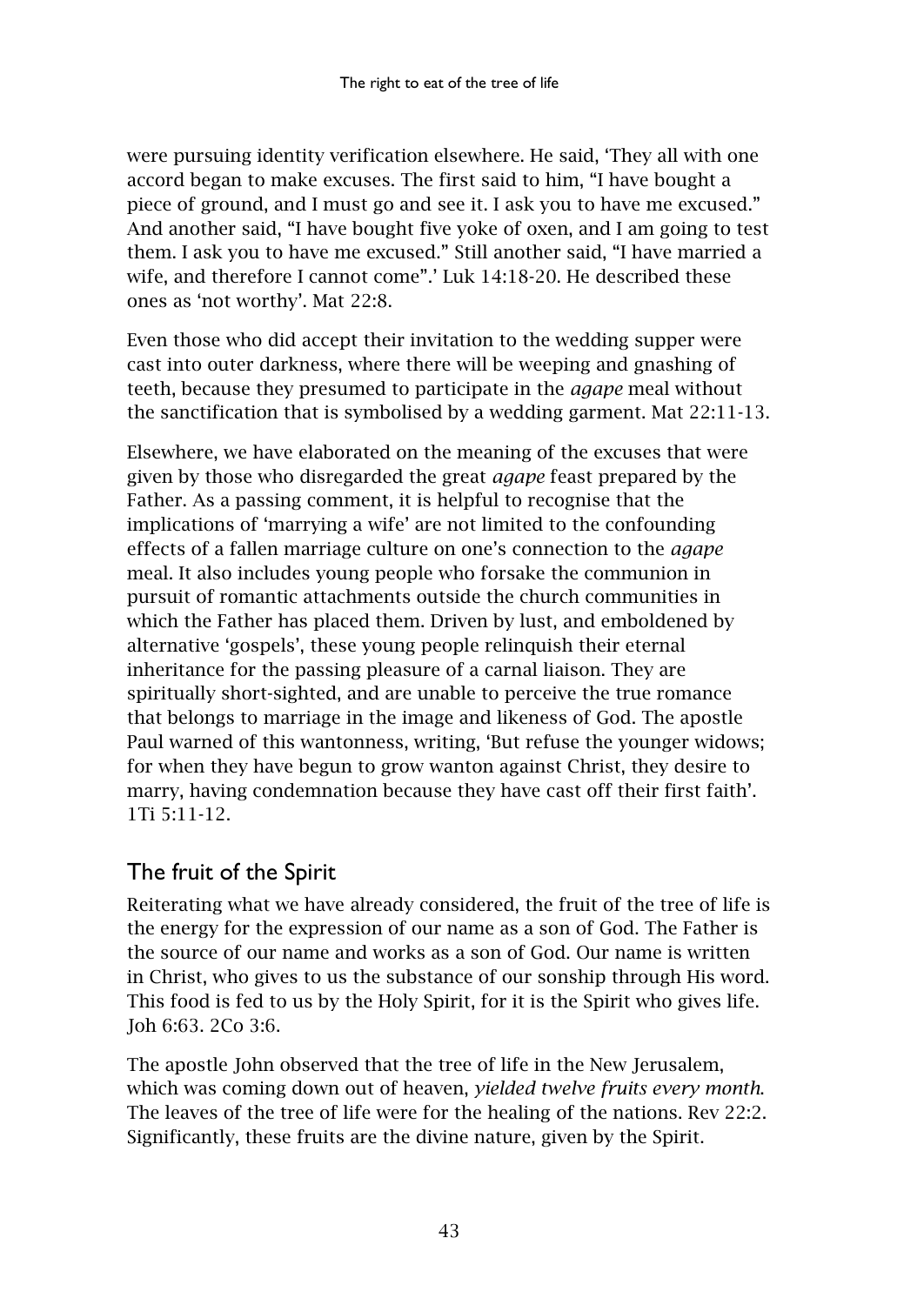were pursuing identity verification elsewhere. He said, 'They all with one accord began to make excuses. The first said to him, "I have bought a piece of ground, and I must go and see it. I ask you to have me excused." And another said, "I have bought five yoke of oxen, and I am going to test them. I ask you to have me excused." Still another said, "I have married a wife, and therefore I cannot come".' Luk 14:18-20. He described these ones as 'not worthy'. Mat 22:8.

Even those who did accept their invitation to the wedding supper were cast into outer darkness, where there will be weeping and gnashing of teeth, because they presumed to participate in the *agape* meal without the sanctification that is symbolised by a wedding garment. Mat 22:11-13.

Elsewhere, we have elaborated on the meaning of the excuses that were given by those who disregarded the great *agape* feast prepared by the Father. As a passing comment, it is helpful to recognise that the implications of 'marrying a wife' are not limited to the confounding effects of a fallen marriage culture on one's connection to the *agape* meal. It also includes young people who forsake the communion in pursuit of romantic attachments outside the church communities in which the Father has placed them. Driven by lust, and emboldened by alternative 'gospels', these young people relinquish their eternal inheritance for the passing pleasure of a carnal liaison. They are spiritually short-sighted, and are unable to perceive the true romance that belongs to marriage in the image and likeness of God. The apostle Paul warned of this wantonness, writing, 'But refuse the younger widows; for when they have begun to grow wanton against Christ, they desire to marry, having condemnation because they have cast off their first faith'. 1Ti 5:11-12.

# <span id="page-44-0"></span>The fruit of the Spirit

Reiterating what we have already considered, the fruit of the tree of life is the energy for the expression of our name as a son of God. The Father is the source of our name and works as a son of God. Our name is written in Christ, who gives to us the substance of our sonship through His word. This food is fed to us by the Holy Spirit, for it is the Spirit who gives life. Joh 6:63. 2Co 3:6.

The apostle John observed that the tree of life in the New Jerusalem, which was coming down out of heaven, *yielded twelve fruits every month*. The leaves of the tree of life were for the healing of the nations. Rev 22:2. Significantly, these fruits are the divine nature, given by the Spirit.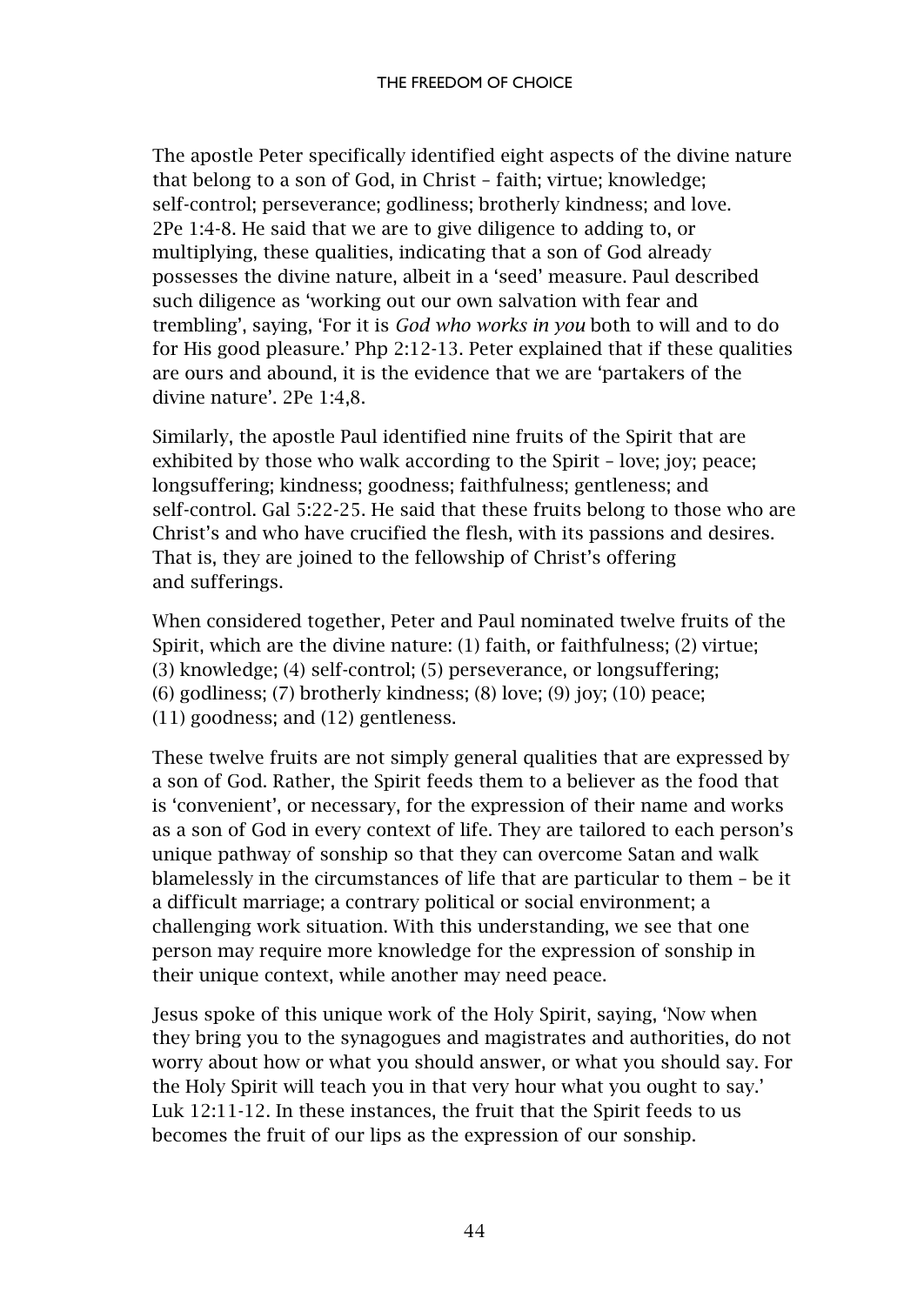The apostle Peter specifically identified eight aspects of the divine nature that belong to a son of God, in Christ – faith; virtue; knowledge; self-control; perseverance; godliness; brotherly kindness; and love. 2Pe 1:4-8. He said that we are to give diligence to adding to, or multiplying, these qualities, indicating that a son of God already possesses the divine nature, albeit in a 'seed' measure. Paul described such diligence as 'working out our own salvation with fear and trembling', saying, 'For it is *God who works in you* both to will and to do for His good pleasure.' Php 2:12-13. Peter explained that if these qualities are ours and abound, it is the evidence that we are 'partakers of the divine nature'. 2Pe 1:4,8.

Similarly, the apostle Paul identified nine fruits of the Spirit that are exhibited by those who walk according to the Spirit – love; joy; peace; longsuffering; kindness; goodness; faithfulness; gentleness; and self-control. Gal 5:22-25. He said that these fruits belong to those who are Christ's and who have crucified the flesh, with its passions and desires. That is, they are joined to the fellowship of Christ's offering and sufferings.

When considered together, Peter and Paul nominated twelve fruits of the Spirit, which are the divine nature: (1) faith, or faithfulness; (2) virtue; (3) knowledge; (4) self-control; (5) perseverance, or longsuffering; (6) godliness; (7) brotherly kindness; (8) love; (9) joy; (10) peace; (11) goodness; and (12) gentleness.

These twelve fruits are not simply general qualities that are expressed by a son of God. Rather, the Spirit feeds them to a believer as the food that is 'convenient', or necessary, for the expression of their name and works as a son of God in every context of life. They are tailored to each person's unique pathway of sonship so that they can overcome Satan and walk blamelessly in the circumstances of life that are particular to them – be it a difficult marriage; a contrary political or social environment; a challenging work situation. With this understanding, we see that one person may require more knowledge for the expression of sonship in their unique context, while another may need peace.

Jesus spoke of this unique work of the Holy Spirit, saying, 'Now when they bring you to the synagogues and magistrates and authorities, do not worry about how or what you should answer, or what you should say. For the Holy Spirit will teach you in that very hour what you ought to say.' Luk 12:11-12. In these instances, the fruit that the Spirit feeds to us becomes the fruit of our lips as the expression of our sonship.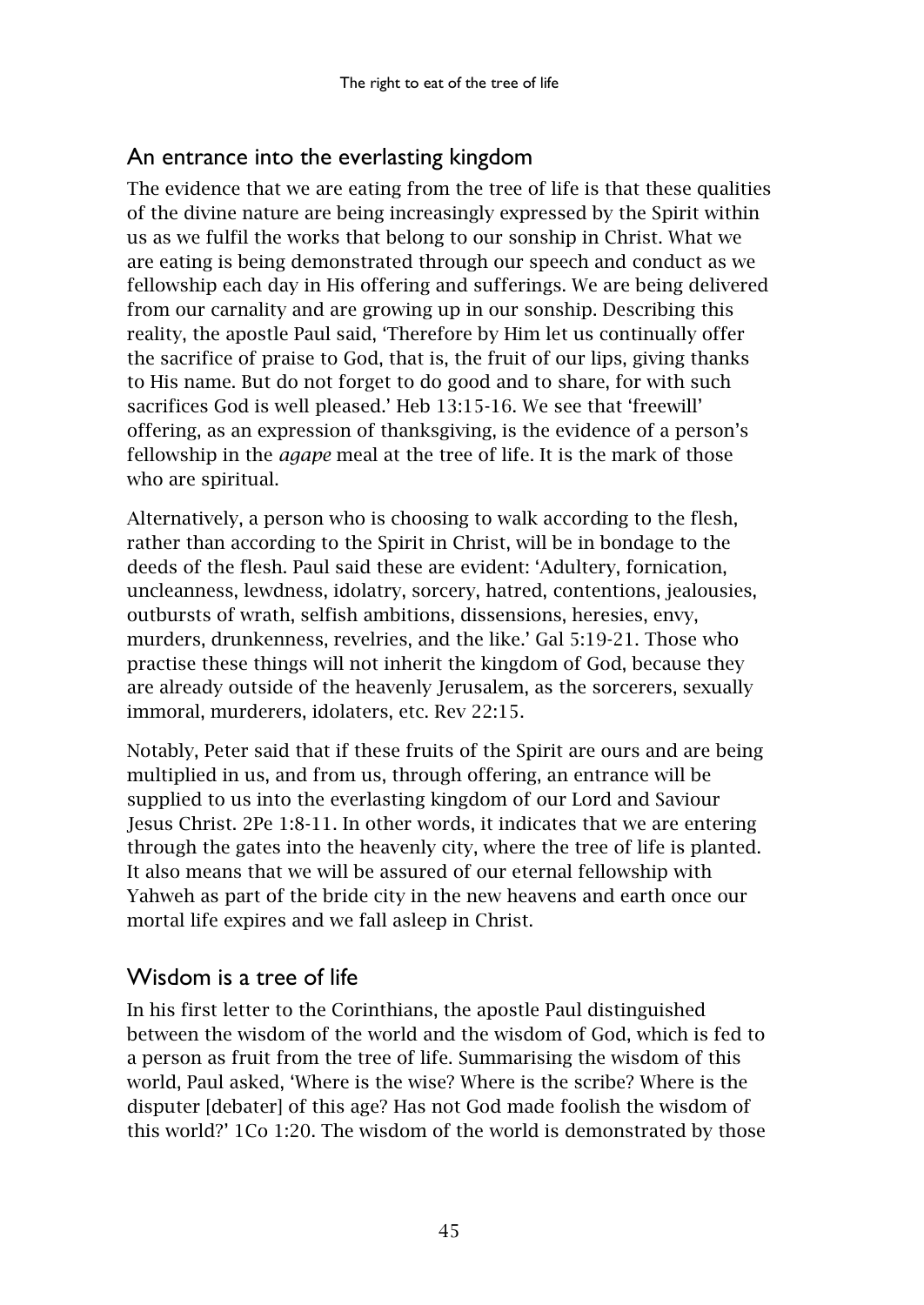# <span id="page-46-0"></span>An entrance into the everlasting kingdom

The evidence that we are eating from the tree of life is that these qualities of the divine nature are being increasingly expressed by the Spirit within us as we fulfil the works that belong to our sonship in Christ. What we are eating is being demonstrated through our speech and conduct as we fellowship each day in His offering and sufferings. We are being delivered from our carnality and are growing up in our sonship. Describing this reality, the apostle Paul said, 'Therefore by Him let us continually offer the sacrifice of praise to God, that is, the fruit of our lips, giving thanks to His name. But do not forget to do good and to share, for with such sacrifices God is well pleased.' Heb 13:15-16. We see that 'freewill' offering, as an expression of thanksgiving, is the evidence of a person's fellowship in the *agape* meal at the tree of life. It is the mark of those who are spiritual.

Alternatively, a person who is choosing to walk according to the flesh, rather than according to the Spirit in Christ, will be in bondage to the deeds of the flesh. Paul said these are evident: 'Adultery, fornication, uncleanness, lewdness, idolatry, sorcery, hatred, contentions, jealousies, outbursts of wrath, selfish ambitions, dissensions, heresies, envy, murders, drunkenness, revelries, and the like.' Gal 5:19-21. Those who practise these things will not inherit the kingdom of God, because they are already outside of the heavenly Jerusalem, as the sorcerers, sexually immoral, murderers, idolaters, etc. Rev 22:15.

Notably, Peter said that if these fruits of the Spirit are ours and are being multiplied in us, and from us, through offering, an entrance will be supplied to us into the everlasting kingdom of our Lord and Saviour Jesus Christ. 2Pe 1:8-11. In other words, it indicates that we are entering through the gates into the heavenly city, where the tree of life is planted. It also means that we will be assured of our eternal fellowship with Yahweh as part of the bride city in the new heavens and earth once our mortal life expires and we fall asleep in Christ.

# <span id="page-46-1"></span>Wisdom is a tree of life

In his first letter to the Corinthians, the apostle Paul distinguished between the wisdom of the world and the wisdom of God, which is fed to a person as fruit from the tree of life. Summarising the wisdom of this world, Paul asked, 'Where is the wise? Where is the scribe? Where is the disputer [debater] of this age? Has not God made foolish the wisdom of this world?' 1Co 1:20. The wisdom of the world is demonstrated by those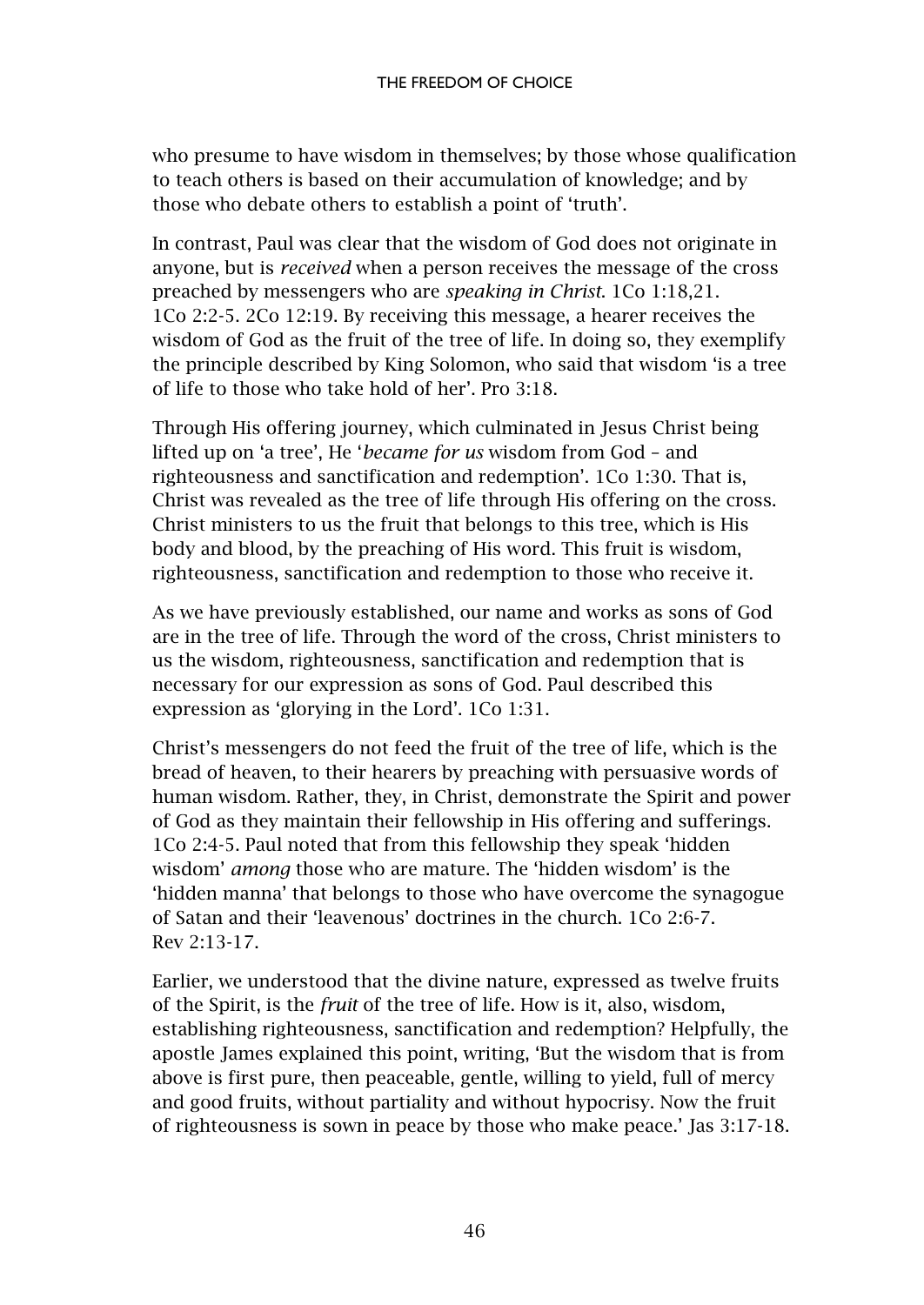who presume to have wisdom in themselves; by those whose qualification to teach others is based on their accumulation of knowledge; and by those who debate others to establish a point of 'truth'.

In contrast, Paul was clear that the wisdom of God does not originate in anyone, but is *received* when a person receives the message of the cross preached by messengers who are *speaking in Christ*. 1Co 1:18,21. 1Co 2:2-5. 2Co 12:19. By receiving this message, a hearer receives the wisdom of God as the fruit of the tree of life. In doing so, they exemplify the principle described by King Solomon, who said that wisdom 'is a tree of life to those who take hold of her'. Pro 3:18.

Through His offering journey, which culminated in Jesus Christ being lifted up on 'a tree', He '*became for us* wisdom from God – and righteousness and sanctification and redemption'. 1Co 1:30. That is, Christ was revealed as the tree of life through His offering on the cross. Christ ministers to us the fruit that belongs to this tree, which is His body and blood, by the preaching of His word. This fruit is wisdom, righteousness, sanctification and redemption to those who receive it.

As we have previously established, our name and works as sons of God are in the tree of life. Through the word of the cross, Christ ministers to us the wisdom, righteousness, sanctification and redemption that is necessary for our expression as sons of God. Paul described this expression as 'glorying in the Lord'. 1Co 1:31.

Christ's messengers do not feed the fruit of the tree of life, which is the bread of heaven, to their hearers by preaching with persuasive words of human wisdom. Rather, they, in Christ, demonstrate the Spirit and power of God as they maintain their fellowship in His offering and sufferings. 1Co 2:4-5. Paul noted that from this fellowship they speak 'hidden wisdom' *among* those who are mature. The 'hidden wisdom' is the 'hidden manna' that belongs to those who have overcome the synagogue of Satan and their 'leavenous' doctrines in the church. 1Co 2:6-7. Rev 2:13-17.

Earlier, we understood that the divine nature, expressed as twelve fruits of the Spirit, is the *fruit* of the tree of life. How is it, also, wisdom, establishing righteousness, sanctification and redemption? Helpfully, the apostle James explained this point, writing, 'But the wisdom that is from above is first pure, then peaceable, gentle, willing to yield, full of mercy and good fruits, without partiality and without hypocrisy. Now the fruit of righteousness is sown in peace by those who make peace.' Jas 3:17-18.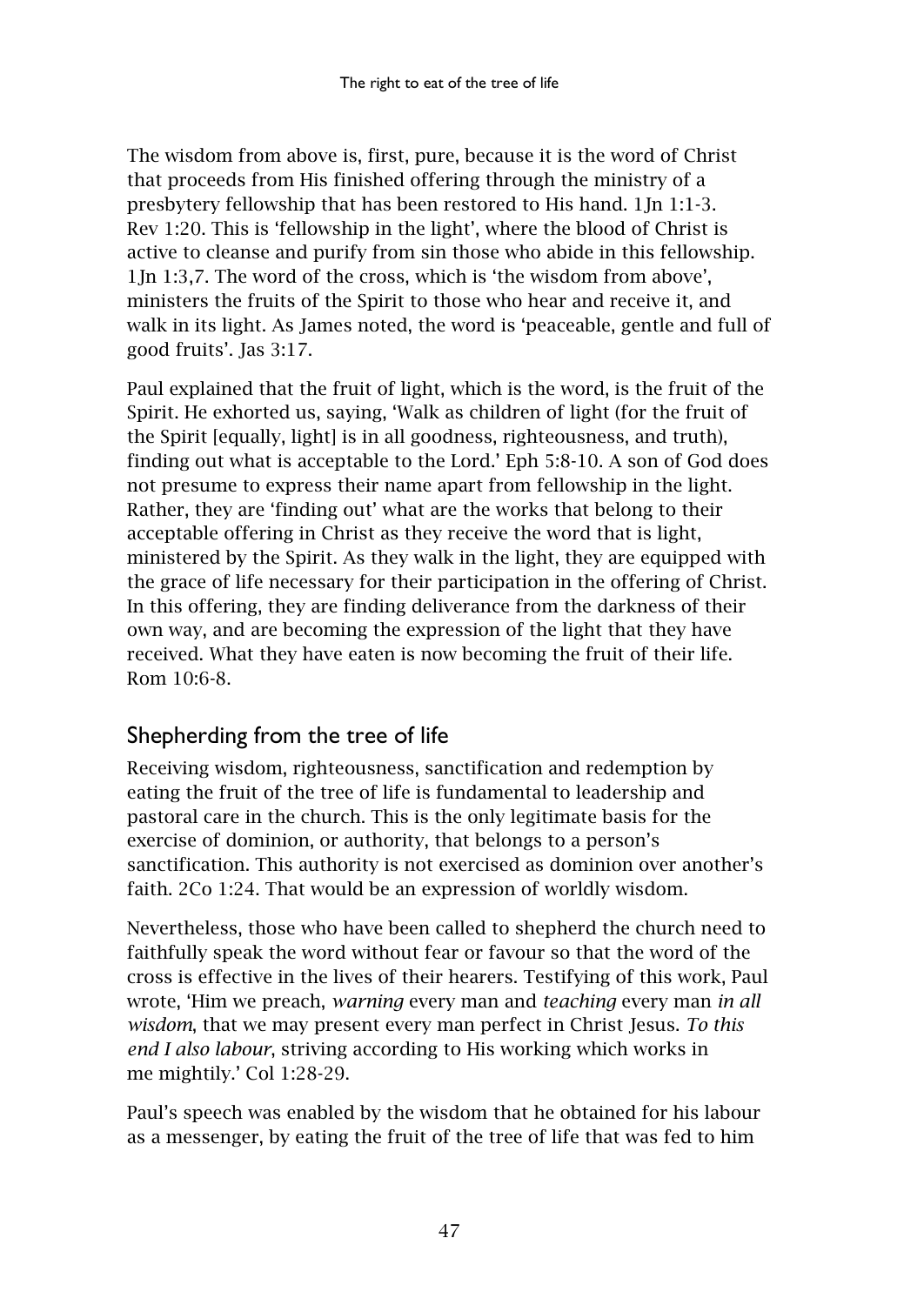The wisdom from above is, first, pure, because it is the word of Christ that proceeds from His finished offering through the ministry of a presbytery fellowship that has been restored to His hand. 1Jn 1:1-3. Rev 1:20. This is 'fellowship in the light', where the blood of Christ is active to cleanse and purify from sin those who abide in this fellowship. 1Jn 1:3,7. The word of the cross, which is 'the wisdom from above', ministers the fruits of the Spirit to those who hear and receive it, and walk in its light. As James noted, the word is 'peaceable, gentle and full of good fruits'. Jas 3:17.

Paul explained that the fruit of light, which is the word, is the fruit of the Spirit. He exhorted us, saying, 'Walk as children of light (for the fruit of the Spirit [equally, light] is in all goodness, righteousness, and truth), finding out what is acceptable to the Lord.' Eph 5:8-10. A son of God does not presume to express their name apart from fellowship in the light. Rather, they are 'finding out' what are the works that belong to their acceptable offering in Christ as they receive the word that is light, ministered by the Spirit. As they walk in the light, they are equipped with the grace of life necessary for their participation in the offering of Christ. In this offering, they are finding deliverance from the darkness of their own way, and are becoming the expression of the light that they have received. What they have eaten is now becoming the fruit of their life. Rom 10:6-8.

# <span id="page-48-0"></span>Shepherding from the tree of life

Receiving wisdom, righteousness, sanctification and redemption by eating the fruit of the tree of life is fundamental to leadership and pastoral care in the church. This is the only legitimate basis for the exercise of dominion, or authority, that belongs to a person's sanctification. This authority is not exercised as dominion over another's faith. 2Co 1:24. That would be an expression of worldly wisdom.

Nevertheless, those who have been called to shepherd the church need to faithfully speak the word without fear or favour so that the word of the cross is effective in the lives of their hearers. Testifying of this work, Paul wrote, 'Him we preach, *warning* every man and *teaching* every man *in all wisdom*, that we may present every man perfect in Christ Jesus. *To this end I also labour*, striving according to His working which works in me mightily.' Col 1:28-29.

Paul's speech was enabled by the wisdom that he obtained for his labour as a messenger, by eating the fruit of the tree of life that was fed to him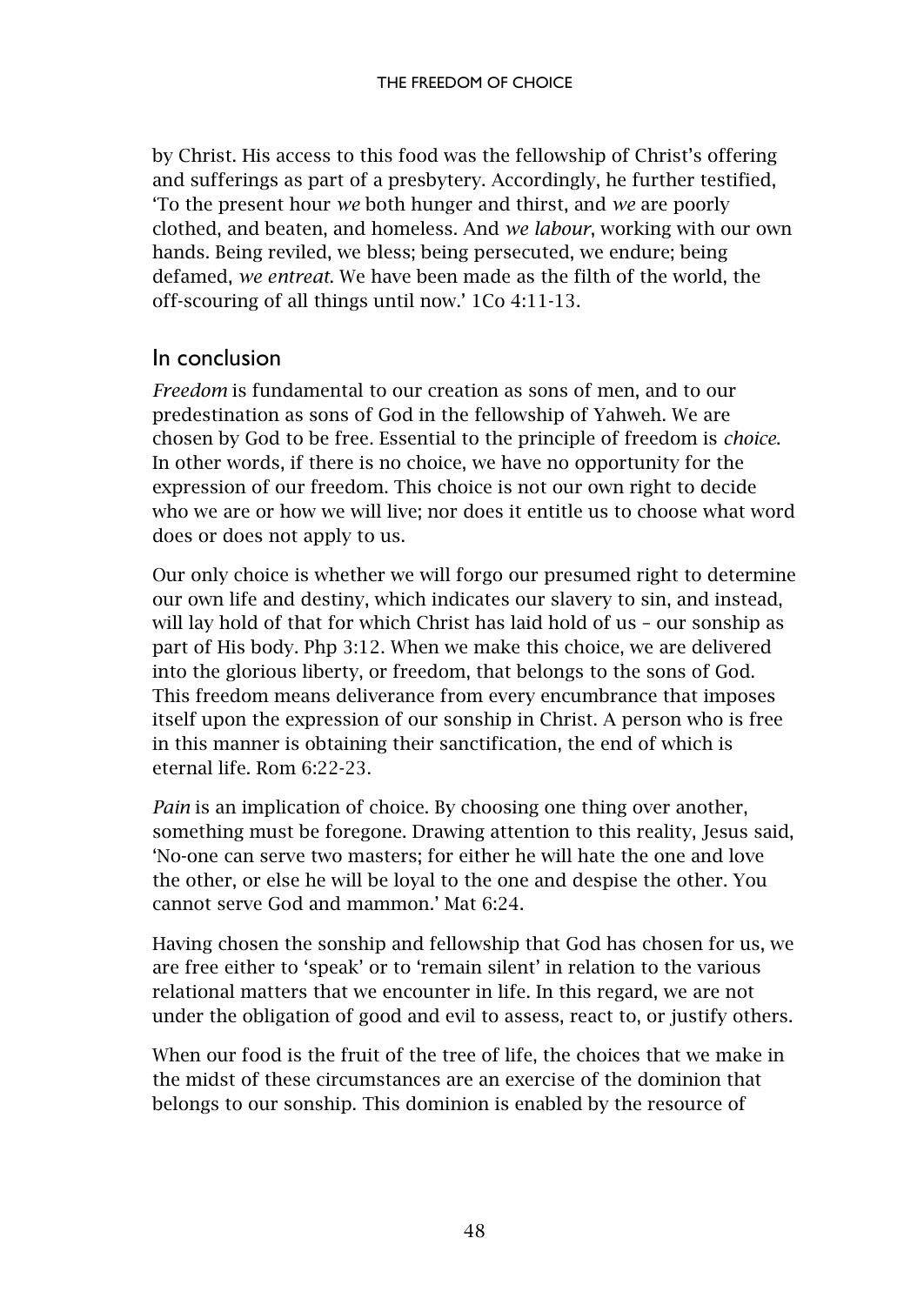by Christ. His access to this food was the fellowship of Christ's offering and sufferings as part of a presbytery. Accordingly, he further testified, 'To the present hour *we* both hunger and thirst, and *we* are poorly clothed, and beaten, and homeless. And *we labour*, working with our own hands. Being reviled, we bless; being persecuted, we endure; being defamed, *we entreat*. We have been made as the filth of the world, the off-scouring of all things until now.' 1Co 4:11-13.

#### <span id="page-49-0"></span>In conclusion

*Freedom* is fundamental to our creation as sons of men, and to our predestination as sons of God in the fellowship of Yahweh. We are chosen by God to be free. Essential to the principle of freedom is *choice*. In other words, if there is no choice, we have no opportunity for the expression of our freedom. This choice is not our own right to decide who we are or how we will live; nor does it entitle us to choose what word does or does not apply to us.

Our only choice is whether we will forgo our presumed right to determine our own life and destiny, which indicates our slavery to sin, and instead, will lay hold of that for which Christ has laid hold of us – our sonship as part of His body. Php 3:12. When we make this choice, we are delivered into the glorious liberty, or freedom, that belongs to the sons of God. This freedom means deliverance from every encumbrance that imposes itself upon the expression of our sonship in Christ. A person who is free in this manner is obtaining their sanctification, the end of which is eternal life. Rom 6:22-23.

*Pain* is an implication of choice. By choosing one thing over another, something must be foregone. Drawing attention to this reality, Jesus said, 'No-one can serve two masters; for either he will hate the one and love the other, or else he will be loyal to the one and despise the other. You cannot serve God and mammon.' Mat 6:24.

Having chosen the sonship and fellowship that God has chosen for us, we are free either to 'speak' or to 'remain silent' in relation to the various relational matters that we encounter in life. In this regard, we are not under the obligation of good and evil to assess, react to, or justify others.

When our food is the fruit of the tree of life, the choices that we make in the midst of these circumstances are an exercise of the dominion that belongs to our sonship. This dominion is enabled by the resource of